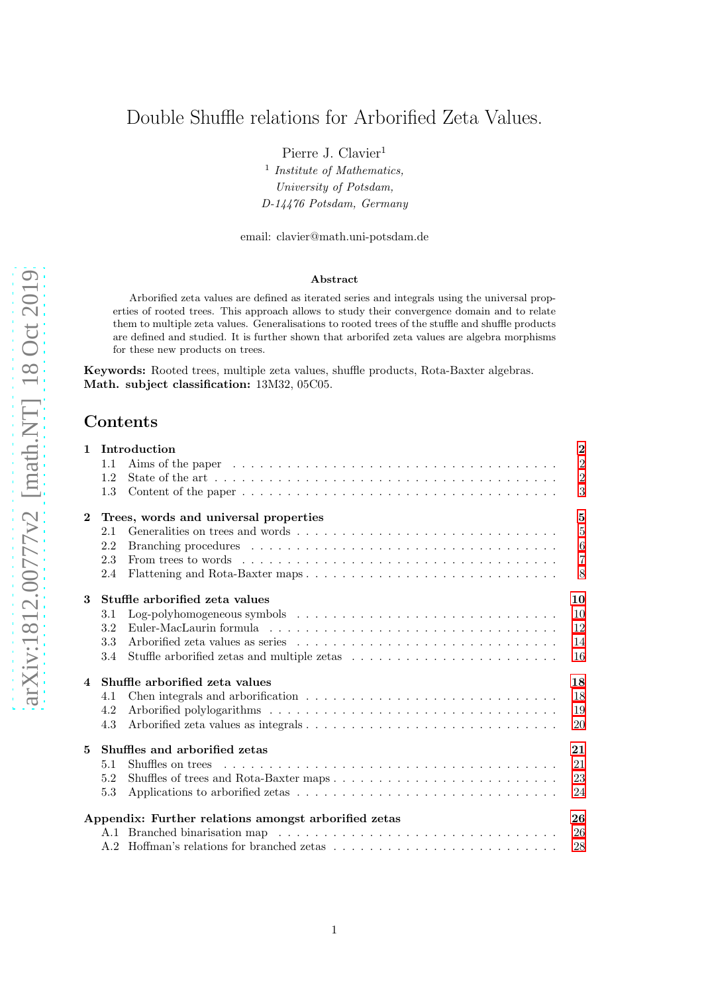# Double Shuffle relations for Arborified Zeta Values.

Pierre J. Clavier<sup>1</sup>

<sup>1</sup> Institute of Mathematics, University of Potsdam, D-14476 Potsdam, Germany

email: clavier@math.uni-potsdam.de

### Abstract

Arborified zeta values are defined as iterated series and integrals using the universal properties of rooted trees. This approach allows to study their convergence domain and to relate them to multiple zeta values. Generalisations to rooted trees of the stuffle and shuffle products are defined and studied. It is further shown that arborifed zeta values are algebra morphisms for these new products on trees.

Keywords: Rooted trees, multiple zeta values, shuffle products, Rota-Baxter algebras. Math. subject classification: 13M32, 05C05.

## Contents

| $\mathbf{1}$   | Introduction                           |                                                                                                                 | $\overline{2}$ |
|----------------|----------------------------------------|-----------------------------------------------------------------------------------------------------------------|----------------|
|                | 1.1                                    |                                                                                                                 | $\overline{2}$ |
|                | 1.2                                    |                                                                                                                 | $\overline{2}$ |
|                | 1.3                                    |                                                                                                                 | 3              |
| $\overline{2}$ | Trees, words and universal properties  |                                                                                                                 |                |
|                | 2.1                                    |                                                                                                                 | $\overline{5}$ |
|                | 2.2                                    |                                                                                                                 | 6              |
|                | 2.3                                    | From trees to words $\dots \dots \dots \dots \dots \dots \dots \dots \dots \dots \dots \dots \dots \dots \dots$ | $\overline{7}$ |
|                | 2.4                                    |                                                                                                                 | 8              |
| 3              | Stuffle arborified zeta values<br>10   |                                                                                                                 |                |
|                | 3.1                                    | Log-polyhomogeneous symbols $\ldots \ldots \ldots \ldots \ldots \ldots \ldots \ldots \ldots \ldots \ldots$      | 10             |
|                | 3.2                                    |                                                                                                                 | 12             |
|                | 3.3                                    |                                                                                                                 | 14             |
|                | 3.4                                    |                                                                                                                 | 16             |
|                | 18<br>4 Shuffle arborified zeta values |                                                                                                                 |                |
|                | 4.1                                    |                                                                                                                 | 18             |
|                | 4.2                                    |                                                                                                                 | 19             |
|                | 4.3                                    |                                                                                                                 | 20             |
| 5              | 21<br>Shuffles and arborified zetas    |                                                                                                                 |                |
|                | 5.1                                    |                                                                                                                 | 21             |
|                | 5.2                                    |                                                                                                                 | 23             |
|                | 5.3                                    |                                                                                                                 | 24             |
|                |                                        | Appendix: Further relations amongst arborified zetas                                                            | 26             |
|                |                                        |                                                                                                                 | 26             |
|                |                                        |                                                                                                                 | 28             |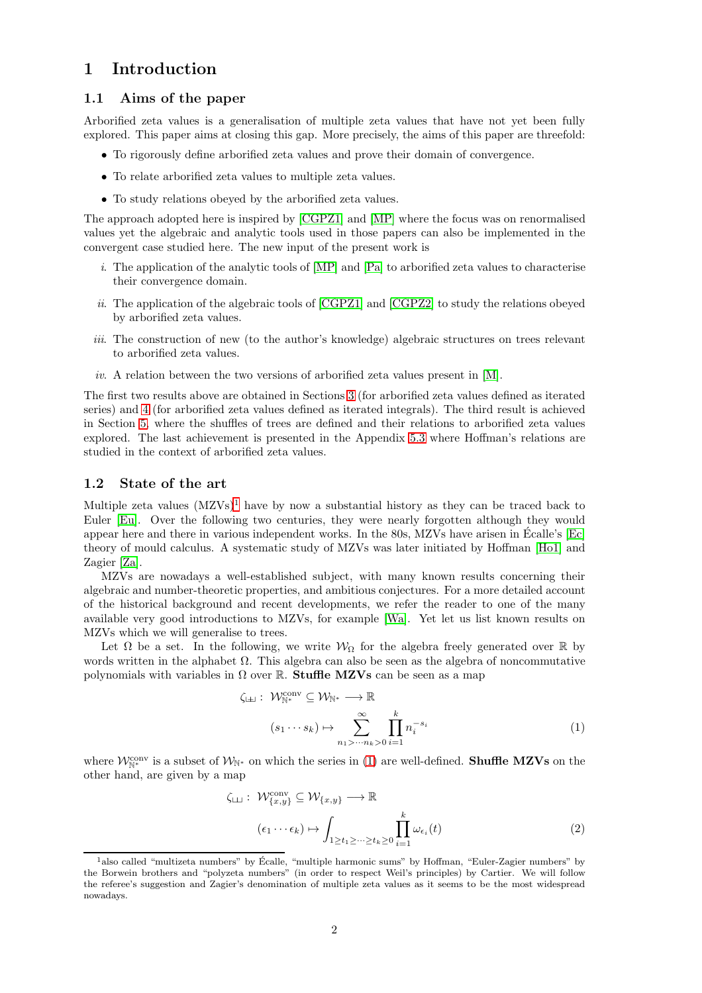## <span id="page-1-0"></span>1 Introduction

## 1.1 Aims of the paper

Arborified zeta values is a generalisation of multiple zeta values that have not yet been fully explored. This paper aims at closing this gap. More precisely, the aims of this paper are threefold:

- To rigorously define arborified zeta values and prove their domain of convergence.
- To relate arborified zeta values to multiple zeta values.
- To study relations obeyed by the arborified zeta values.

The approach adopted here is inspired by [\[CGPZ1\]](#page-28-0) and [\[MP\]](#page-29-0) where the focus was on renormalised values yet the algebraic and analytic tools used in those papers can also be implemented in the convergent case studied here. The new input of the present work is

- i. The application of the analytic tools of [\[MP\]](#page-29-0) and [\[Pa\]](#page-29-1) to arborified zeta values to characterise their convergence domain.
- ii. The application of the algebraic tools of [\[CGPZ1\]](#page-28-0) and [\[CGPZ2\]](#page-28-1) to study the relations obeyed by arborified zeta values.
- iii. The construction of new (to the author's knowledge) algebraic structures on trees relevant to arborified zeta values.
- iv. A relation between the two versions of arborified zeta values present in [\[M\]](#page-29-2).

The first two results above are obtained in Sections [3](#page-9-0) (for arborified zeta values defined as iterated series) and [4](#page-17-0) (for arborified zeta values defined as iterated integrals). The third result is achieved in Section [5,](#page-20-0) where the shuffles of trees are defined and their relations to arborified zeta values explored. The last achievement is presented in the Appendix [5.3](#page-25-1) where Hoffman's relations are studied in the context of arborified zeta values.

## 1.2 State of the art

Multiple zeta values  $(MZVs)^1$  $(MZVs)^1$  have by now a substantial history as they can be traced back to Euler [\[Eu\]](#page-29-3). Over the following two centuries, they were nearly forgotten although they would appear here and there in various independent works. In the 80s, MZVs have arisen in Ecalle's [\[Ec\]](#page-29-4) ´ theory of mould calculus. A systematic study of MZVs was later initiated by Hoffman [\[Ho1\]](#page-29-5) and Zagier [\[Za\]](#page-29-6).

MZVs are nowadays a well-established subject, with many known results concerning their algebraic and number-theoretic properties, and ambitious conjectures. For a more detailed account of the historical background and recent developments, we refer the reader to one of the many available very good introductions to MZVs, for example [\[Wa\]](#page-29-7). Yet let us list known results on MZVs which we will generalise to trees.

Let  $\Omega$  be a set. In the following, we write  $\mathcal{W}_{\Omega}$  for the algebra freely generated over R by words written in the alphabet  $\Omega$ . This algebra can also be seen as the algebra of noncommutative polynomials with variables in  $\Omega$  over R. Stuffle MZVs can be seen as a map

<span id="page-1-2"></span>
$$
\zeta_{\perp} : \mathcal{W}_{\mathbb{N}^*}^{\text{conv}} \subseteq \mathcal{W}_{\mathbb{N}^*} \longrightarrow \mathbb{R}
$$
\n
$$
(s_1 \cdots s_k) \mapsto \sum_{n_1 > \cdots n_k > 0}^{\infty} \prod_{i=1}^k n_i^{-s_i}
$$
\n
$$
(1)
$$

where  $\mathcal{W}_{\mathbb{N}^*}^{\text{conv}}$  is a subset of  $\mathcal{W}_{\mathbb{N}^*}$  on which the series in [\(1\)](#page-1-2) are well-defined. **Shuffle MZVs** on the other hand, are given by a map

<span id="page-1-3"></span>
$$
\zeta_{\sqcup} : \mathcal{W}_{\{x,y\}}^{\text{conv}} \subseteq \mathcal{W}_{\{x,y\}} \longrightarrow \mathbb{R}
$$

$$
(\epsilon_1 \cdots \epsilon_k) \mapsto \int_{1 \ge t_1 \ge \cdots \ge t_k \ge 0} \prod_{i=1}^k \omega_{\epsilon_i}(t) \tag{2}
$$

<span id="page-1-1"></span><sup>&</sup>lt;sup>1</sup>also called "multizeta numbers" by Écalle, "multiple harmonic sums" by Hoffman, "Euler-Zagier numbers" by the Borwein brothers and "polyzeta numbers" (in order to respect Weil's principles) by Cartier. We will follow the referee's suggestion and Zagier's denomination of multiple zeta values as it seems to be the most widespread nowadays.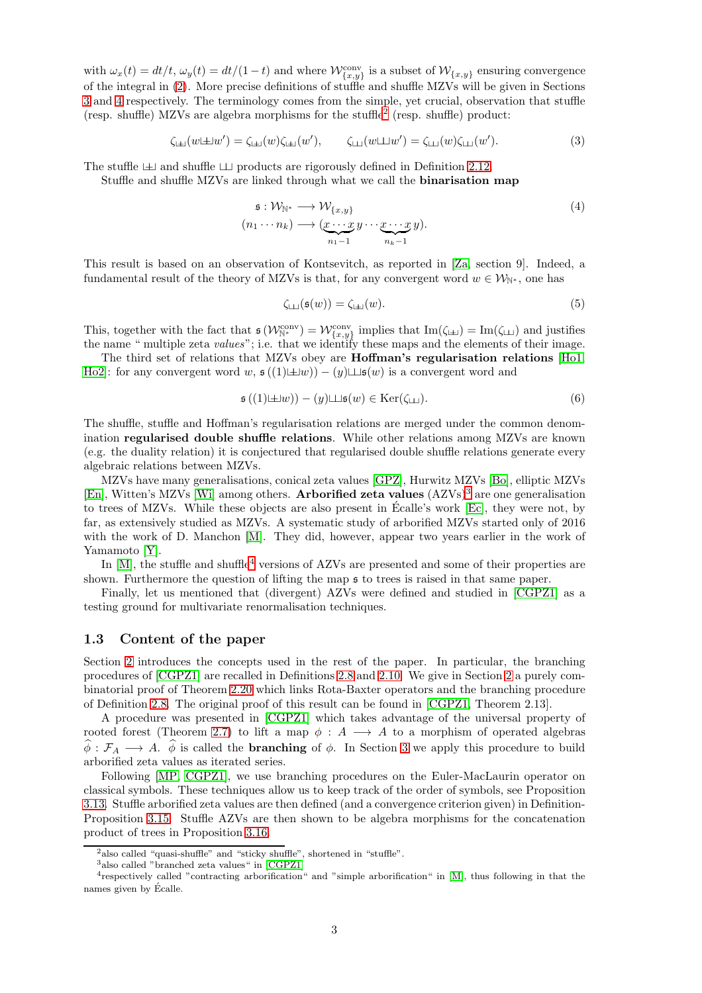with  $\omega_x(t) = dt/t$ ,  $\omega_y(t) = dt/(1-t)$  and where  $\mathcal{W}_{\{x,y\}}^{\text{conv}}$  is a subset of  $\mathcal{W}_{\{x,y\}}$  ensuring convergence of the integral in [\(2\)](#page-1-3). More precise definitions of stuffle and shuffle MZVs will be given in Sections [3](#page-9-0) and [4](#page-17-0) respectively. The terminology comes from the simple, yet crucial, observation that stuffle (resp. shuffle) MZVs are algebra morphisms for the stuffle[2](#page-2-1) (resp. shuffle) product:

$$
\zeta_{\perp\perp}(w \perp \perp w') = \zeta_{\perp\perp}(w)\zeta_{\perp\perp}(w'), \qquad \zeta_{\perp\perp}(w \perp \perp w') = \zeta_{\perp\perp}(w)\zeta_{\perp\perp}(w'). \tag{3}
$$

The stuffle  $\perp$  and shuffle  $\perp$  products are rigorously defined in Definition 2.12.

Stuffle and shuffle MZVs are linked through what we call the binarisation map

$$
\mathfrak{s}: \mathcal{W}_{\mathbb{N}^*} \longrightarrow \mathcal{W}_{\{x,y\}}(n_1 \cdots n_k) \longrightarrow (\underbrace{x \cdots x}_{n_1-1} y \cdots \underbrace{x \cdots x}_{n_k-1} y).
$$
\n(4)

This result is based on an observation of Kontsevitch, as reported in [\[Za,](#page-29-6) section 9]. Indeed, a fundamental result of the theory of MZVs is that, for any convergent word  $w \in \mathcal{W}_{\mathbb{N}^*}$ , one has

<span id="page-2-6"></span><span id="page-2-4"></span>
$$
\zeta_{\Box\Box}(\mathfrak{s}(w)) = \zeta_{\Box\Box}(w). \tag{5}
$$

This, together with the fact that  $\mathfrak{s}(\mathcal{W}_{\mathbb{N}^*}^{\text{conv}}) = \mathcal{W}_{\{x,y\}}^{\text{conv}}$  implies that  $\text{Im}(\zeta_{\perp\perp}) = \text{Im}(\zeta_{\perp\perp})$  and justifies the name " multiple zeta *values*"; i.e. that we identify these maps and the elements of their image.

The third set of relations that MZVs obey are Hoffman's regularisation relations [\[Ho1,](#page-29-5) [Ho2\]](#page-29-8): for any convergent word w,  $\mathfrak{s}((1)\pm w) - (y)\pm \mathfrak{s}(w)$  is a convergent word and

<span id="page-2-5"></span>
$$
\mathfrak{s}\left((1)\boxplus w\right)-(y)\boxminus\mathfrak{s}(w)\in\operatorname{Ker}(\zeta_{\boxminus}).\tag{6}
$$

The shuffle, stuffle and Hoffman's regularisation relations are merged under the common denomination regularised double shuffle relations. While other relations among MZVs are known (e.g. the duality relation) it is conjectured that regularised double shuffle relations generate every algebraic relations between MZVs.

MZVs have many generalisations, conical zeta values [\[GPZ\]](#page-29-9), Hurwitz MZVs [\[Bo\]](#page-28-2), elliptic MZVs [\[En\]](#page-29-10), Witten's MZVs [\[Wi\]](#page-29-11) among others. **Arborified zeta values**  $(AZVs)^3$  $(AZVs)^3$  are one generalisation to trees of MZVs. While these objects are also present in Ecalle's work [\[Ec\]](#page-29-4), they were not, by ´ far, as extensively studied as MZVs. A systematic study of arborified MZVs started only of 2016 with the work of D. Manchon [\[M\]](#page-29-2). They did, however, appear two years earlier in the work of Yamamoto [\[Y\]](#page-29-12).

In  $[M]$ , the stuffle and shuffle<sup>[4](#page-2-3)</sup> versions of AZVs are presented and some of their properties are shown. Furthermore the question of lifting the map s to trees is raised in that same paper.

Finally, let us mentioned that (divergent) AZVs were defined and studied in [\[CGPZ1\]](#page-28-0) as a testing ground for multivariate renormalisation techniques.

## <span id="page-2-0"></span>1.3 Content of the paper

Section [2](#page-4-0) introduces the concepts used in the rest of the paper. In particular, the branching procedures of [\[CGPZ1\]](#page-28-0) are recalled in Definitions [2.8](#page-5-1) and [2.10.](#page-6-1) We give in Section [2](#page-4-0) a purely combinatorial proof of Theorem [2.20](#page-8-0) which links Rota-Baxter operators and the branching procedure of Definition [2.8.](#page-5-1) The original proof of this result can be found in [\[CGPZ1,](#page-28-0) Theorem 2.13].

A procedure was presented in [\[CGPZ1\]](#page-28-0) which takes advantage of the universal property of rooted forest (Theorem [2.7\)](#page-5-2) to lift a map  $\phi : A \longrightarrow A$  to a morphism of operated algebras  $\hat{\phi} : \mathcal{F}_A \longrightarrow A$ .  $\hat{\phi}$  is called the **branching** of  $\phi$ . In Section [3](#page-9-0) we apply this procedure to build arborified zeta values as iterated series.

Following [\[MP,](#page-29-0) [CGPZ1\]](#page-28-0), we use branching procedures on the Euler-MacLaurin operator on classical symbols. These techniques allow us to keep track of the order of symbols, see Proposition [3.13.](#page-13-1) Stuffle arborified zeta values are then defined (and a convergence criterion given) in Definition-Proposition [3.15.](#page-14-0) Stuffle AZVs are then shown to be algebra morphisms for the concatenation product of trees in Proposition [3.16.](#page-15-1)

<sup>&</sup>lt;sup>2</sup>also called "quasi-shuffle" and "sticky shuffle", shortened in "stuffle".

<span id="page-2-2"></span><span id="page-2-1"></span><sup>3</sup>also called "branched zeta values" in [\[CGPZ1\]](#page-28-0)

<span id="page-2-3"></span><sup>&</sup>lt;sup>4</sup>respectively called "contracting arborification" and "simple arborification" in [\[M\]](#page-29-2), thus following in that the names given by Écalle.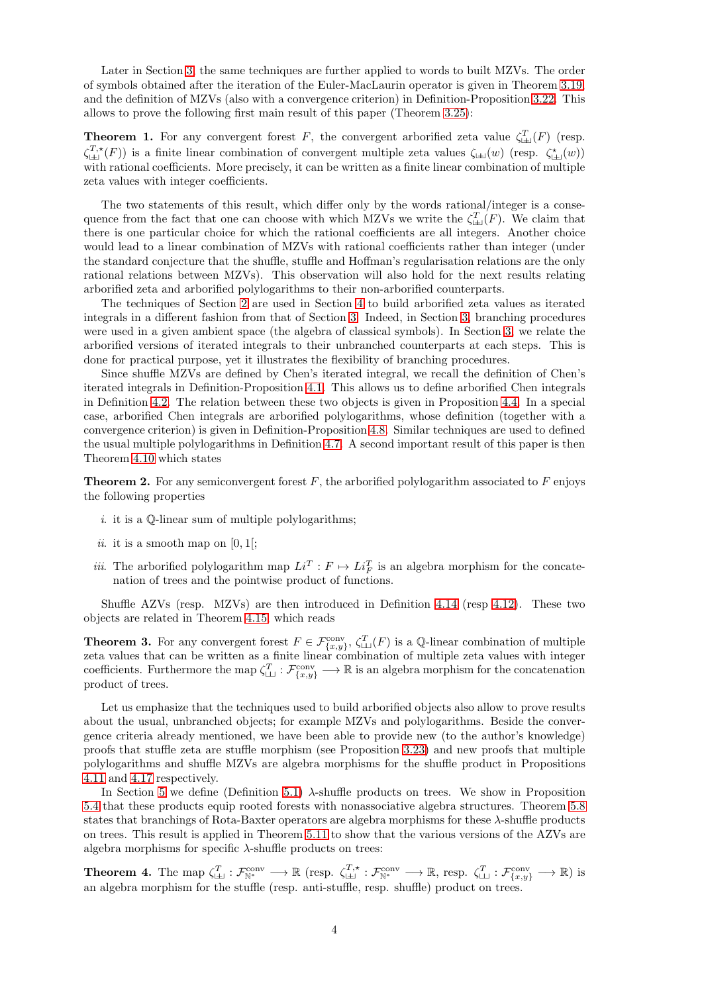Later in Section [3,](#page-9-0) the same techniques are further applied to words to built MZVs. The order of symbols obtained after the iteration of the Euler-MacLaurin operator is given in Theorem [3.19,](#page-15-2) and the definition of MZVs (also with a convergence criterion) in Definition-Proposition [3.22.](#page-15-3) This allows to prove the following first main result of this paper (Theorem [3.25\)](#page-16-0):

**Theorem 1.** For any convergent forest F, the convergent arborified zeta value  $\zeta_{\text{L}}^T(F)$  (resp.  $\zeta_{\perp}^{T, \star}(F)$  is a finite linear combination of convergent multiple zeta values  $\zeta_{\perp\perp}(w)$  (resp.  $\zeta_{\perp\perp}^{\star}(w)$ ) with rational coefficients. More precisely, it can be written as a finite linear combination of multiple zeta values with integer coefficients.

The two statements of this result, which differ only by the words rational/integer is a consequence from the fact that one can choose with which MZVs we write the  $\zeta^T_{\text{L}(F)}$ . We claim that there is one particular choice for which the rational coefficients are all integers. Another choice would lead to a linear combination of MZVs with rational coefficients rather than integer (under the standard conjecture that the shuffle, stuffle and Hoffman's regularisation relations are the only rational relations between MZVs). This observation will also hold for the next results relating arborified zeta and arborified polylogarithms to their non-arborified counterparts.

The techniques of Section [2](#page-4-0) are used in Section [4](#page-17-0) to build arborified zeta values as iterated integrals in a different fashion from that of Section [3.](#page-9-0) Indeed, in Section [3,](#page-9-0) branching procedures were used in a given ambient space (the algebra of classical symbols). In Section [3,](#page-9-0) we relate the arborified versions of iterated integrals to their unbranched counterparts at each steps. This is done for practical purpose, yet it illustrates the flexibility of branching procedures.

Since shuffle MZVs are defined by Chen's iterated integral, we recall the definition of Chen's iterated integrals in Definition-Proposition [4.1.](#page-17-2) This allows us to define arborified Chen integrals in Definition [4.2.](#page-17-3) The relation between these two objects is given in Proposition [4.4.](#page-17-4) In a special case, arborified Chen integrals are arborified polylogarithms, whose definition (together with a convergence criterion) is given in Definition-Proposition [4.8.](#page-18-1) Similar techniques are used to defined the usual multiple polylogarithms in Definition [4.7.](#page-18-2) A second important result of this paper is then Theorem [4.10](#page-19-1) which states

**Theorem 2.** For any semiconvergent forest  $F$ , the arborified polylogarithm associated to  $F$  enjoys the following properties

- i. it is a  $\mathbb Q$ -linear sum of multiple polylogarithms;
- ii. it is a smooth map on  $[0, 1]$ ;
- *iii.* The arborified polylogarithm map  $Li^T : F \mapsto Li_F^T$  is an algebra morphism for the concatenation of trees and the pointwise product of functions.

Shuffle AZVs (resp. MZVs) are then introduced in Definition [4.14](#page-20-2) (resp [4.12\)](#page-19-2). These two objects are related in Theorem [4.15,](#page-20-3) which reads

**Theorem 3.** For any convergent forest  $F \in \mathcal{F}_{\{x,y\}}^{\text{conv}}, \zeta_{\sqcup\sqcup}^T(F)$  is a Q-linear combination of multiple zeta values that can be written as a finite linear combination of multiple zeta values with integer coefficients. Furthermore the map  $\zeta_{\perp\perp}^T : \mathcal{F}_{\{x,y\}}^{\text{conv}} \longrightarrow \mathbb{R}$  is an algebra morphism for the concatenation product of trees.

Let us emphasize that the techniques used to build arborified objects also allow to prove results about the usual, unbranched objects; for example MZVs and polylogarithms. Beside the convergence criteria already mentioned, we have been able to provide new (to the author's knowledge) proofs that stuffle zeta are stuffle morphism (see Proposition [3.23\)](#page-15-4) and new proofs that multiple polylogarithms and shuffle MZVs are algebra morphisms for the shuffle product in Propositions [4.11](#page-19-3) and [4.17](#page-20-4) respectively.

In Section [5](#page-20-0) we define (Definition [5.1\)](#page-20-5)  $\lambda$ -shuffle products on trees. We show in Proposition [5.4](#page-21-0) that these products equip rooted forests with nonassociative algebra structures. Theorem [5.8](#page-22-1) states that branchings of Rota-Baxter operators are algebra morphisms for these  $\lambda$ -shuffle products on trees. This result is applied in Theorem [5.11](#page-24-0) to show that the various versions of the AZVs are algebra morphisms for specific  $\lambda$ -shuffle products on trees:

**Theorem 4.** The map  $\zeta_{\perp\perp}^T : \mathcal{F}_{\mathbb{N}^*}^{\text{conv}} \longrightarrow \mathbb{R}$  (resp.  $\zeta_{\perp\perp}^T : \mathcal{F}_{\mathbb{N}^*}^{\text{conv}} \longrightarrow \mathbb{R}$ , resp.  $\zeta_{\perp\perp}^T : \mathcal{F}_{\{x,y\}}^{\text{conv}} \longrightarrow \mathbb{R}$ ) is an algebra morphism for the stuffle (resp. anti-stuffle, resp. shuffle) product on trees.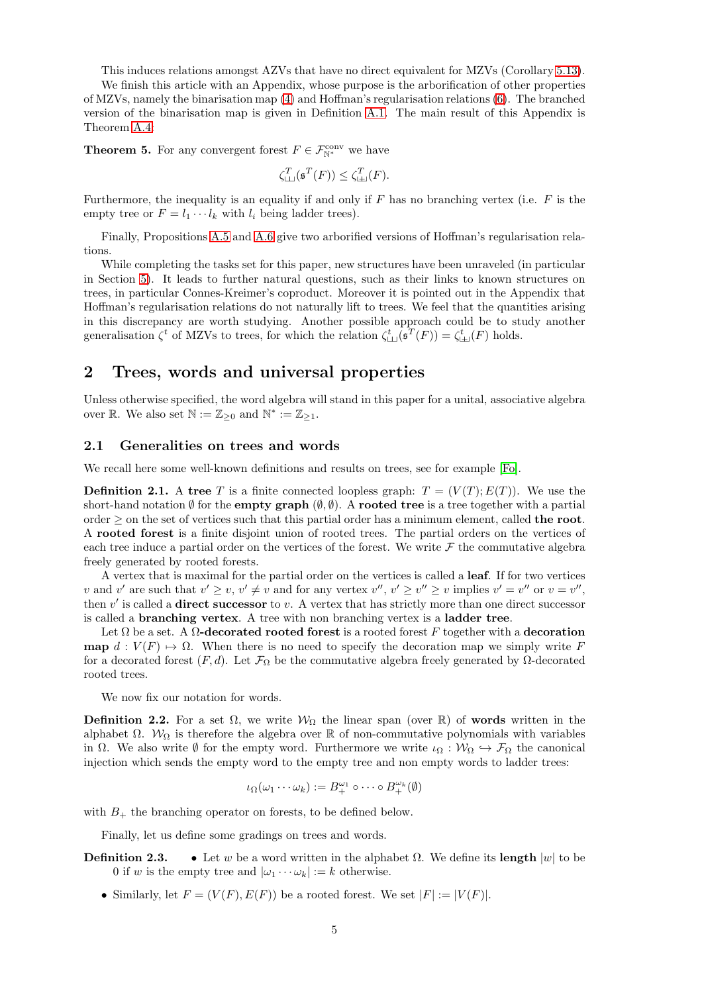This induces relations amongst AZVs that have no direct equivalent for MZVs (Corollary [5.13\)](#page-24-1).

We finish this article with an Appendix, whose purpose is the arborification of other properties of MZVs, namely the binarisation map [\(4\)](#page-2-4) and Hoffman's regularisation relations [\(6\)](#page-2-5). The branched version of the binarisation map is given in Definition [A.1.](#page-25-2) The main result of this Appendix is Theorem [A.4:](#page-25-3)

**Theorem 5.** For any convergent forest  $F \in \mathcal{F}_{\mathbb{N}^*}^{\text{conv}}$  we have

$$
\zeta_{\text{LJ}}^T(\mathfrak{s}^T(F)) \le \zeta_{\text{LJ}}^T(F).
$$

Furthermore, the inequality is an equality if and only if  $F$  has no branching vertex (i.e.  $F$  is the empty tree or  $F = l_1 \cdots l_k$  with  $l_i$  being ladder trees).

Finally, Propositions [A.5](#page-27-1) and [A.6](#page-27-2) give two arborified versions of Hoffman's regularisation relations.

While completing the tasks set for this paper, new structures have been unraveled (in particular in Section [5\)](#page-20-0). It leads to further natural questions, such as their links to known structures on trees, in particular Connes-Kreimer's coproduct. Moreover it is pointed out in the Appendix that Hoffman's regularisation relations do not naturally lift to trees. We feel that the quantities arising in this discrepancy are worth studying. Another possible approach could be to study another generalisation  $\zeta^t$  of MZVs to trees, for which the relation  $\zeta^t_{\perp\perp}(\mathfrak{s}^T(F)) = \zeta^t_{\perp\perp}(F)$  holds.

## <span id="page-4-0"></span>2 Trees, words and universal properties

Unless otherwise specified, the word algebra will stand in this paper for a unital, associative algebra over R. We also set  $\mathbb{N} := \mathbb{Z}_{\geq 0}$  and  $\mathbb{N}^* := \mathbb{Z}_{\geq 1}$ .

### <span id="page-4-1"></span>2.1 Generalities on trees and words

We recall here some well-known definitions and results on trees, see for example [\[Fo\]](#page-29-13).

**Definition 2.1.** A tree T is a finite connected loopless graph:  $T = (V(T); E(T))$ . We use the short-hand notation  $\emptyset$  for the **empty graph**  $(\emptyset, \emptyset)$ . A **rooted tree** is a tree together with a partial order  $\geq$  on the set of vertices such that this partial order has a minimum element, called the root. A rooted forest is a finite disjoint union of rooted trees. The partial orders on the vertices of each tree induce a partial order on the vertices of the forest. We write  $\mathcal F$  the commutative algebra freely generated by rooted forests.

A vertex that is maximal for the partial order on the vertices is called a leaf. If for two vertices v and v' are such that  $v' \geq v$ ,  $v' \neq v$  and for any vertex  $v''$ ,  $v' \geq v'' \geq v$  implies  $v' = v''$  or  $v = v''$ , then  $v'$  is called a **direct successor** to v. A vertex that has strictly more than one direct successor is called a branching vertex. A tree with non branching vertex is a ladder tree.

Let  $\Omega$  be a set. A  $\Omega$ -decorated rooted forest is a rooted forest F together with a decoration map  $d: V(F) \to \Omega$ . When there is no need to specify the decoration map we simply write F for a decorated forest  $(F, d)$ . Let  $\mathcal{F}_{\Omega}$  be the commutative algebra freely generated by Ω-decorated rooted trees.

We now fix our notation for words.

**Definition 2.2.** For a set  $\Omega$ , we write  $\mathcal{W}_{\Omega}$  the linear span (over R) of **words** written in the alphabet  $\Omega$ .  $W_{\Omega}$  is therefore the algebra over R of non-commutative polynomials with variables in  $\Omega$ . We also write  $\emptyset$  for the empty word. Furthermore we write  $\iota_{\Omega}: \mathcal{W}_{\Omega} \hookrightarrow \mathcal{F}_{\Omega}$  the canonical injection which sends the empty word to the empty tree and non empty words to ladder trees:

$$
\iota_{\Omega}(\omega_1\cdots\omega_k):=B_+^{\omega_1}\circ\cdots\circ B_+^{\omega_k}(\emptyset)
$$

with  $B_+$  the branching operator on forests, to be defined below.

Finally, let us define some gradings on trees and words.

- **Definition 2.3.** Let w be a word written in the alphabet  $\Omega$ . We define its length  $|w|$  to be 0 if w is the empty tree and  $|\omega_1 \cdots \omega_k| := k$  otherwise.
	- Similarly, let  $F = (V(F), E(F))$  be a rooted forest. We set  $|F| := |V(F)|$ .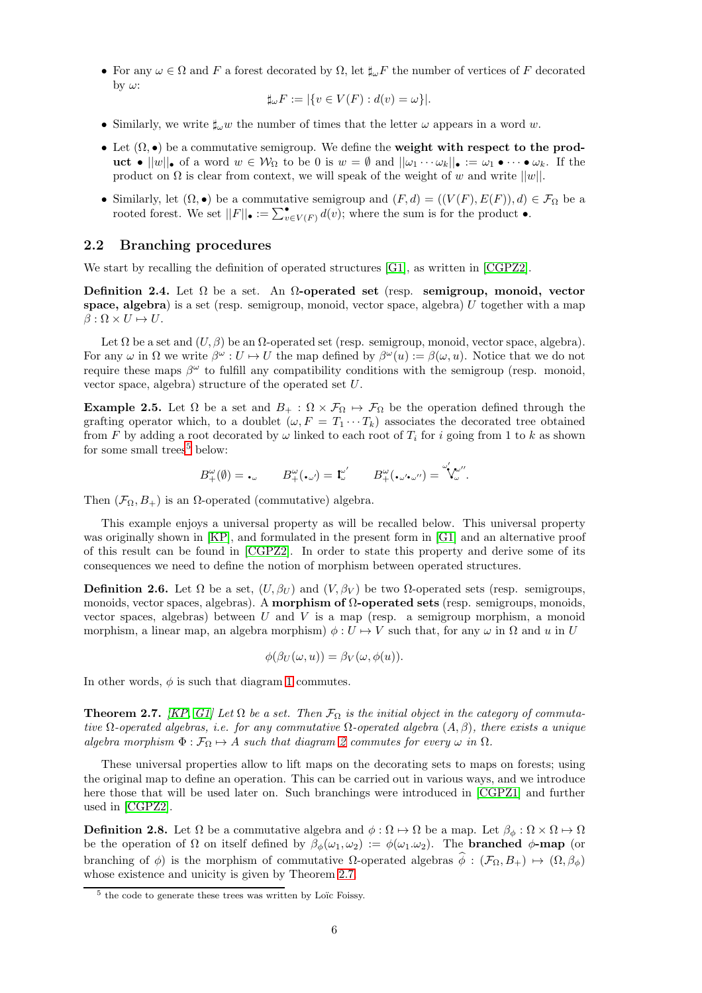• For any  $\omega \in \Omega$  and F a forest decorated by  $\Omega$ , let  $\sharp_{\omega} F$  the number of vertices of F decorated by  $\omega$ :

$$
\sharp_{\omega} F := |\{ v \in V(F) : d(v) = \omega \}|.
$$

- Similarly, we write  $\sharp_{\omega} w$  the number of times that the letter  $\omega$  appears in a word w.
- Let  $(\Omega, \bullet)$  be a commutative semigroup. We define the weight with respect to the product •  $||w||_p$  of a word  $w \in \mathcal{W}_Q$  to be 0 is  $w = \emptyset$  and  $||\omega_1 \cdots \omega_k||_p := \omega_1 \bullet \cdots \bullet \omega_k$ . If the product on  $\Omega$  is clear from context, we will speak of the weight of w and write  $||w||$ .
- Similarly, let  $(\Omega, \bullet)$  be a commutative semigroup and  $(F, d) = ((V(F), E(F)), d) \in \mathcal{F}_{\Omega}$  be a rooted forest. We set  $||F||_{\bullet} := \sum_{v \in V(F)}^{\bullet} d(v)$ ; where the sum is for the product  $\bullet$ .

### <span id="page-5-0"></span>2.2 Branching procedures

We start by recalling the definition of operated structures [\[G1\]](#page-29-14), as written in [\[CGPZ2\]](#page-28-1).

Definition 2.4. Let  $\Omega$  be a set. An  $\Omega$ -operated set (resp. semigroup, monoid, vector space, algebra) is a set (resp. semigroup, monoid, vector space, algebra) U together with a map  $\beta : \Omega \times U \mapsto U.$ 

Let  $\Omega$  be a set and  $(U, \beta)$  be an  $\Omega$ -operated set (resp. semigroup, monoid, vector space, algebra). For any  $\omega$  in  $\Omega$  we write  $\beta^{\omega}: U \to U$  the map defined by  $\beta^{\omega}(u) := \beta(\omega, u)$ . Notice that we do not require these maps  $\beta^{\omega}$  to fulfill any compatibility conditions with the semigroup (resp. monoid, vector space, algebra) structure of the operated set U.

**Example 2.5.** Let  $\Omega$  be a set and  $B_+ : \Omega \times \mathcal{F}_{\Omega} \mapsto \mathcal{F}_{\Omega}$  be the operation defined through the grafting operator which, to a doublet  $(\omega, F = T_1 \cdots T_k)$  associates the decorated tree obtained from F by adding a root decorated by  $\omega$  linked to each root of  $T_i$  for i going from 1 to k as shown for some small trees<sup>[5](#page-5-3)</sup> below:

$$
B^\omega_+(\emptyset) = \centerdot_\omega \qquad B^\omega_+(\centerdot_{\omega'}) = \mathbf{1}^{\omega'}_\omega \qquad B^\omega_+(\centerdot_{\omega'}\centerdot_{\omega''}) = \overset{\omega'}{\mathbf{1}}\hspace{-1.5pt}\chi^{\omega''}_\omega.
$$

Then  $(\mathcal{F}_{\Omega}, B_+)$  is an  $\Omega$ -operated (commutative) algebra.

This example enjoys a universal property as will be recalled below. This universal property was originally shown in [\[KP\]](#page-29-15), and formulated in the present form in [\[G1\]](#page-29-14) and an alternative proof of this result can be found in [\[CGPZ2\]](#page-28-1). In order to state this property and derive some of its consequences we need to define the notion of morphism between operated structures.

**Definition 2.6.** Let  $\Omega$  be a set,  $(U, \beta_U)$  and  $(V, \beta_V)$  be two  $\Omega$ -operated sets (resp. semigroups, monoids, vector spaces, algebras). A morphism of  $\Omega$ -operated sets (resp. semigroups, monoids, vector spaces, algebras) between  $U$  and  $V$  is a map (resp. a semigroup morphism, a monoid morphism, a linear map, an algebra morphism)  $\phi: U \mapsto V$  such that, for any  $\omega$  in  $\Omega$  and u in U

$$
\phi(\beta_U(\omega, u)) = \beta_V(\omega, \phi(u)).
$$

In other words,  $\phi$  is such that diagram [1](#page-6-2) commutes.

<span id="page-5-2"></span>**Theorem 2.7.** [\[KP,](#page-29-15) [G1\]](#page-29-14) Let  $\Omega$  be a set. Then  $\mathcal{F}_{\Omega}$  is the initial object in the category of commutative  $\Omega$ -operated algebras, i.e. for any commutative  $\Omega$ -operated algebra  $(A, \beta)$ , there exists a unique algebra morphism  $\Phi : \mathcal{F}_{\Omega} \mapsto A$  such that diagram [2](#page-6-3) commutes for every  $\omega$  in  $\Omega$ .

These universal properties allow to lift maps on the decorating sets to maps on forests; using the original map to define an operation. This can be carried out in various ways, and we introduce here those that will be used later on. Such branchings were introduced in [\[CGPZ1\]](#page-28-0) and further used in [\[CGPZ2\]](#page-28-1).

<span id="page-5-1"></span>**Definition 2.8.** Let  $\Omega$  be a commutative algebra and  $\phi : \Omega \mapsto \Omega$  be a map. Let  $\beta_{\phi} : \Omega \times \Omega \mapsto \Omega$ be the operation of  $\Omega$  on itself defined by  $\beta_{\phi}(\omega_1, \omega_2) := \phi(\omega_1, \omega_2)$ . The **branched**  $\phi$ -map (or branching of φ) is the morphism of commutative  $\Omega$ -operated algebras  $\hat{\phi}$  :  $(\mathcal{F}_{\Omega}, B_+) \mapsto (\Omega, \beta_{\phi})$ whose existence and unicity is given by Theorem [2.7.](#page-5-2)

<span id="page-5-3"></span> $^5$  the code to generate these trees was written by Loïc Foissy.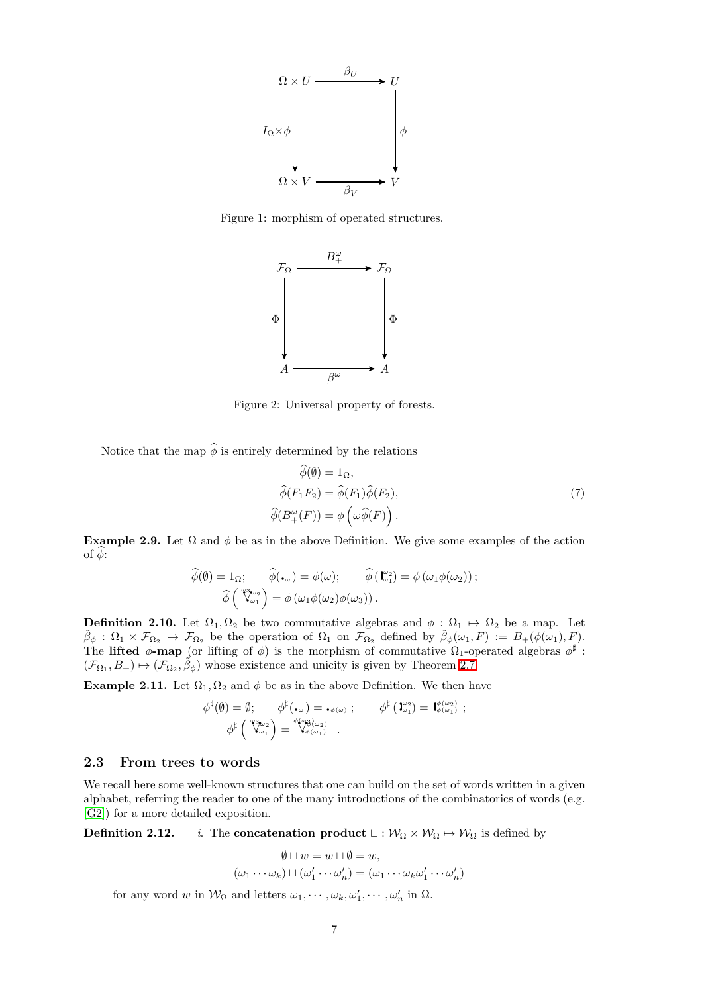

Figure 1: morphism of operated structures.

<span id="page-6-2"></span>

<span id="page-6-3"></span>Figure 2: Universal property of forests.

Notice that the map  $\hat{\phi}$  is entirely determined by the relations

<span id="page-6-4"></span>
$$
\phi(\emptyset) = 1_{\Omega},
$$
  
\n
$$
\widehat{\phi}(F_1 F_2) = \widehat{\phi}(F_1) \widehat{\phi}(F_2),
$$
  
\n
$$
\widehat{\phi}(B^{\omega}_{+}(F)) = \phi\left(\omega \widehat{\phi}(F)\right).
$$
\n(7)

Example 2.9. Let  $\Omega$  and  $\phi$  be as in the above Definition. We give some examples of the action of  $\phi$ :

$$
\widehat{\phi}(\emptyset) = 1_{\Omega}; \quad \widehat{\phi}(\mathbf{L}_{\omega}) = \phi(\omega); \quad \widehat{\phi}(\mathbf{L}_{\omega_1}^{\omega_2}) = \phi(\omega_1 \phi(\omega_2));
$$

$$
\widehat{\phi}(\mathbf{L}_{\omega_1}^{\omega_2}) = \phi(\omega_1 \phi(\omega_2) \phi(\omega_3)).
$$

<span id="page-6-1"></span>**Definition 2.10.** Let  $\Omega_1, \Omega_2$  be two commutative algebras and  $\phi : \Omega_1 \to \Omega_2$  be a map. Let  $\tilde{\beta}_{\phi}: \Omega_1 \times \mathcal{F}_{\Omega_2} \mapsto \mathcal{F}_{\Omega_2}$  be the operation of  $\Omega_1$  on  $\mathcal{F}_{\Omega_2}$  defined by  $\tilde{\beta}_{\phi}(\omega_1, F) := B_+(\phi(\omega_1), F)$ . The lifted  $\phi$ -map (or lifting of  $\phi$ ) is the morphism of commutative  $\Omega_1$ -operated algebras  $\phi^{\sharp}$ :  $(\mathcal{F}_{\Omega_1}, B_+) \mapsto (\mathcal{F}_{\Omega_2}, \tilde{\beta}_{\phi})$  whose existence and unicity is given by Theorem [2.7.](#page-5-2)

**Example 2.11.** Let  $\Omega_1, \Omega_2$  and  $\phi$  be as in the above Definition. We then have

$$
\begin{array}{ll}\phi^{\sharp}(\emptyset)=\emptyset; & \phi^{\sharp}(\centerdot_{\omega})=\centerdot_{\phi(\omega)}; & \phi^{\sharp}\left(\mathbf{I}_{\omega_{1}}^{\omega_{2}}\right)=\mathbf{I}_{\phi(\omega_{1}}^{\phi(\omega_{2})};\\ & \phi^{\sharp}\left(\sqrt{\mathbf{I}_{\omega_{1}}^{\omega_{2}}}\right)=\sqrt{\mathbf{I}_{\phi(\omega_{1})}^{\phi(\omega_{3}\omega_{2})}}\ .\end{array}
$$

### <span id="page-6-0"></span>2.3 From trees to words

We recall here some well-known structures that one can build on the set of words written in a given alphabet, referring the reader to one of the many introductions of the combinatorics of words (e.g. [\[G2\]](#page-29-16)) for a more detailed exposition.

**Definition 2.12.** *i.* The **concatenation product**  $\sqcup : \mathcal{W}_{\Omega} \times \mathcal{W}_{\Omega} \mapsto \mathcal{W}_{\Omega}$  is defined by

$$
\emptyset \sqcup w = w \sqcup \emptyset = w,
$$
  

$$
(\omega_1 \cdots \omega_k) \sqcup (\omega'_1 \cdots \omega'_n) = (\omega_1 \cdots \omega_k \omega'_1 \cdots \omega'_n)
$$

for any word w in  $\mathcal{W}_{\Omega}$  and letters  $\omega_1, \cdots, \omega_k, \omega'_1, \cdots, \omega'_n$  in  $\Omega$ .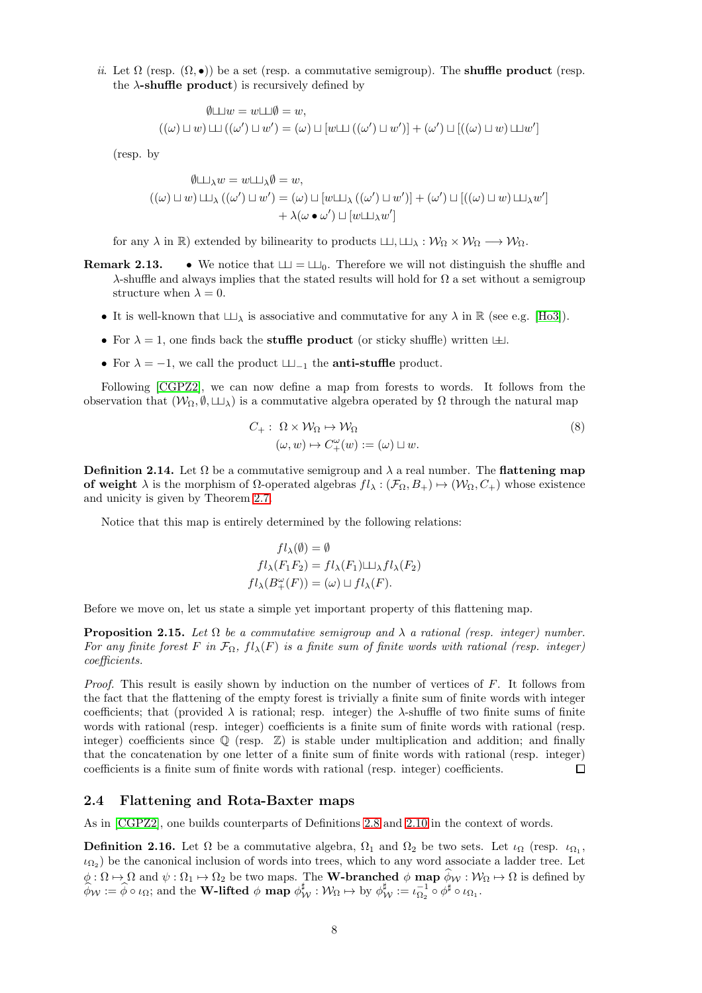ii. Let  $\Omega$  (resp.  $(\Omega, \bullet)$ ) be a set (resp. a commutative semigroup). The **shuffle product** (resp. the  $\lambda$ -shuffle product) is recursively defined by

$$
\emptyset \sqcup w = w \sqcup \emptyset = w,
$$
  

$$
((\omega) \sqcup w) \sqcup ((\omega') \sqcup w') = (\omega) \sqcup [w \sqcup ((\omega') \sqcup w')] + (\omega') \sqcup [((\omega) \sqcup w) \sqcup w']
$$

(resp. by

$$
\emptyset \sqcup_{\lambda} w = w \sqcup_{\lambda} \emptyset = w,
$$
  

$$
((\omega) \sqcup w) \sqcup_{\lambda} ((\omega') \sqcup w') = (\omega) \sqcup [w \sqcup_{\lambda} ((\omega') \sqcup w')] + (\omega') \sqcup [((\omega) \sqcup w) \sqcup_{\lambda} w']
$$
  

$$
+ \lambda(\omega \bullet \omega') \sqcup [w \sqcup_{\lambda} w']
$$

for any  $\lambda$  in  $\mathbb{R}$ ) extended by bilinearity to products  $\Box \Box, \Box \lambda : \mathcal{W}_{\Omega} \times \mathcal{W}_{\Omega} \longrightarrow \mathcal{W}_{\Omega}$ .

- **Remark 2.13.** We notice that  $\Box \Box = \Box \Box_0$ . Therefore we will not distinguish the shuffle and  $\lambda$ -shuffle and always implies that the stated results will hold for  $\Omega$  a set without a semigroup structure when  $\lambda = 0$ .
	- It is well-known that  $\Box \Box_{\lambda}$  is associative and commutative for any  $\lambda$  in  $\mathbb{R}$  (see e.g. [\[Ho3\]](#page-29-17)).
	- For  $\lambda = 1$ , one finds back the **stuffle product** (or sticky shuffle) written  $\pm 1$ .
	- For  $\lambda = -1$ , we call the product  $\sqcup \sqcup_{-1}$  the **anti-stuffle** product.

Following [\[CGPZ2\]](#page-28-1), we can now define a map from forests to words. It follows from the observation that  $(W_{\Omega}, \emptyset, \sqcup_{\lambda})$  is a commutative algebra operated by  $\Omega$  through the natural map

$$
C_{+}: \Omega \times \mathcal{W}_{\Omega} \mapsto \mathcal{W}_{\Omega}
$$
  
\n
$$
(\omega, w) \mapsto C_{+}^{\omega}(w) := (\omega) \sqcup w.
$$
\n(8)

<span id="page-7-2"></span>**Definition 2.14.** Let  $\Omega$  be a commutative semigroup and  $\lambda$  a real number. The **flattening map of weight**  $\lambda$  is the morphism of  $\Omega$ -operated algebras  $fl_\lambda : (\mathcal{F}_\Omega, B_+) \mapsto (\mathcal{W}_\Omega, C_+)$  whose existence and unicity is given by Theorem [2.7.](#page-5-2)

Notice that this map is entirely determined by the following relations:

$$
fl_{\lambda}(\emptyset) = \emptyset
$$
  

$$
fl_{\lambda}(F_1F_2) = fl_{\lambda}(F_1) \sqcup \lambda fl_{\lambda}(F_2)
$$
  

$$
fl_{\lambda}(B^{\omega}_{+}(F)) = (\omega) \sqcup fl_{\lambda}(F).
$$

Before we move on, let us state a simple yet important property of this flattening map.

<span id="page-7-1"></span>**Proposition 2.15.** Let  $\Omega$  be a commutative semigroup and  $\lambda$  a rational (resp. integer) number. For any finite forest F in  $\mathcal{F}_{\Omega}$ ,  $f l_{\lambda}(F)$  is a finite sum of finite words with rational (resp. integer) coefficients.

*Proof.* This result is easily shown by induction on the number of vertices of  $F$ . It follows from the fact that the flattening of the empty forest is trivially a finite sum of finite words with integer coefficients; that (provided  $\lambda$  is rational; resp. integer) the  $\lambda$ -shuffle of two finite sums of finite words with rational (resp. integer) coefficients is a finite sum of finite words with rational (resp. integer) coefficients since  $\mathbb Q$  (resp.  $\mathbb Z$ ) is stable under multiplication and addition; and finally that the concatenation by one letter of a finite sum of finite words with rational (resp. integer) coefficients is a finite sum of finite words with rational (resp. integer) coefficients.  $\Box$ 

#### <span id="page-7-0"></span>2.4 Flattening and Rota-Baxter maps

As in [\[CGPZ2\]](#page-28-1), one builds counterparts of Definitions [2.8](#page-5-1) and [2.10](#page-6-1) in the context of words.

**Definition 2.16.** Let  $\Omega$  be a commutative algebra,  $\Omega_1$  and  $\Omega_2$  be two sets. Let  $\iota_{\Omega}$  (resp.  $\iota_{\Omega_1}$ ,  $\iota_{\Omega_2}$ ) be the canonical inclusion of words into trees, which to any word associate a ladder tree. Let  $\phi: \Omega \mapsto \Omega$  and  $\psi: \Omega_1 \mapsto \Omega_2$  be two maps. The **W-branched**  $\phi$  **map**  $\phi_w: \mathcal{W}_\Omega \mapsto \Omega$  is defined by  $\widehat{\phi}_{\mathcal{W}} := \widehat{\phi} \circ \iota_{\Omega}$ ; and the **W-lifted**  $\phi$  **map**  $\phi_{\mathcal{W}}^{\sharp} : \mathcal{W}_{\Omega} \mapsto \text{by } \phi_{\mathcal{W}}^{\sharp} := \iota_{\Omega_2}^{-1} \circ \phi^{\sharp} \circ \iota_{\Omega_1}.$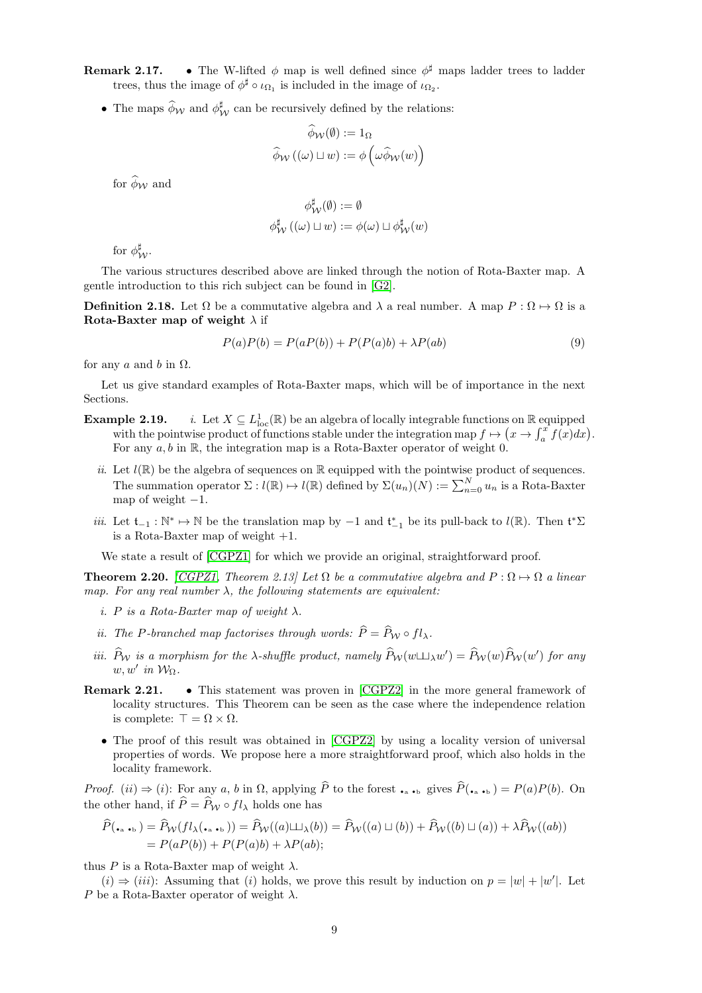**Remark 2.17.** • The W-lifted  $\phi$  map is well defined since  $\phi^{\sharp}$  maps ladder trees to ladder trees, thus the image of  $\phi^{\sharp} \circ \iota_{\Omega_1}$  is included in the image of  $\iota_{\Omega_2}$ .

• The maps  $\widehat{\phi}_{\mathcal{W}}$  and  $\phi_{\mathcal{W}}^{\sharp}$  can be recursively defined by the relations:

$$
\phi_{\mathcal{W}}(\emptyset) := 1_{\Omega}
$$

$$
\widehat{\phi}_{\mathcal{W}}((\omega) \sqcup w) := \phi\left(\omega \widehat{\phi}_{\mathcal{W}}(w)\right)
$$

for  $\widehat{\phi}_{\mathcal{W}}$  and

$$
\begin{aligned} \phi^{\sharp}_{\mathcal{W}}(\emptyset):=\emptyset \\ \phi^{\sharp}_{\mathcal{W}}\left((\omega)\sqcup w\right):=\phi(\omega)\sqcup\phi^{\sharp}_{\mathcal{W}}(w) \end{aligned}
$$

for  $\phi_W^{\sharp}$ .

The various structures described above are linked through the notion of Rota-Baxter map. A gentle introduction to this rich subject can be found in [\[G2\]](#page-29-16).

**Definition 2.18.** Let  $\Omega$  be a commutative algebra and  $\lambda$  a real number. A map  $P : \Omega \mapsto \Omega$  is a Rota-Baxter map of weight  $\lambda$  if

<span id="page-8-6"></span>
$$
P(a)P(b) = P(aP(b)) + P(P(a)b) + \lambda P(ab)
$$
\n(9)

for any  $a$  and  $b$  in  $\Omega$ .

<span id="page-8-5"></span>Let us give standard examples of Rota-Baxter maps, which will be of importance in the next Sections.

- <span id="page-8-2"></span>Example 2.19.  $\frac{1}{\text{loc}}(\mathbb{R})$  be an algebra of locally integrable functions on  $\mathbb{R}$  equipped with the pointwise product of functions stable under the integration map  $f \mapsto (x \to \int_a^x f(x) dx)$ . For any  $a, b$  in  $\mathbb{R}$ , the integration map is a Rota-Baxter operator of weight 0.
	- ii. Let  $l(\mathbb{R})$  be the algebra of sequences on  $\mathbb R$  equipped with the pointwise product of sequences. The summation operator  $\Sigma: l(\mathbb{R}) \to l(\mathbb{R})$  defined by  $\Sigma(u_n)(N) := \sum_{n=0}^{N} u_n$  is a Rota-Baxter map of weight  $-1$ .
	- iii. Let  $t_{-1} : \mathbb{N}^* \to \mathbb{N}$  be the translation map by  $-1$  and  $t_{-1}^*$  be its pull-back to  $l(\mathbb{R})$ . Then  $t^*\Sigma$ is a Rota-Baxter map of weight  $+1$ .

<span id="page-8-1"></span>We state a result of  $[CGPZ1]$  for which we provide an original, straightforward proof.

<span id="page-8-0"></span>**Theorem 2.20.** [\[CGPZ1,](#page-28-0) Theorem 2.13] Let  $\Omega$  be a commutative algebra and  $P : \Omega \to \Omega$  a linear map. For any real number  $\lambda$ , the following statements are equivalent:

- <span id="page-8-4"></span>i. P is a Rota-Baxter map of weight  $\lambda$ .
- <span id="page-8-3"></span>ii. The P-branched map factorises through words:  $\widehat{P} = \widehat{P}_{\mathcal{W}} \circ fl_{\lambda}$ .
- iii.  $\hat{P}_{\mathcal{W}}$  is a morphism for the  $\lambda$ -shuffle product, namely  $\hat{P}_{\mathcal{W}}(w \sqcup \perp_{\lambda} w') = \hat{P}_{\mathcal{W}}(w)\hat{P}_{\mathcal{W}}(w')$  for any  $w, w'$  in  $\mathcal{W}_{\Omega}$ .
- Remark 2.21. This statement was proven in [\[CGPZ2\]](#page-28-1) in the more general framework of locality structures. This Theorem can be seen as the case where the independence relation is complete:  $\top = \Omega \times \Omega$ .
	- The proof of this result was obtained in [\[CGPZ2\]](#page-28-1) by using a locality version of universal properties of words. We propose here a more straightforward proof, which also holds in the locality framework.

*Proof.* (*ii*)  $\Rightarrow$  (*i*): For any *a*, *b* in  $\Omega$ , applying *P* to the forest  $\cdot_a \cdot_b$  gives  $P(\cdot_a \cdot_b) = P(a)P(b)$ . On the other hand, if  $\widehat{P} = \widehat{P}_{\mathcal{W}} \circ fl_{\lambda}$  holds one has

$$
\widehat{P}(\bullet, \bullet, \bullet) = \widehat{P}_{\mathcal{W}}(fl_{\lambda}(\bullet, \bullet,)) = \widehat{P}_{\mathcal{W}}((a) \sqcup \downarrow_{\lambda}(b)) = \widehat{P}_{\mathcal{W}}((a) \sqcup (b)) + \widehat{P}_{\mathcal{W}}((b) \sqcup (a)) + \lambda \widehat{P}_{\mathcal{W}}((ab))
$$
\n
$$
= P(aP(b)) + P(P(a)b) + \lambda P(ab);
$$

thus P is a Rota-Baxter map of weight  $\lambda$ .

 $(i) \Rightarrow (iii)$ : Assuming that (i) holds, we prove this result by induction on  $p = |w| + |w'|$ . Let P be a Rota-Baxter operator of weight  $\lambda$ .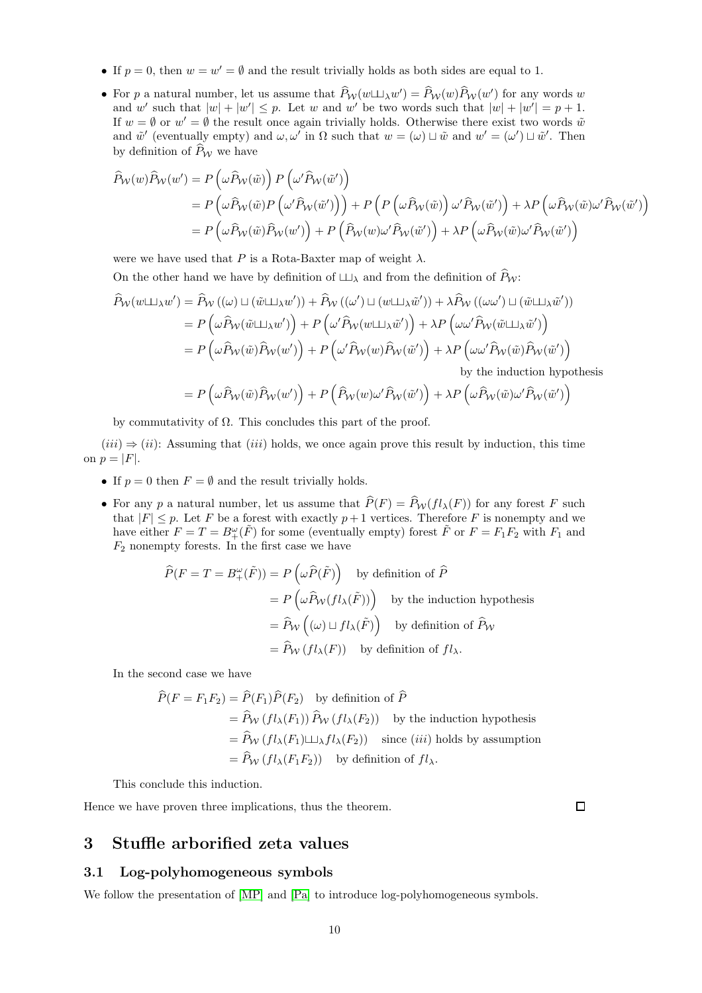- If  $p = 0$ , then  $w = w' = \emptyset$  and the result trivially holds as both sides are equal to 1.
- For p a natural number, let us assume that  $P_W(w \sqcup \perp_\lambda w') = P_W(w)P_W(w')$  for any words w and w' such that  $|w| + |w'| \leq p$ . Let w and w' be two words such that  $|w| + |w'| = p + 1$ . If  $w = \emptyset$  or  $w' = \emptyset$  the result once again trivially holds. Otherwise there exist two words  $\tilde{w}$ and  $\tilde{w}'$  (eventually empty) and  $\omega, \omega'$  in  $\Omega$  such that  $w = (\omega) \sqcup \tilde{w}$  and  $w' = (\omega') \sqcup \tilde{w}'$ . Then by definition of  $\widehat{P}_W$  we have

$$
\hat{P}_{\mathcal{W}}(w)\hat{P}_{\mathcal{W}}(w') = P\left(\omega\hat{P}_{\mathcal{W}}(\tilde{w})\right)P\left(\omega'\hat{P}_{\mathcal{W}}(\tilde{w}')\right)
$$
\n
$$
= P\left(\omega\hat{P}_{\mathcal{W}}(\tilde{w})P\left(\omega'\hat{P}_{\mathcal{W}}(\tilde{w}')\right)\right) + P\left(P\left(\omega\hat{P}_{\mathcal{W}}(\tilde{w})\right)\omega'\hat{P}_{\mathcal{W}}(\tilde{w}')\right) + \lambda P\left(\omega\hat{P}_{\mathcal{W}}(\tilde{w})\omega'\hat{P}_{\mathcal{W}}(\tilde{w}')\right)
$$
\n
$$
= P\left(\omega\hat{P}_{\mathcal{W}}(\tilde{w})\hat{P}_{\mathcal{W}}(w')\right) + P\left(\hat{P}_{\mathcal{W}}(w)\omega'\hat{P}_{\mathcal{W}}(\tilde{w}')\right) + \lambda P\left(\omega\hat{P}_{\mathcal{W}}(\tilde{w})\omega'\hat{P}_{\mathcal{W}}(\tilde{w}')\right)
$$

were we have used that P is a Rota-Baxter map of weight  $\lambda$ .

On the other hand we have by definition of  $\Box$ <sub>λ</sub> and from the definition of  $\widehat{P}_{W}$ :

$$
\hat{P}_{\mathcal{W}}(w \sqcup \perp_{\lambda} w') = \hat{P}_{\mathcal{W}}((\omega) \sqcup (\tilde{w} \sqcup \perp_{\lambda} w')) + \hat{P}_{\mathcal{W}}((\omega') \sqcup (w \sqcup \perp_{\lambda} \tilde{w}')) + \lambda \hat{P}_{\mathcal{W}}((\omega \omega') \sqcup (\tilde{w} \sqcup \perp_{\lambda} \tilde{w}'))
$$
\n
$$
= P\left(\omega \hat{P}_{\mathcal{W}}(\tilde{w} \sqcup \perp_{\lambda} w')\right) + P\left(\omega' \hat{P}_{\mathcal{W}}(w \sqcup \perp_{\lambda} \tilde{w}')\right) + \lambda P\left(\omega \omega' \hat{P}_{\mathcal{W}}(\tilde{w} \sqcup \perp_{\lambda} \tilde{w}')\right)
$$
\n
$$
= P\left(\omega \hat{P}_{\mathcal{W}}(\tilde{w}) \hat{P}_{\mathcal{W}}(w')\right) + P\left(\omega' \hat{P}_{\mathcal{W}}(w) \hat{P}_{\mathcal{W}}(\tilde{w}')\right) + \lambda P\left(\omega \omega' \hat{P}_{\mathcal{W}}(\tilde{w}) \hat{P}_{\mathcal{W}}(\tilde{w}')\right)
$$
\nby the induction hypothesis

$$
=P\left(\omega\widehat{P}_{\mathcal{W}}(\tilde{w})\widehat{P}_{\mathcal{W}}(w')\right)+P\left(\widehat{P}_{\mathcal{W}}(w)\omega'\widehat{P}_{\mathcal{W}}(\tilde{w}')\right)+\lambda P\left(\omega\widehat{P}_{\mathcal{W}}(\tilde{w})\omega'\widehat{P}_{\mathcal{W}}(\tilde{w}')\right)
$$

by commutativity of  $\Omega$ . This concludes this part of the proof.

 $(iii) \Rightarrow (ii)$ : Assuming that  $(iii)$  holds, we once again prove this result by induction, this time on  $p = |F|$ .

- If  $p = 0$  then  $F = \emptyset$  and the result trivially holds.
- For any p a natural number, let us assume that  $\widehat{P}(F) = \widehat{P}_{\mathcal{W}}(fl_\lambda(F))$  for any forest F such that  $|F| \leq p$ . Let F be a forest with exactly  $p+1$  vertices. Therefore F is nonempty and we have either  $F = T = B^{\omega}_{+}(\tilde{F})$  for some (eventually empty) forest  $\tilde{F}$  or  $F = F_1F_2$  with  $F_1$  and  $F_2$  nonempty forests. In the first case we have

$$
\hat{P}(F = T = B^{\omega}_{+}(\tilde{F})) = P\left(\omega \hat{P}(\tilde{F})\right) \text{ by definition of } \hat{P}
$$
\n
$$
= P\left(\omega \hat{P}_{\mathcal{W}}(fl_{\lambda}(\tilde{F}))\right) \text{ by the induction hypothesis}
$$
\n
$$
= \hat{P}_{\mathcal{W}}\left((\omega) \sqcup fl_{\lambda}(\tilde{F})\right) \text{ by definition of } \hat{P}_{\mathcal{W}}
$$
\n
$$
= \hat{P}_{\mathcal{W}}\left(fl_{\lambda}(F)\right) \text{ by definition of } fl_{\lambda}.
$$

In the second case we have

$$
\widehat{P}(F = F_1 F_2) = \widehat{P}(F_1)\widehat{P}(F_2) \text{ by definition of } \widehat{P}
$$
  
=  $\widehat{P}_{\mathcal{W}}(fl_{\lambda}(F_1))\widehat{P}_{\mathcal{W}}(fl_{\lambda}(F_2))$  by the induction hypothesis  
=  $\widehat{P}_{\mathcal{W}}(fl_{\lambda}(F_1)\sqcup_{\lambda}fl_{\lambda}(F_2))$  since *(iii)* holds by assumption  
=  $\widehat{P}_{\mathcal{W}}(fl_{\lambda}(F_1 F_2))$  by definition of  $fl_{\lambda}$ .

This conclude this induction.

Hence we have proven three implications, thus the theorem.

 $\Box$ 

## <span id="page-9-1"></span><span id="page-9-0"></span>3 Stuffle arborified zeta values

### 3.1 Log-polyhomogeneous symbols

We follow the presentation of  $[MP]$  and  $[Pa]$  to introduce log-polyhomogeneous symbols.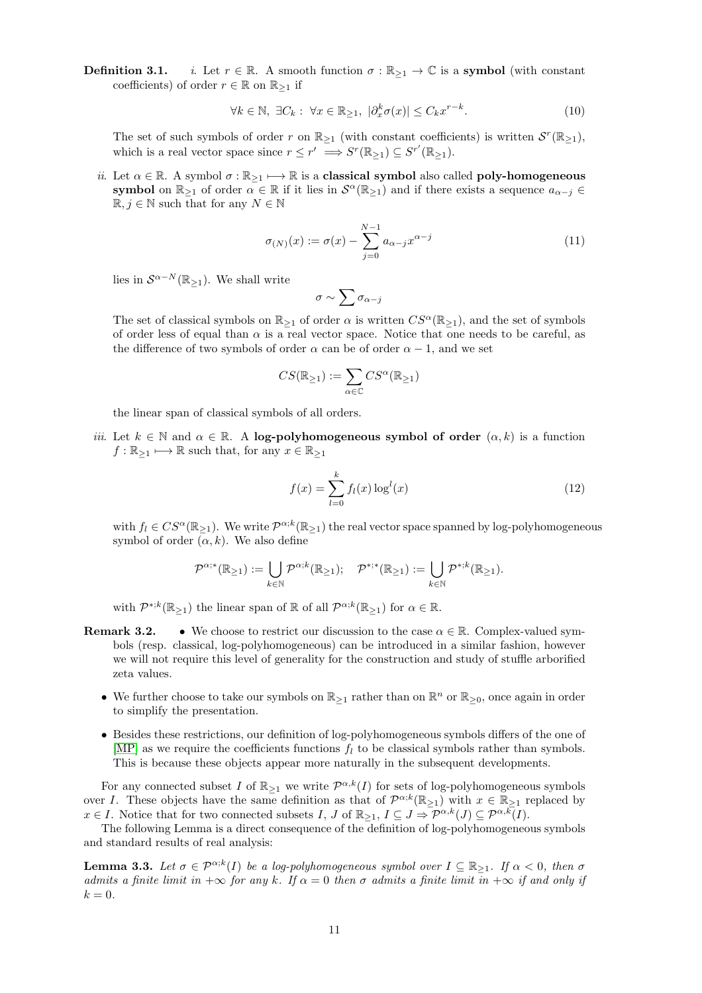**Definition 3.1.** *i.* Let  $r \in \mathbb{R}$ . A smooth function  $\sigma : \mathbb{R}_{\geq 1} \to \mathbb{C}$  is a symbol (with constant coefficients) of order  $r \in \mathbb{R}$  on  $\mathbb{R}_{\geq 1}$  if

<span id="page-10-1"></span>
$$
\forall k \in \mathbb{N}, \ \exists C_k : \ \forall x \in \mathbb{R}_{\geq 1}, \ |\partial_x^k \sigma(x)| \leq C_k x^{r-k}.\tag{10}
$$

The set of such symbols of order r on  $\mathbb{R}_{\geq 1}$  (with constant coefficients) is written  $\mathcal{S}^r(\mathbb{R}_{\geq 1})$ , which is a real vector space since  $r \leq r' \implies S^r(\mathbb{R}_{\geq 1}) \subseteq S^{r'}(\mathbb{R}_{\geq 1}).$ 

ii. Let  $\alpha \in \mathbb{R}$ . A symbol  $\sigma : \mathbb{R}_{\geq 1} \longmapsto \mathbb{R}$  is a classical symbol also called poly-homogeneous symbol on  $\mathbb{R}_{\geq 1}$  of order  $\alpha \in \mathbb{R}$  if it lies in  $\mathcal{S}^{\alpha}(\mathbb{R}_{\geq 1})$  and if there exists a sequence  $a_{\alpha-j} \in$  $\mathbb{R}, j \in \mathbb{N}$  such that for any  $N \in \mathbb{N}$ 

<span id="page-10-0"></span>
$$
\sigma_{(N)}(x) := \sigma(x) - \sum_{j=0}^{N-1} a_{\alpha-j} x^{\alpha-j}
$$
\n(11)

lies in  $\mathcal{S}^{\alpha-N}(\mathbb{R}_{\geq 1})$ . We shall write

$$
\sigma \sim \sum \sigma_{\alpha-j}
$$

The set of classical symbols on  $\mathbb{R}_{\geq 1}$  of order  $\alpha$  is written  $CS^{\alpha}(\mathbb{R}_{\geq 1})$ , and the set of symbols of order less of equal than  $\alpha$  is a real vector space. Notice that one needs to be careful, as the difference of two symbols of order  $\alpha$  can be of order  $\alpha - 1$ , and we set

$$
CS(\mathbb{R}_{\geq 1}):=\sum_{\alpha\in\mathbb{C}}CS^\alpha(\mathbb{R}_{\geq 1})
$$

the linear span of classical symbols of all orders.

iii. Let  $k \in \mathbb{N}$  and  $\alpha \in \mathbb{R}$ . A log-polyhomogeneous symbol of order  $(\alpha, k)$  is a function  $f : \mathbb{R}_{\geq 1} \longmapsto \mathbb{R}$  such that, for any  $x \in \mathbb{R}_{\geq 1}$ 

$$
f(x) = \sum_{l=0}^{k} f_l(x) \log^l(x)
$$
 (12)

with  $f_l \in CS^{\alpha}(\mathbb{R}_{\geq 1})$ . We write  $\mathcal{P}^{\alpha;k}(\mathbb{R}_{\geq 1})$  the real vector space spanned by log-polyhomogeneous symbol of order  $(\alpha, k)$ . We also define

$$
\mathcal{P}^{\alpha;*}(\mathbb{R}_{\geq 1}):=\bigcup_{k\in\mathbb{N}}\mathcal{P}^{\alpha; k}(\mathbb{R}_{\geq 1});\quad \mathcal{P}^{*;*}(\mathbb{R}_{\geq 1}):=\bigcup_{k\in\mathbb{N}}\mathcal{P}^{*,k}(\mathbb{R}_{\geq 1}).
$$

with  $\mathcal{P}^{*,k}(\mathbb{R}_{\geq 1})$  the linear span of  $\mathbb R$  of all  $\mathcal{P}^{\alpha;k}(\mathbb{R}_{\geq 1})$  for  $\alpha \in \mathbb{R}$ .

- **Remark 3.2.** We choose to restrict our discussion to the case  $\alpha \in \mathbb{R}$ . Complex-valued symbols (resp. classical, log-polyhomogeneous) can be introduced in a similar fashion, however we will not require this level of generality for the construction and study of stuffle arborified zeta values.
	- We further choose to take our symbols on  $\mathbb{R}_{\geq 1}$  rather than on  $\mathbb{R}^n$  or  $\mathbb{R}_{\geq 0}$ , once again in order to simplify the presentation.
	- Besides these restrictions, our definition of log-polyhomogeneous symbols differs of the one of [\[MP\]](#page-29-0) as we require the coefficients functions  $f_l$  to be classical symbols rather than symbols. This is because these objects appear more naturally in the subsequent developments.

For any connected subset I of  $\mathbb{R}_{\geq 1}$  we write  $\mathcal{P}^{\alpha,k}(I)$  for sets of log-polyhomogeneous symbols over I. These objects have the same definition as that of  $\mathcal{P}^{\alpha;k}(\mathbb{R}_{\geq 1})$  with  $x \in \mathbb{R}_{\geq 1}$  replaced by  $x \in I$ . Notice that for two connected subsets  $I, J$  of  $\mathbb{R}_{\geq 1}, I \subseteq J \Rightarrow \mathcal{P}^{\alpha,k}(J) \subseteq \mathcal{P}^{\alpha,k}(I)$ .

The following Lemma is a direct consequence of the definition of log-polyhomogeneous symbols and standard results of real analysis:

<span id="page-10-2"></span>**Lemma 3.3.** Let  $\sigma \in \mathcal{P}^{\alpha;k}(I)$  be a log-polyhomogeneous symbol over  $I \subseteq \mathbb{R}_{\geq 1}$ . If  $\alpha < 0$ , then  $\sigma$ admits a finite limit in  $+\infty$  for any k. If  $\alpha = 0$  then  $\sigma$  admits a finite limit in  $+\infty$  if and only if  $k = 0.$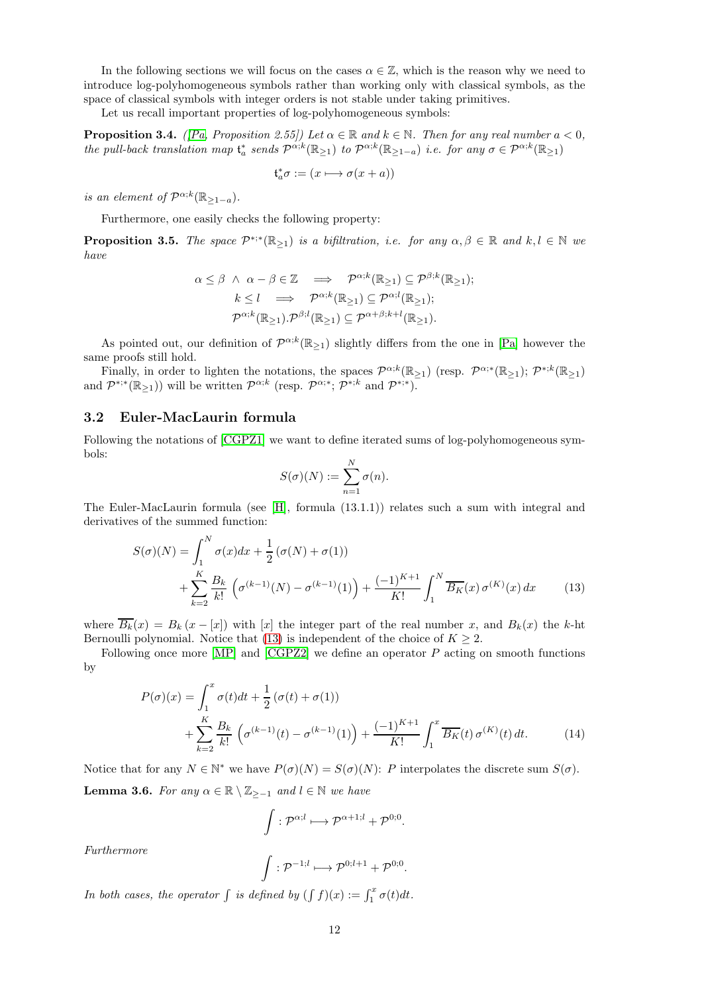In the following sections we will focus on the cases  $\alpha \in \mathbb{Z}$ , which is the reason why we need to introduce log-polyhomogeneous symbols rather than working only with classical symbols, as the space of classical symbols with integer orders is not stable under taking primitives.

Let us recall important properties of log-polyhomogeneous symbols:

<span id="page-11-5"></span>**Proposition 3.4.** ([\[Pa,](#page-29-1) Proposition 2.55]) Let  $\alpha \in \mathbb{R}$  and  $k \in \mathbb{N}$ . Then for any real number  $a < 0$ , the pull-back translation map  $\mathfrak{t}_a^*$  sends  $\mathcal{P}^{\alpha;k}(\mathbb{R}_{\geq 1})$  to  $\mathcal{P}^{\alpha;k}(\mathbb{R}_{\geq 1-a})$  i.e. for any  $\sigma \in \mathcal{P}^{\alpha;k}(\mathbb{R}_{\geq 1})$ 

$$
\mathfrak{t}_a^*\sigma := (x \longmapsto \sigma(x+a))
$$

is an element of  $\mathcal{P}^{\alpha;k}(\mathbb{R}_{\geq 1-a}).$ 

Furthermore, one easily checks the following property:

<span id="page-11-2"></span>**Proposition 3.5.** The space  $\mathcal{P}^{*,*}(\mathbb{R}_{\geq 1})$  is a bifiltration, i.e. for any  $\alpha, \beta \in \mathbb{R}$  and  $k, l \in \mathbb{N}$  we have

$$
\alpha \leq \beta \ \land \ \alpha - \beta \in \mathbb{Z} \implies \mathcal{P}^{\alpha;k}(\mathbb{R}_{\geq 1}) \subseteq \mathcal{P}^{\beta;k}(\mathbb{R}_{\geq 1});
$$

$$
k \leq l \implies \mathcal{P}^{\alpha;k}(\mathbb{R}_{\geq 1}) \subseteq \mathcal{P}^{\alpha;l}(\mathbb{R}_{\geq 1});
$$

$$
\mathcal{P}^{\alpha;k}(\mathbb{R}_{\geq 1}).\mathcal{P}^{\beta;l}(\mathbb{R}_{\geq 1}) \subseteq \mathcal{P}^{\alpha+\beta;k+l}(\mathbb{R}_{\geq 1}).
$$

As pointed out, our definition of  $\mathcal{P}^{\alpha;k}(\mathbb{R}_{\geq 1})$  slightly differs from the one in [\[Pa\]](#page-29-1) however the same proofs still hold.

Finally, in order to lighten the notations, the spaces  $\mathcal{P}^{\alpha;k}(\mathbb{R}_{\geq 1})$  (resp.  $\mathcal{P}^{\alpha;\ast}(\mathbb{R}_{\geq 1}); \mathcal{P}^{*,k}(\mathbb{R}_{\geq 1})$ and  $\mathcal{P}^{*,*}(\mathbb{R}_{\geq 1})$  will be written  $\mathcal{P}^{\alpha;k}$  (resp.  $\mathcal{P}^{\alpha;*}$ ;  $\mathcal{P}^{*,k}$  and  $\mathcal{P}^{*,*}$ ).

#### <span id="page-11-0"></span>3.2 Euler-MacLaurin formula

Following the notations of [\[CGPZ1\]](#page-28-0) we want to define iterated sums of log-polyhomogeneous symbols:

<span id="page-11-1"></span>
$$
S(\sigma)(N) := \sum_{n=1}^{N} \sigma(n).
$$

The Euler-MacLaurin formula (see [\[H\]](#page-29-18), formula (13.1.1)) relates such a sum with integral and derivatives of the summed function:

$$
S(\sigma)(N) = \int_{1}^{N} \sigma(x)dx + \frac{1}{2}(\sigma(N) + \sigma(1))
$$
  
+ 
$$
\sum_{k=2}^{K} \frac{B_k}{k!} (\sigma^{(k-1)}(N) - \sigma^{(k-1)}(1)) + \frac{(-1)^{K+1}}{K!} \int_{1}^{N} \overline{B_K}(x) \sigma^{(K)}(x) dx
$$
 (13)

where  $\overline{B_k}(x) = B_k(x-[x])$  with [x] the integer part of the real number x, and  $B_k(x)$  the k-ht Bernoulli polynomial. Notice that [\(13\)](#page-11-1) is independent of the choice of  $K \geq 2$ .

Following once more  $[MP]$  and  $[CGPZ2]$  we define an operator  $P$  acting on smooth functions by

$$
P(\sigma)(x) = \int_{1}^{x} \sigma(t)dt + \frac{1}{2} (\sigma(t) + \sigma(1))
$$
  
+ 
$$
\sum_{k=2}^{K} \frac{B_k}{k!} \left( \sigma^{(k-1)}(t) - \sigma^{(k-1)}(1) \right) + \frac{(-1)^{K+1}}{K!} \int_{1}^{x} \overline{B_K}(t) \sigma^{(K)}(t) dt.
$$
 (14)

<span id="page-11-3"></span>Notice that for any  $N \in \mathbb{N}^*$  we have  $P(\sigma)(N) = S(\sigma)(N)$ : P interpolates the discrete sum  $S(\sigma)$ . **Lemma 3.6.** For any  $\alpha \in \mathbb{R} \setminus \mathbb{Z}_{\geq -1}$  and  $l \in \mathbb{N}$  we have

<span id="page-11-4"></span>
$$
\int : \mathcal{P}^{\alpha;l} \longmapsto \mathcal{P}^{\alpha+1;l} + \mathcal{P}^{0;0}.
$$

Furthermore

$$
\int : \mathcal{P}^{-1;l} \longmapsto \mathcal{P}^{0;l+1} + \mathcal{P}^{0;0}.
$$

In both cases, the operator  $\int$  is defined by  $(\int f)(x) := \int_1^x \sigma(t)dt$ .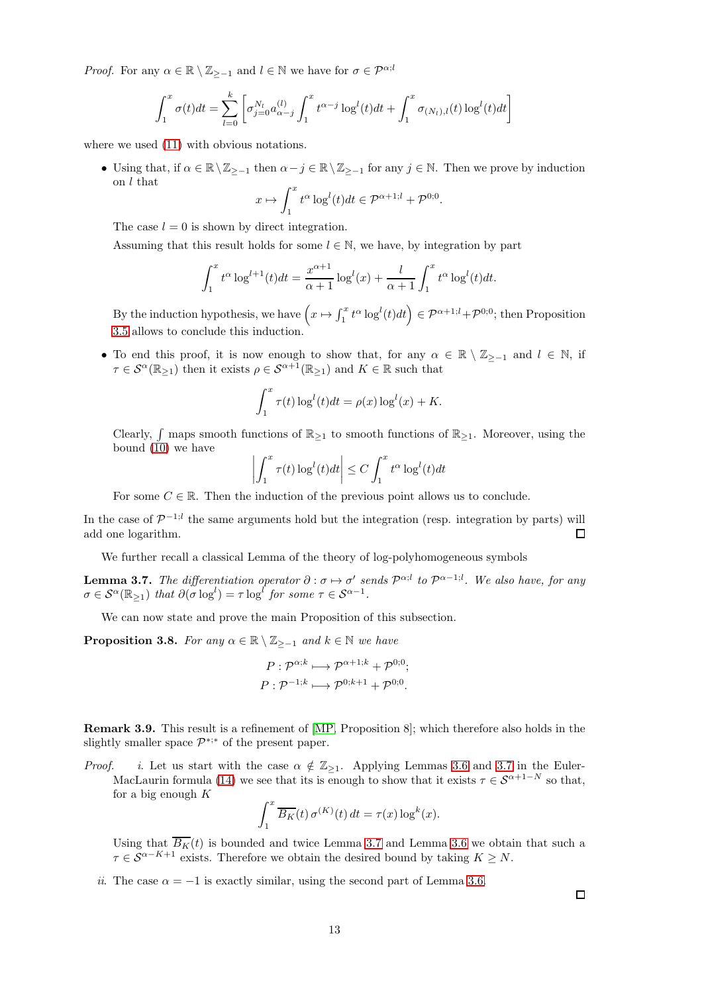*Proof.* For any  $\alpha \in \mathbb{R} \setminus \mathbb{Z}_{\geq -1}$  and  $l \in \mathbb{N}$  we have for  $\sigma \in \mathcal{P}^{\alpha; l}$ 

$$
\int_{1}^{x} \sigma(t)dt = \sum_{l=0}^{k} \left[ \sigma_{j=0}^{N_l} a_{\alpha-j}^{(l)} \int_{1}^{x} t^{\alpha-j} \log^{l}(t)dt + \int_{1}^{x} \sigma_{(N_l),l}(t) \log^{l}(t)dt \right]
$$

where we used  $(11)$  with obvious notations.

• Using that, if  $\alpha \in \mathbb{R} \setminus \mathbb{Z}_{\geq -1}$  then  $\alpha - j \in \mathbb{R} \setminus \mathbb{Z}_{\geq -1}$  for any  $j \in \mathbb{N}$ . Then we prove by induction on l that  $\int_0^x$ 

$$
x \mapsto \int_1^x t^{\alpha} \log^l(t) dt \in \mathcal{P}^{\alpha+1,l} + \mathcal{P}^{0,0}.
$$

The case  $l = 0$  is shown by direct integration.

Assuming that this result holds for some  $l \in \mathbb{N}$ , we have, by integration by part

$$
\int_1^x t^{\alpha} \log^{l+1}(t) dt = \frac{x^{\alpha+1}}{\alpha+1} \log^l(x) + \frac{l}{\alpha+1} \int_1^x t^{\alpha} \log^l(t) dt.
$$

By the induction hypothesis, we have  $\left(x \mapsto \int_1^x t^{\alpha} \log^l(t) dt\right) \in \mathcal{P}^{\alpha+1,l} + \mathcal{P}^{0,0}$ ; then Proposition [3.5](#page-11-2) allows to conclude this induction.

• To end this proof, it is now enough to show that, for any  $\alpha \in \mathbb{R} \setminus \mathbb{Z}_{\geq -1}$  and  $l \in \mathbb{N}$ , if  $\tau \in \mathcal{S}^{\alpha}(\mathbb{R}_{\geq 1})$  then it exists  $\rho \in \mathcal{S}^{\alpha+1}(\mathbb{R}_{\geq 1})$  and  $K \in \mathbb{R}$  such that

$$
\int_1^x \tau(t) \log^l(t) dt = \rho(x) \log^l(x) + K.
$$

Clearly,  $\int$  maps smooth functions of  $\mathbb{R}_{\geq 1}$  to smooth functions of  $\mathbb{R}_{\geq 1}$ . Moreover, using the bound  $(10)$  we have

$$
\left| \int_1^x \tau(t) \log^l(t) dt \right| \le C \int_1^x t^{\alpha} \log^l(t) dt
$$

For some  $C \in \mathbb{R}$ . Then the induction of the previous point allows us to conclude.

In the case of  $\mathcal{P}^{-1,l}$  the same arguments hold but the integration (resp. integration by parts) will add one logarithm.  $\Box$ 

We further recall a classical Lemma of the theory of log-polyhomogeneous symbols

<span id="page-12-0"></span>**Lemma 3.7.** The differentiation operator  $\partial : \sigma \mapsto \sigma'$  sends  $\mathcal{P}^{\alpha;l}$  to  $\mathcal{P}^{\alpha-1;l}$ . We also have, for any  $\sigma \in \mathcal{S}^{\alpha}(\mathbb{R}_{\geq 1})$  that  $\partial(\sigma \log^{l}) = \tau \log^{l}$  for some  $\tau \in \mathcal{S}^{\alpha - 1}$ .

We can now state and prove the main Proposition of this subsection.

<span id="page-12-1"></span>**Proposition 3.8.** For any  $\alpha \in \mathbb{R} \setminus \mathbb{Z}_{\geq -1}$  and  $k \in \mathbb{N}$  we have

$$
P: \mathcal{P}^{\alpha;k} \longmapsto \mathcal{P}^{\alpha+1;k} + \mathcal{P}^{0;0};
$$
  

$$
P: \mathcal{P}^{-1;k} \longmapsto \mathcal{P}^{0;k+1} + \mathcal{P}^{0;0}.
$$

Remark 3.9. This result is a refinement of [\[MP,](#page-29-0) Proposition 8]; which therefore also holds in the slightly smaller space  $\mathcal{P}^{*,*}$  of the present paper.

*Proof. i.* Let us start with the case  $\alpha \notin \mathbb{Z}_{\geq 1}$ . Applying Lemmas [3.6](#page-11-3) and [3.7](#page-12-0) in the Euler-MacLaurin formula [\(14\)](#page-11-4) we see that its is enough to show that it exists  $\tau \in \mathcal{S}^{\alpha+1-N}$  so that, for a big enough  $K$ 

$$
\int_1^x \overline{B_K}(t) \,\sigma^{(K)}(t) \, dt = \tau(x) \log^k(x).
$$

Using that  $B_K(t)$  is bounded and twice Lemma [3.7](#page-12-0) and Lemma [3.6](#page-11-3) we obtain that such a  $\tau \in \mathcal{S}^{\alpha-K+1}$  exists. Therefore we obtain the desired bound by taking  $K \geq N$ .

ii. The case  $\alpha = -1$  is exactly similar, using the second part of Lemma [3.6.](#page-11-3)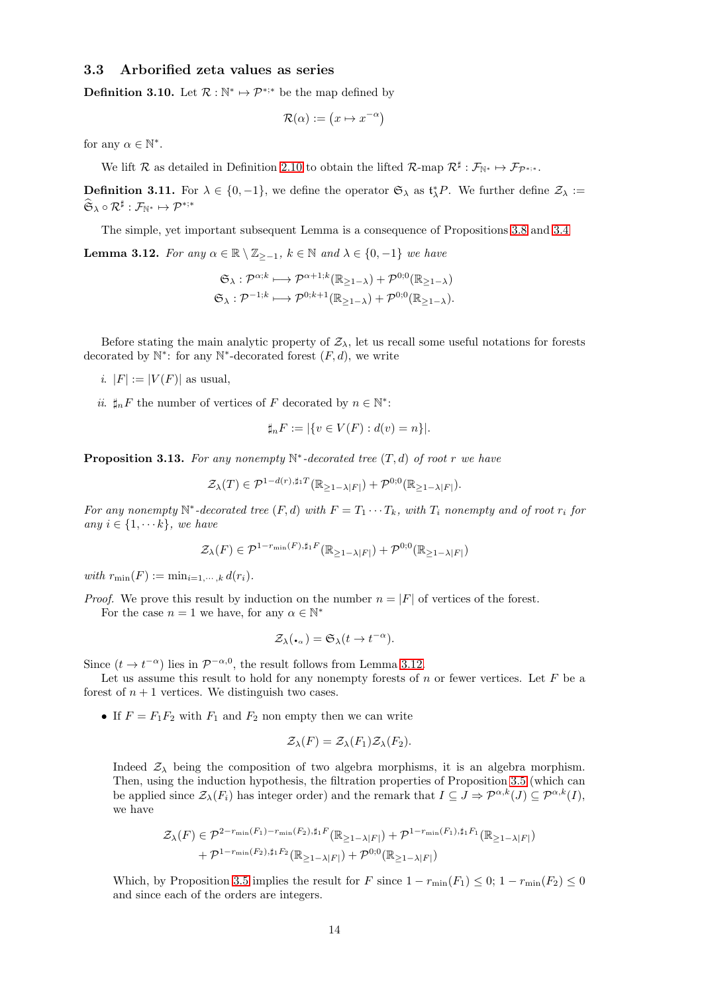## <span id="page-13-0"></span>3.3 Arborified zeta values as series

**Definition 3.10.** Let  $\mathcal{R}: \mathbb{N}^* \mapsto \mathcal{P}^{*,*}$  be the map defined by

$$
\mathcal{R}(\alpha) := (x \mapsto x^{-\alpha})
$$

for any  $\alpha \in \mathbb{N}^*$ .

We lift R as detailed in Definition [2.10](#page-6-1) to obtain the lifted R-map  $\mathcal{R}^{\sharp}: \mathcal{F}_{\mathbb{N}^*} \mapsto \mathcal{F}_{\mathcal{P}^{*,*}}$ .

**Definition 3.11.** For  $\lambda \in \{0, -1\}$ , we define the operator  $\mathfrak{S}_{\lambda}$  as  $\mathfrak{t}_{\lambda}^{*}P$ . We further define  $\mathcal{Z}_{\lambda}$  :=  $\widehat{\mathfrak{S}}_\lambda\circ\mathcal{R}^\sharp:\mathcal{F}_{\mathbb{N}^*}\mapsto\mathcal{P}^{*,*}$ 

The simple, yet important subsequent Lemma is a consequence of Propositions [3.8](#page-12-1) and [3.4](#page-11-5)

<span id="page-13-2"></span>**Lemma 3.12.** For any  $\alpha \in \mathbb{R} \setminus \mathbb{Z}_{\geq -1}$ ,  $k \in \mathbb{N}$  and  $\lambda \in \{0, -1\}$  we have

$$
\mathfrak{S}_{\lambda}: \mathcal{P}^{\alpha;k} \longmapsto \mathcal{P}^{\alpha+1;k}(\mathbb{R}_{\geq 1-\lambda}) + \mathcal{P}^{0;0}(\mathbb{R}_{\geq 1-\lambda})
$$
  

$$
\mathfrak{S}_{\lambda}: \mathcal{P}^{-1;k} \longmapsto \mathcal{P}^{0;k+1}(\mathbb{R}_{\geq 1-\lambda}) + \mathcal{P}^{0;0}(\mathbb{R}_{\geq 1-\lambda}).
$$

Before stating the main analytic property of  $\mathcal{Z}_\lambda$ , let us recall some useful notations for forests decorated by  $\mathbb{N}^*$ : for any  $\mathbb{N}^*$ -decorated forest  $(F, d)$ , we write

- i.  $|F| := |V(F)|$  as usual,
- *ii.*  $\sharp_n F$  the number of vertices of F decorated by  $n \in \mathbb{N}^*$ :

$$
\sharp_n F := |\{v \in V(F) : d(v) = n\}|.
$$

<span id="page-13-1"></span>**Proposition 3.13.** For any nonempty  $\mathbb{N}^*$ -decorated tree  $(T, d)$  of root r we have

$$
\mathcal{Z}_{\lambda}(T) \in \mathcal{P}^{1-d(r), \sharp_1 T}(\mathbb{R}_{\geq 1-\lambda|F|}) + \mathcal{P}^{0;0}(\mathbb{R}_{\geq 1-\lambda|F|}).
$$

For any nonempty  $\mathbb{N}^*$ -decorated tree  $(F,d)$  with  $F = T_1 \cdots T_k$ , with  $T_i$  nonempty and of root  $r_i$  for any  $i \in \{1, \dots k\}$ , we have

$$
\mathcal{Z}_{\lambda}(F) \in \mathcal{P}^{1-r_{\min}(F), \sharp_1 F}(\mathbb{R}_{\geq 1-\lambda|F|}) + \mathcal{P}^{0;0}(\mathbb{R}_{\geq 1-\lambda|F|})
$$

with  $r_{\min}(F) := \min_{i=1,\cdots,k} d(r_i)$ .

*Proof.* We prove this result by induction on the number  $n = |F|$  of vertices of the forest.

For the case  $n = 1$  we have, for any  $\alpha \in \mathbb{N}^*$ 

$$
\mathcal{Z}_{\lambda}(\centerdot_{\alpha}) = \mathfrak{S}_{\lambda}(t \to t^{-\alpha}).
$$

Since  $(t \to t^{-\alpha})$  lies in  $\mathcal{P}^{-\alpha,0}$ , the result follows from Lemma [3.12.](#page-13-2)

Let us assume this result to hold for any nonempty forests of  $n$  or fewer vertices. Let  $F$  be a forest of  $n + 1$  vertices. We distinguish two cases.

• If  $F = F_1F_2$  with  $F_1$  and  $F_2$  non empty then we can write

$$
\mathcal{Z}_{\lambda}(F) = \mathcal{Z}_{\lambda}(F_1)\mathcal{Z}_{\lambda}(F_2).
$$

Indeed  $\mathcal{Z}_{\lambda}$  being the composition of two algebra morphisms, it is an algebra morphism. Then, using the induction hypothesis, the filtration properties of Proposition [3.5](#page-11-2) (which can be applied since  $\mathcal{Z}_{\lambda}(F_i)$  has integer order) and the remark that  $I \subseteq J \Rightarrow \mathcal{P}^{\alpha,k}(J) \subseteq \mathcal{P}^{\alpha,k}(I)$ , we have

$$
\mathcal{Z}_{\lambda}(F) \in \mathcal{P}^{2-r_{\min}(F_1)-r_{\min}(F_2), \sharp_1 F}(\mathbb{R}_{\geq 1-\lambda|F|}) + \mathcal{P}^{1-r_{\min}(F_1), \sharp_1 F_1}(\mathbb{R}_{\geq 1-\lambda|F|})
$$
  
+  $\mathcal{P}^{1-r_{\min}(F_2), \sharp_1 F_2}(\mathbb{R}_{\geq 1-\lambda|F|}) + \mathcal{P}^{0,0}(\mathbb{R}_{\geq 1-\lambda|F|})$ 

Which, by Proposition [3.5](#page-11-2) implies the result for F since  $1 - r_{\min}(F_1) \le 0$ ;  $1 - r_{\min}(F_2) \le 0$ and since each of the orders are integers.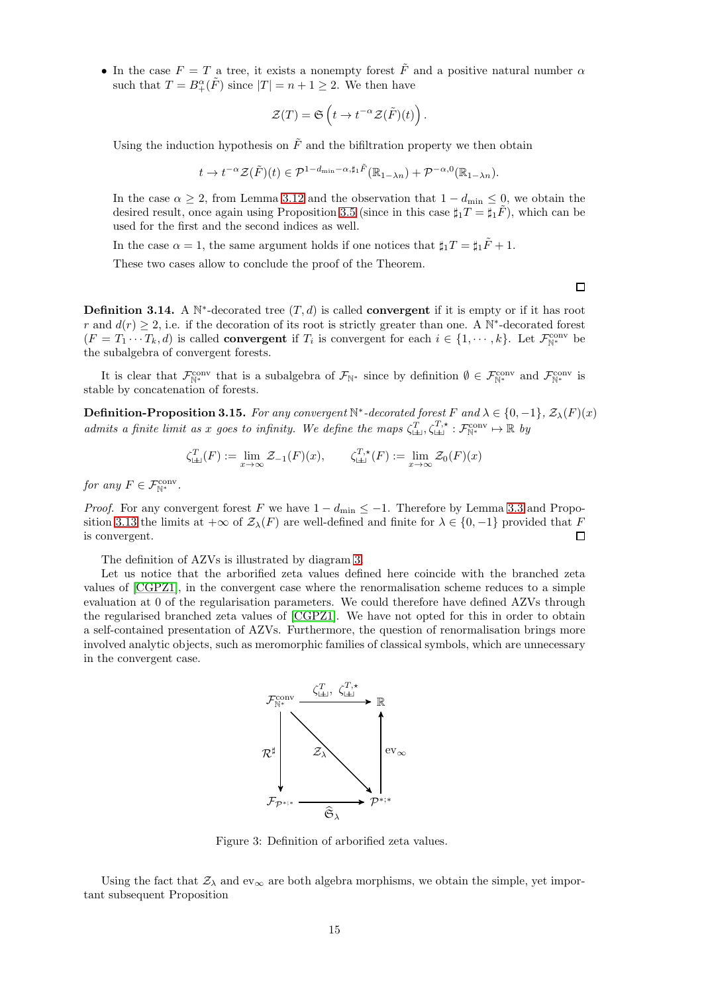• In the case  $F = T$  a tree, it exists a nonempty forest  $\tilde{F}$  and a positive natural number  $\alpha$ such that  $T = B^{\alpha}_{+}(\tilde{F})$  since  $|T| = n + 1 \geq 2$ . We then have

$$
\mathcal{Z}(T) = \mathfrak{S}\left(t \to t^{-\alpha} \mathcal{Z}(\tilde{F})(t)\right).
$$

Using the induction hypothesis on  $\tilde{F}$  and the bifiltration property we then obtain

$$
t \to t^{-\alpha} \mathcal{Z}(\tilde{F})(t) \in \mathcal{P}^{1-d_{\min}-\alpha, \sharp_1 \tilde{F}}(\mathbb{R}_{1-\lambda n}) + \mathcal{P}^{-\alpha,0}(\mathbb{R}_{1-\lambda n}).
$$

In the case  $\alpha \geq 2$ , from Lemma [3.12](#page-13-2) and the observation that  $1 - d_{\text{min}} \leq 0$ , we obtain the desired result, once again using Proposition [3.5](#page-11-2) (since in this case  $\sharp_1 T = \sharp_1 \overline{F}$ ), which can be used for the first and the second indices as well.

In the case  $\alpha = 1$ , the same argument holds if one notices that  $\sharp_1 T = \sharp_1 \tilde{F} + 1$ .

These two cases allow to conclude the proof of the Theorem.

**Definition 3.14.** A  $\mathbb{N}^*$ -decorated tree  $(T, d)$  is called **convergent** if it is empty or if it has root r and  $d(r) \geq 2$ , i.e. if the decoration of its root is strictly greater than one. A N<sup>\*</sup>-decorated forest  $(F = T_1 \cdots T_k, d)$  is called **convergent** if  $T_i$  is convergent for each  $i \in \{1, \dots, k\}$ . Let  $\mathcal{F}_{\mathbb{N}^*}^{\text{conv}}$  be the subalgebra of convergent forests.

It is clear that  $\mathcal{F}_{\mathbb{N}^*}^{\text{conv}}$  that is a subalgebra of  $\mathcal{F}_{\mathbb{N}^*}$  since by definition  $\emptyset \in \mathcal{F}_{\mathbb{N}^*}^{\text{conv}}$  and  $\mathcal{F}_{\mathbb{N}^*}^{\text{conv}}$  is stable by concatenation of forests.

<span id="page-14-0"></span>**Definition-Proposition 3.15.** For any convergent  $\mathbb{N}^*$ -decorated forest F and  $\lambda \in \{0, -1\}$ ,  $\mathcal{Z}_{\lambda}(F)(x)$ admits a finite limit as x goes to infinity. We define the maps  $\zeta_{\perp\perp}^T$ ,  $\zeta_{\perp\perp}^{T,*}$  :  $\mathcal{F}_{\mathbb{N}^*}^{\text{conv}} \mapsto \mathbb{R}$  by

$$
\zeta_{\textrm{L}\textrm{L}}^T(F) := \lim_{x \to \infty} \mathcal{Z}_{-1}(F)(x), \qquad \zeta_{\textrm{L}\textrm{L}}^{T,\star}(F) := \lim_{x \to \infty} \mathcal{Z}_0(F)(x)
$$

for any  $F \in \mathcal{F}_{\mathbb{N}^*}^{\text{conv}}$ .

*Proof.* For any convergent forest F we have  $1 - d_{\text{min}} \leq -1$ . Therefore by Lemma [3.3](#page-10-2) and Propo-sition [3.13](#page-13-1) the limits at  $+\infty$  of  $\mathcal{Z}_{\lambda}(F)$  are well-defined and finite for  $\lambda \in \{0, -1\}$  provided that F is convergent.  $\Box$ 

The definition of AZVs is illustrated by diagram [3.](#page-14-1)

Let us notice that the arborified zeta values defined here coincide with the branched zeta values of [\[CGPZ1\]](#page-28-0), in the convergent case where the renormalisation scheme reduces to a simple evaluation at 0 of the regularisation parameters. We could therefore have defined AZVs through the regularised branched zeta values of [\[CGPZ1\]](#page-28-0). We have not opted for this in order to obtain a self-contained presentation of AZVs. Furthermore, the question of renormalisation brings more involved analytic objects, such as meromorphic families of classical symbols, which are unnecessary in the convergent case.



<span id="page-14-1"></span>Figure 3: Definition of arborified zeta values.

Using the fact that  $\mathcal{Z}_\lambda$  and  $ev_\infty$  are both algebra morphisms, we obtain the simple, yet important subsequent Proposition

□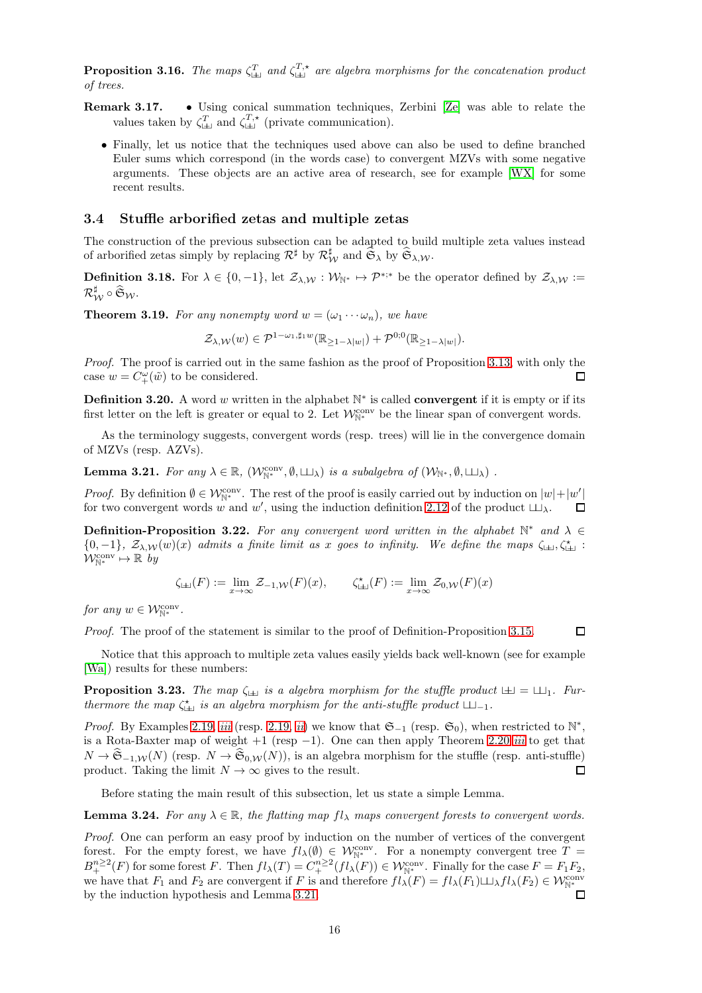<span id="page-15-1"></span>**Proposition 3.16.** The maps  $\zeta_{\perp\perp}^T$  and  $\zeta_{\perp\perp}^T$  are algebra morphisms for the concatenation product of trees.

- Remark 3.17. Using conical summation techniques, Zerbini [\[Ze\]](#page-29-19) was able to relate the values taken by  $\zeta_{\perp}^T$  and  $\zeta_{\perp}^T$ , (private communication).
	- Finally, let us notice that the techniques used above can also be used to define branched Euler sums which correspond (in the words case) to convergent MZVs with some negative arguments. These objects are an active area of research, see for example [\[WX\]](#page-29-20) for some recent results.

#### <span id="page-15-0"></span>3.4 Stuffle arborified zetas and multiple zetas

The construction of the previous subsection can be adapted to build multiple zeta values instead of arborified zetas simply by replacing  $\mathcal{R}^{\sharp}$  by  $\mathcal{R}_{\mathcal{W}}^{\sharp}$  and  $\widehat{\mathfrak{S}}_{\lambda}$  by  $\widehat{\mathfrak{S}}_{\lambda,\mathcal{W}}$ .

**Definition 3.18.** For  $\lambda \in \{0, -1\}$ , let  $\mathcal{Z}_{\lambda, \mathcal{W}} : \mathcal{W}_{\mathbb{N}^*} \mapsto \mathcal{P}^{*,*}$  be the operator defined by  $\mathcal{Z}_{\lambda, \mathcal{W}} :=$  $\mathcal{R}^\sharp_\mathcal{W} \circ \widehat{\mathfrak{S}}_\mathcal{W}.$ 

<span id="page-15-2"></span>**Theorem 3.19.** For any nonempty word  $w = (\omega_1 \cdots \omega_n)$ , we have

$$
\mathcal{Z}_{\lambda,\mathcal{W}}(w) \in \mathcal{P}^{1-\omega_1,\sharp_1 w}(\mathbb{R}_{\geq 1-\lambda|w|}) + \mathcal{P}^{0,0}(\mathbb{R}_{\geq 1-\lambda|w|}).
$$

Proof. The proof is carried out in the same fashion as the proof of Proposition [3.13,](#page-13-1) with only the case  $w = C^{\omega}_{+}(\tilde{w})$  to be considered. П

**Definition 3.20.** A word w written in the alphabet  $\mathbb{N}^*$  is called **convergent** if it is empty or if its first letter on the left is greater or equal to 2. Let  $\mathcal{W}_{\mathbb{N}^*}^{\text{conv}}$  be the linear span of convergent words.

As the terminology suggests, convergent words (resp. trees) will lie in the convergence domain of MZVs (resp. AZVs).

<span id="page-15-5"></span>**Lemma 3.21.** For any  $\lambda \in \mathbb{R}$ ,  $(\mathcal{W}_{\mathbb{N}^*}^{\text{conv}}, \emptyset, \sqcup \downarrow)$  is a subalgebra of  $(\mathcal{W}_{\mathbb{N}^*}, \emptyset, \sqcup \downarrow)$ .

*Proof.* By definition  $\emptyset \in \mathcal{W}_{\mathbb{N}^*}^{\text{conv}}$ . The rest of the proof is easily carried out by induction on  $|w|+|w'|$ for two convergent words w and w', using the induction definition 2.12 of the product  $\sqcup \downarrow$ .  $\Box$ 

<span id="page-15-3"></span>**Definition-Proposition 3.22.** For any convergent word written in the alphabet  $\mathbb{N}^*$  and  $\lambda \in$  ${0,-1}$ ,  $\mathcal{Z}_{\lambda,\mathcal{W}}(w)(x)$  admits a finite limit as x goes to infinity. We define the maps  $\zeta_{\pm 1}, \zeta_{\pm 1}^*$ :  $\mathcal{W}_{\mathbb{N}^*}^{\text{conv}} \mapsto \mathbb{R}$  by

$$
\zeta_{\perp\perp}(F) := \lim_{x \to \infty} \mathcal{Z}_{-1,\mathcal{W}}(F)(x), \qquad \zeta_{\perp\perp}^*(F) := \lim_{x \to \infty} \mathcal{Z}_{0,\mathcal{W}}(F)(x)
$$

for any  $w \in \mathcal{W}_{\mathbb{N}^*}^{\text{conv}}$ .

Proof. The proof of the statement is similar to the proof of Definition-Proposition [3.15.](#page-14-0)

Notice that this approach to multiple zeta values easily yields back well-known (see for example [\[Wa\]](#page-29-7)) results for these numbers:

<span id="page-15-4"></span>**Proposition 3.23.** The map  $\zeta_{\pm\pm}$  is a algebra morphism for the stuffle product  $\pm 1 = \pm 1$ . Furthermore the map  $\zeta_{\perp}^*$  is an algebra morphism for the anti-stuffle product  $\perp\perp_1$ .

*Proof.* By Examples 2.19, *[iii](#page-8-1)* (resp. 2.19, *[ii](#page-8-2)*) we know that  $\mathfrak{S}_{-1}$  (resp.  $\mathfrak{S}_0$ ), when restricted to  $\mathbb{N}^*$ , is a Rota-Baxter map of weight  $+1$  (resp  $-1$ ). One can then apply Theorem [2.20](#page-8-0) *[iii](#page-8-3)* to get that  $N \to \widehat{\mathfrak{S}}_{-1,\mathcal{W}}(N)$  (resp.  $N \to \widehat{\mathfrak{S}}_{0,\mathcal{W}}(N)$ ), is an algebra morphism for the stuffle (resp. anti-stuffle) product. Taking the limit  $N \to \infty$  gives to the result. product. Taking the limit  $N \to \infty$  gives to the result.

Before stating the main result of this subsection, let us state a simple Lemma.

<span id="page-15-6"></span>**Lemma 3.24.** For any  $\lambda \in \mathbb{R}$ , the flatting map  $f\ell_{\lambda}$  maps convergent forests to convergent words.

Proof. One can perform an easy proof by induction on the number of vertices of the convergent forest. For the empty forest, we have  $fl_\lambda(\emptyset) \in \mathcal{W}_{\mathbb{N}^*}^{\text{conv}}$ . For a nonempty convergent tree  $T =$  $B_+^{n\geq 2}(F)$  for some forest F. Then  $fl_\lambda(T)=C_+^{n\geq 2}(fl_\lambda(F))\in \mathcal{W}_{\mathbb{N}^*}^{\text{conv}}$ . Finally for the case  $F=F_1F_2$ , we have that  $F_1$  and  $F_2$  are convergent if F is and therefore  $fl_\lambda(F) = fl_\lambda(F_1) \sqcup \lambda fl_\lambda(F_2) \in \mathcal{W}_{\mathbb{N}^*}^{\text{conv}}$ by the induction hypothesis and Lemma [3.21.](#page-15-5)  $\Box$ 

 $\Box$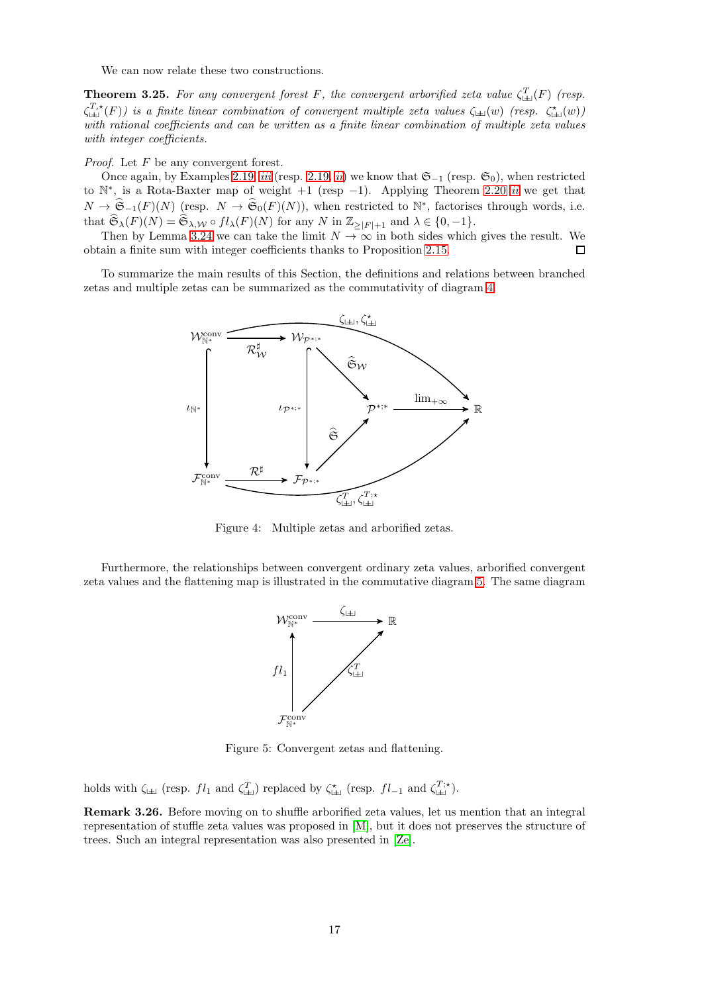We can now relate these two constructions.

<span id="page-16-0"></span>**Theorem 3.25.** For any convergent forest F, the convergent arborified zeta value  $\zeta_{\pm\pm}^T(F)$  (resp.  $\zeta_{\perp\perp}^{T,\star}(F)$ ) is a finite linear combination of convergent multiple zeta values  $\zeta_{\perp\perp}(w)$  (resp.  $\zeta_{\perp\perp}^{\star}(w)$ ) with rational coefficients and can be written as a finite linear combination of multiple zeta values with integer coefficients.

Proof. Let F be any convergent forest.

Once again, by Examples 2.19, [iii](#page-8-1) (resp. 2.19, [ii](#page-8-2)) we know that  $\mathfrak{S}_{-1}$  (resp.  $\mathfrak{S}_0$ ), when restricted to  $\mathbb{N}^*$ , is a Rota-Baxter map of weight +1 (resp -1). Applying Theorem [2.20](#page-8-0) [ii](#page-8-4) we get that  $N \to \hat{\mathfrak{S}}_{-1}(F)(N)$  (resp.  $N \to \hat{\mathfrak{S}}_{0}(F)(N)$ ), when restricted to  $\mathbb{N}^*$ , factorises through words, i.e. that  $\widehat{\mathfrak{S}}_{\lambda}(F)(N) = \widehat{\mathfrak{S}}_{\lambda,\mathcal{W}} \circ fl_{\lambda}(F)(N)$  for any N in  $\mathbb{Z}_{\geq |F|+1}$  and  $\lambda \in \{0,-1\}.$ 

Then by Lemma [3.24](#page-15-6) we can take the limit  $N \to \infty$  in both sides which gives the result. We obtain a finite sum with integer coefficients thanks to Proposition [2.15.](#page-7-1)  $\Box$ 

To summarize the main results of this Section, the definitions and relations between branched zetas and multiple zetas can be summarized as the commutativity of diagram [4.](#page-16-1)



<span id="page-16-1"></span>Figure 4: Multiple zetas and arborified zetas.

Furthermore, the relationships between convergent ordinary zeta values, arborified convergent zeta values and the flattening map is illustrated in the commutative diagram [5.](#page-16-2) The same diagram



<span id="page-16-2"></span>Figure 5: Convergent zetas and flattening.

holds with  $\zeta_{\perp\perp}$  (resp.  $fl_1$  and  $\zeta_{\perp\perp}^T$ ) replaced by  $\zeta_{\perp\perp}^*$  (resp.  $fl_{-1}$  and  $\zeta_{\perp\perp}^{T,\star}$ ).

Remark 3.26. Before moving on to shuffle arborified zeta values, let us mention that an integral representation of stuffle zeta values was proposed in [\[M\]](#page-29-2), but it does not preserves the structure of trees. Such an integral representation was also presented in [\[Ze\]](#page-29-19).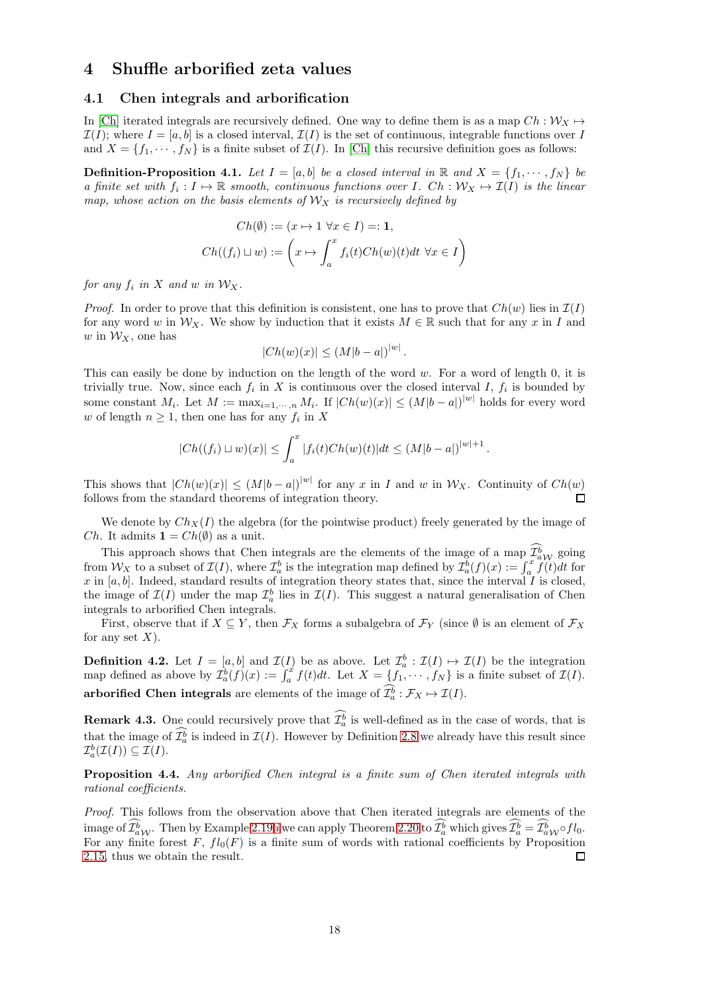## <span id="page-17-1"></span><span id="page-17-0"></span>4 Shuffle arborified zeta values

#### 4.1 Chen integrals and arborification

In [\[Ch\]](#page-28-3) iterated integrals are recursively defined. One way to define them is as a map  $Ch: \mathcal{W}_X \mapsto$  $\mathcal{I}(I)$ ; where  $I = [a, b]$  is a closed interval,  $\mathcal{I}(I)$  is the set of continuous, integrable functions over I and  $X = \{f_1, \dots, f_N\}$  is a finite subset of  $\mathcal{I}(I)$ . In [\[Ch\]](#page-28-3) this recursive definition goes as follows:

<span id="page-17-2"></span>**Definition-Proposition 4.1.** Let  $I = [a, b]$  be a closed interval in  $\mathbb{R}$  and  $X = \{f_1, \dots, f_N\}$  be a finite set with  $f_i: I \mapsto \mathbb{R}$  smooth, continuous functions over I. Ch :  $\mathcal{W}_X \mapsto \mathcal{I}(I)$  is the linear map, whose action on the basis elements of  $\mathcal{W}_X$  is recursively defined by

$$
Ch(\emptyset) := (x \mapsto 1 \,\forall x \in I) =: \mathbf{1},
$$
  

$$
Ch((f_i) \sqcup w) := \left(x \mapsto \int_a^x f_i(t)Ch(w)(t)dt \,\forall x \in I\right)
$$

for any  $f_i$  in X and w in  $\mathcal{W}_X$ .

*Proof.* In order to prove that this definition is consistent, one has to prove that  $Ch(w)$  lies in  $\mathcal{I}(I)$ for any word w in  $\mathcal{W}_X$ . We show by induction that it exists  $M \in \mathbb{R}$  such that for any x in I and w in  $\mathcal{W}_X$ , one has

$$
|Ch(w)(x)| \le (M|b-a|)^{|w|}.
$$

This can easily be done by induction on the length of the word w. For a word of length 0, it is trivially true. Now, since each  $f_i$  in X is continuous over the closed interval I,  $f_i$  is bounded by some constant  $M_i$ . Let  $M := \max_{i=1,\dots,n} M_i$ . If  $|Ch(w)(x)| \leq (M|b-a|)^{|w|}$  holds for every word w of length  $n \geq 1$ , then one has for any  $f_i$  in X

$$
|Ch((f_i) \sqcup w)(x)| \leq \int_a^x |f_i(t)Ch(w)(t)|dt \leq (M|b-a|)^{|w|+1}
$$

.

This shows that  $|Ch(w)(x)| \leq (M|b-a|)^{|w|}$  for any x in I and w in  $\mathcal{W}_X$ . Continuity of  $Ch(w)$ follows from the standard theorems of integration theory. п

We denote by  $Ch_X(I)$  the algebra (for the pointwise product) freely generated by the image of *Ch*. It admits  $\mathbf{1} = Ch(\emptyset)$  as a unit.

This approach shows that Chen integrals are the elements of the image of a map  $\mathcal{I}_{a}^{b}$  going from  $W_X$  to a subset of  $\mathcal{I}(I)$ , where  $\mathcal{I}_a^b$  is the integration map defined by  $\mathcal{I}_a^b(f)(x) := \int_a^x \widetilde{f}(t)dt$  for x in  $[a, b]$ . Indeed, standard results of integration theory states that, since the interval I is closed, the image of  $\mathcal{I}(I)$  under the map  $\mathcal{I}_a^b$  lies in  $\mathcal{I}(I)$ . This suggest a natural generalisation of Chen integrals to arborified Chen integrals.

First, observe that if  $X \subseteq Y$ , then  $\mathcal{F}_X$  forms a subalgebra of  $\mathcal{F}_Y$  (since  $\emptyset$  is an element of  $\mathcal{F}_X$ for any set  $X$ ).

<span id="page-17-3"></span>**Definition 4.2.** Let  $I = [a, b]$  and  $\mathcal{I}(I)$  be as above. Let  $\mathcal{I}_a^b : \mathcal{I}(I) \mapsto \mathcal{I}(I)$  be the integration map defined as above by  $\mathcal{I}_a^b(f)(x) := \int_a^x f(t)dt$ . Let  $X = \{f_1, \dots, f_N\}$  is a finite subset of  $\mathcal{I}(I)$ . arborified Chen integrals are elements of the image of  $\mathcal{I}_a^b : \mathcal{F}_X \mapsto \mathcal{I}(I)$ .

**Remark 4.3.** One could recursively prove that  $\mathcal{I}_a^b$  is well-defined as in the case of words, that is that the image of  $\mathcal{I}_a^b$  is indeed in  $\mathcal{I}(I)$ . However by Definition [2.8](#page-5-1) we already have this result since  $\mathcal{I}_a^b(\mathcal{I}(I)) \subseteq \mathcal{I}(I).$ 

<span id="page-17-4"></span>Proposition 4.4. Any arborified Chen integral is a finite sum of Chen iterated integrals with rational coefficients.

Proof. This follows from the observation above that Chen iterated integrals are elements of the [i](#page-8-5)mage of  $\mathcal{I}_{a}^{b}$ . Then by Example 2.19 *i* we can apply Theorem [2.20](#page-8-0) to  $\mathcal{I}_{a}^{b}$  which gives  $\mathcal{I}_{a}^{b} = \mathcal{I}_{a}^{b}$   $\gamma$   $f$   $l_0$ . For any finite forest F,  $fl_0(F)$  is a finite sum of words with rational coefficients by Proposition [2.15,](#page-7-1) thus we obtain the result. □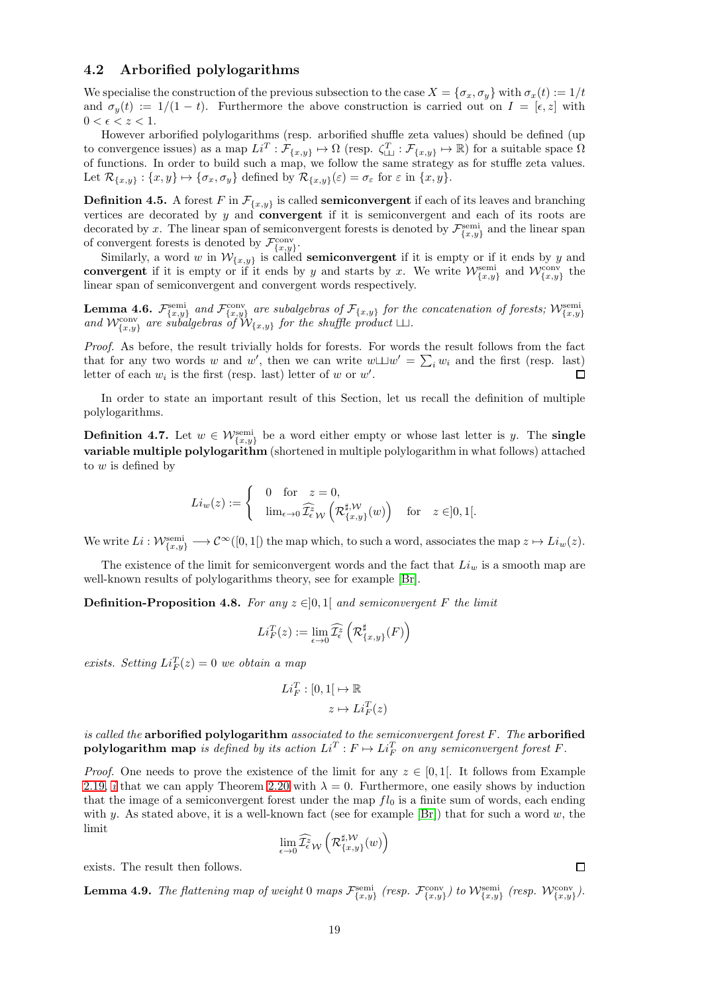### <span id="page-18-0"></span>4.2 Arborified polylogarithms

We specialise the construction of the previous subsection to the case  $X = \{\sigma_x, \sigma_y\}$  with  $\sigma_x(t) := 1/t$ and  $\sigma_y(t) := 1/(1-t)$ . Furthermore the above construction is carried out on  $I = [\epsilon, z]$  with  $0 < \epsilon < z < 1$ .

However arborified polylogarithms (resp. arborified shuffle zeta values) should be defined (up to convergence issues) as a map  $Li^T : \mathcal{F}_{\{x,y\}} \mapsto \Omega$  (resp.  $\zeta_{\perp\perp}^T : \mathcal{F}_{\{x,y\}} \mapsto \mathbb{R}$ ) for a suitable space  $\Omega$ of functions. In order to build such a map, we follow the same strategy as for stuffle zeta values. Let  $\mathcal{R}_{\{x,y\}} : \{x,y\} \mapsto {\sigma_x, \sigma_y}$  defined by  $\mathcal{R}_{\{x,y\}}(\varepsilon) = \sigma_{\varepsilon}$  for  $\varepsilon$  in  $\{x,y\}$ .

**Definition 4.5.** A forest F in  $\mathcal{F}_{\{x,y\}}$  is called **semiconvergent** if each of its leaves and branching vertices are decorated by y and convergent if it is semiconvergent and each of its roots are decorated by x. The linear span of semiconvergent forests is denoted by  $\mathcal{F}_{\{x,y\}}^{\text{semi}}$  and the linear span of convergent forests is denoted by  $\mathcal{F}_{\{x,y\}}^{\text{conv}}$ .

Similarly, a word w in  $\mathcal{W}_{\{x,y\}}$  is called **semiconvergent** if it is empty or if it ends by y and convergent if it is empty or if it ends by y and starts by x. We write  $\mathcal{W}^{\text{semi}}_{\{x,y\}}$  and  $\mathcal{W}^{\text{conv}}_{\{x,y\}}$  the linear span of semiconvergent and convergent words respectively.

**Lemma 4.6.**  $\mathcal{F}^{\text{semi}}_{\{x,y\}}$  and  $\mathcal{F}^{\text{conv}}_{\{x,y\}}$  are subalgebras of  $\mathcal{F}_{\{x,y\}}$  for the concatenation of forests;  $\mathcal{W}^{\text{semi}}_{\{x,y\}}$  and  $\mathcal{W}^{\text{conv}}_{\{x,y\}}$  are subalgebras of  $\mathcal{W}_{\{x,y\}}$  for the sh

Proof. As before, the result trivially holds for forests. For words the result follows from the fact that for any two words w and w', then we can write  $w \sqcup w' = \sum_i w_i$  and the first (resp. last) letter of each  $w_i$  is the first (resp. last) letter of w or w'.

In order to state an important result of this Section, let us recall the definition of multiple polylogarithms.

<span id="page-18-2"></span>**Definition 4.7.** Let  $w \in \mathcal{W}_{\{x,y\}}^{\text{semi}}$  be a word either empty or whose last letter is y. The **single** variable multiple polylogarithm (shortened in multiple polylogarithm in what follows) attached to  $w$  is defined by

$$
Li_w(z):=\begin{cases} & 0\quad \text{for} \quad z=0,\\ &\lim_{\epsilon\rightarrow 0}\widehat{\mathcal I_{\epsilon}^z}\ _\mathcal W\left(\mathcal R^{\sharp,\mathcal W}_{\{x,y\}}(w)\right) \quad \text{for}\quad z\in ]0,1[. \end{cases}
$$

We write  $Li: \mathcal{W}_{\{x,y\}}^{\text{semi}} \longrightarrow \mathcal{C}^{\infty}([0,1])$  the map which, to such a word, associates the map  $z \mapsto Li_w(z)$ .

The existence of the limit for semiconvergent words and the fact that  $Li_w$  is a smooth map are well-known results of polylogarithms theory, see for example [\[Br\]](#page-28-4).

<span id="page-18-1"></span>**Definition-Proposition 4.8.** For any  $z \in ]0,1[$  and semiconvergent F the limit

$$
Li_F^T(z):=\lim_{\epsilon\to 0}\widehat{\mathcal I_\epsilon^z}\left(\mathcal R^\sharp_{\{x,y\}}(F)\right)
$$

exists. Setting  $Li_F^T(z) = 0$  we obtain a map

$$
Li_F^T : [0,1] \mapsto \mathbb{R}
$$

$$
z \mapsto Li_F^T(z)
$$

is called the arborified polylogarithm associated to the semiconvergent forest  $F$ . The arborified polylogarithm map is defined by its action  $Li^T : F \mapsto Li_F^T$  on any semiconvergent forest F.

*Proof.* One needs to prove the existence of the limit for any  $z \in [0,1]$ . It follows from Example 2.19, [i](#page-8-5) that we can apply Theorem [2.20](#page-8-0) with  $\lambda = 0$ . Furthermore, one easily shows by induction that the image of a semiconvergent forest under the map  $fl_0$  is a finite sum of words, each ending with y. As stated above, it is a well-known fact (see for example  $[Br]$ ) that for such a word w, the limit

$$
\lim_{\epsilon\rightarrow 0}\widehat{\mathcal I^z_{\epsilon}}_\mathcal W\left(\mathcal R_{\{x,y\}}^{\sharp,\mathcal W}(w)\right)
$$

exists. The result then follows.

<span id="page-18-3"></span>**Lemma 4.9.** The flattening map of weight 0 maps  $\mathcal{F}_{\{x,y\}}^{\text{semi}}$  (resp.  $\mathcal{F}_{\{x,y\}}^{\text{conv}}$ ) to  $\mathcal{W}_{\{x,y\}}^{\text{semi}}$  (resp.  $\mathcal{W}_{\{x,y\}}^{\text{conv}}$ ).

 $\Box$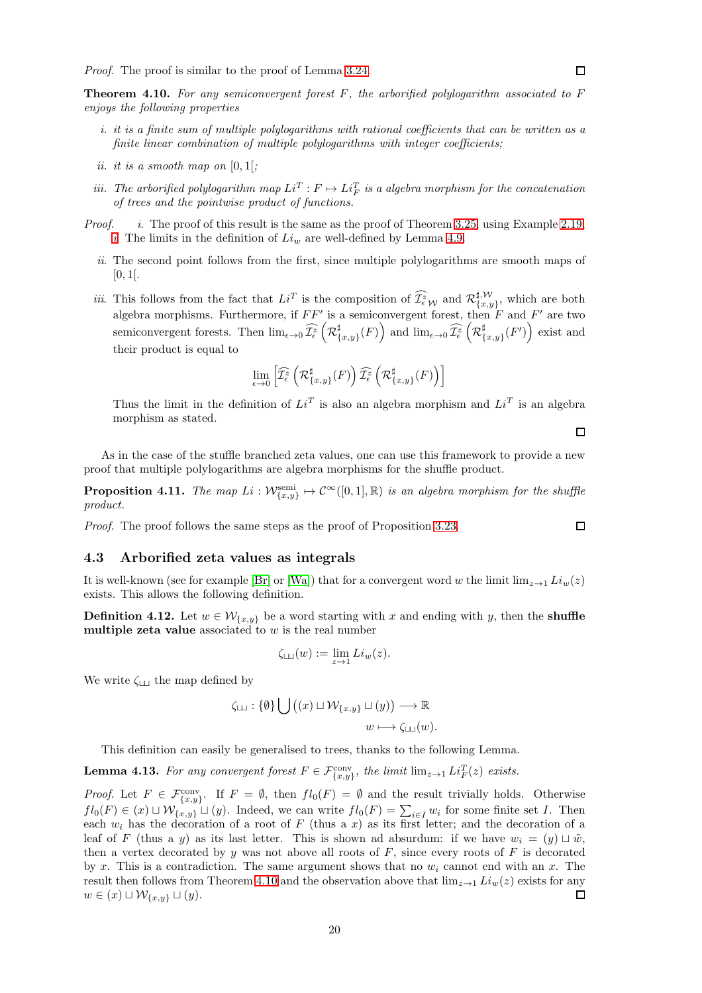<span id="page-19-1"></span>**Theorem 4.10.** For any semiconvergent forest  $F$ , the arborified polylogarithm associated to  $F$ enjoys the following properties

- i. it is a finite sum of multiple polylogarithms with rational coefficients that can be written as a finite linear combination of multiple polylogarithms with integer coefficients;
- ii. it is a smooth map on  $[0,1]$ ;
- iii. The arborified polylogarithm map  $Li^T : F \mapsto Li_F^T$  is a algebra morphism for the concatenation of trees and the pointwise product of functions.
- *Proof. i.* The proof of this result is the same as the proof of Theorem [3.25,](#page-16-0) using Example 2.19, [i](#page-8-5). The limits in the definition of  $Li_w$  are well-defined by Lemma [4.9.](#page-18-3)
	- ii. The second point follows from the first, since multiple polylogarithms are smooth maps of  $[0, 1[$ .
	- *iii.* This follows from the fact that  $Li^T$  is the composition of  $\widehat{\mathcal{I}_{\epsilon}}_{\epsilon}^z$  and  $\mathcal{R}_{\{x,y\}}^{\sharp,\mathcal{W}}$  $\{x,y\}$ , which are both algebra morphisms. Furthermore, if  $FF'$  is a semiconvergent forest, then F and F' are two semiconvergent forests. Then  $\lim_{\epsilon \to 0} \widehat{\mathcal{I}_{\epsilon}^{z}}$   $\left(\mathcal{R}_{\{}^{\sharp}\}\right)$  $\lim_{\epsilon \to 0} \widehat{\mathcal{I}^z_{\epsilon}}\left(\mathcal{R}^\sharp\right)$  and  $\lim_{\epsilon \to 0} \widehat{\mathcal{I}^z_{\epsilon}}\left(\mathcal{R}^\sharp\right)$  $_{\{x,y\}}^{\sharp}(F')$  exist and their product is equal to

$$
\lim_{\epsilon\rightarrow 0}\left[\widehat{\mathcal I^z_\epsilon}\left(\mathcal R^\sharp_{\{x,y\}}(F)\right)\widehat{\mathcal I^z_\epsilon}\left(\mathcal R^\sharp_{\{x,y\}}(F)\right)\right]
$$

Thus the limit in the definition of  $Li<sup>T</sup>$  is also an algebra morphism and  $Li<sup>T</sup>$  is an algebra morphism as stated.

As in the case of the stuffle branched zeta values, one can use this framework to provide a new proof that multiple polylogarithms are algebra morphisms for the shuffle product.

<span id="page-19-3"></span>**Proposition 4.11.** The map  $Li: \mathcal{W}_{\{x,y\}}^{\text{semi}} \mapsto \mathcal{C}^{\infty}([0,1],\mathbb{R})$  is an algebra morphism for the shuffle product.

<span id="page-19-0"></span>Proof. The proof follows the same steps as the proof of Proposition [3.23.](#page-15-4)

#### 4.3 Arborified zeta values as integrals

It is well-known (see for example [\[Br\]](#page-28-4) or [\[Wa\]](#page-29-7)) that for a convergent word w the limit  $\lim_{z\to 1} Li_w(z)$ exists. This allows the following definition.

<span id="page-19-2"></span>**Definition 4.12.** Let  $w \in \mathcal{W}_{\{x,y\}}$  be a word starting with x and ending with y, then the **shuffle** multiple zeta value associated to  $w$  is the real number

$$
\zeta_{\square\square}(w) := \lim_{z \to 1} Li_w(z).
$$

We write  $\zeta_{\Box\Box}$  the map defined by

$$
\zeta_{\square} : \{\emptyset\} \bigcup ((x) \sqcup \mathcal{W}_{\{x,y\}} \sqcup (y)) \longrightarrow \mathbb{R}
$$

$$
w \longmapsto \zeta_{\square}(w).
$$

This definition can easily be generalised to trees, thanks to the following Lemma.

<span id="page-19-4"></span>**Lemma 4.13.** For any convergent forest  $F \in \mathcal{F}_{\{x,y\}}^{\text{conv}}$ , the limit  $\lim_{z\to 1} Li_F^T(z)$  exists.

*Proof.* Let  $F \in \mathcal{F}_{\{x,y\}}^{\text{conv}}$ . If  $F = \emptyset$ , then  $fl_0(F) = \emptyset$  and the result trivially holds. Otherwise  $fl_0(F) \in (x) \sqcup \mathcal{W}_{\{x,y\}} \sqcup (y)$ . Indeed, we can write  $fl_0(F) = \sum_{i \in I} w_i$  for some finite set I. Then each  $w_i$  has the decoration of a root of F (thus a x) as its first letter; and the decoration of a leaf of F (thus a y) as its last letter. This is shown ad absurdum: if we have  $w_i = (y) \sqcup \tilde{w}$ , then a vertex decorated by y was not above all roots of  $F$ , since every roots of  $F$  is decorated by x. This is a contradiction. The same argument shows that no  $w_i$  cannot end with an x. The result then follows from Theorem [4.10](#page-19-1) and the observation above that  $\lim_{z\to 1} Li_w(z)$  exists for any  $w \in (x) \sqcup \mathcal{W}_{\{x,y\}} \sqcup (y).$  $\Box$ 

 $\Box$ 

 $\Box$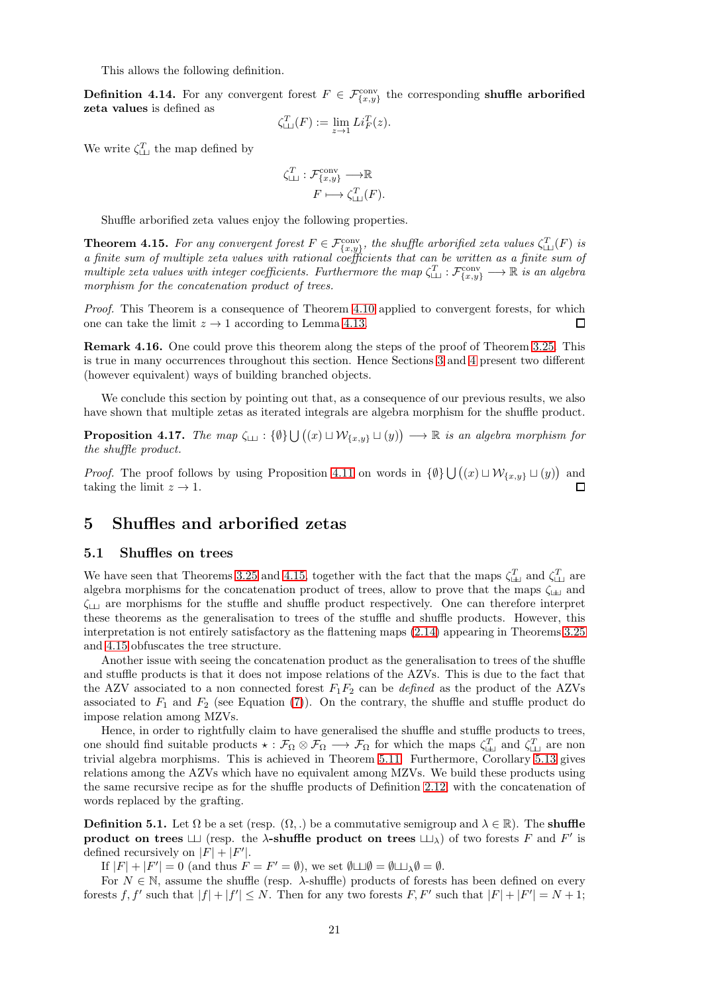This allows the following definition.

<span id="page-20-2"></span>**Definition 4.14.** For any convergent forest  $F \in \mathcal{F}_{\{x,y\}}^{\text{conv}}$  the corresponding shuffle arborified zeta values is defined as

$$
\zeta_{\perp\perp}^T(F) := \lim_{z \to 1} Li_F^T(z).
$$

We write  $\zeta_{\perp\perp}^T$  the map defined by

$$
\zeta^T_{\sqcup\!\sqcup} : \mathcal{F}^{\text{conv}}_{\{x,y\}} \longrightarrow \mathbb{R}
$$

$$
F \longmapsto \zeta^T_{\sqcup\!\sqcup}(F).
$$

Shuffle arborified zeta values enjoy the following properties.

<span id="page-20-3"></span>**Theorem 4.15.** For any convergent forest  $F \in \mathcal{F}_{\{x,y\}}^{\text{conv}}$ , the shuffle arborified zeta values  $\zeta_{\sqcup\sqcup}^T(F)$  is a finite sum of multiple zeta values with rational coefficients that can be written as a finite sum of multiple zeta values with integer coefficients. Furthermore the map  $\zeta_{\Box}^T : \mathcal{F}^{\text{conv}}_{\{x,y\}} \longrightarrow \mathbb{R}$  is an algebra morphism for the concatenation product of trees.

Proof. This Theorem is a consequence of Theorem [4.10](#page-19-1) applied to convergent forests, for which one can take the limit  $z \to 1$  according to Lemma [4.13.](#page-19-4) 囗

Remark 4.16. One could prove this theorem along the steps of the proof of Theorem [3.25.](#page-16-0) This is true in many occurrences throughout this section. Hence Sections [3](#page-9-0) and [4](#page-17-0) present two different (however equivalent) ways of building branched objects.

We conclude this section by pointing out that, as a consequence of our previous results, we also have shown that multiple zetas as iterated integrals are algebra morphism for the shuffle product.

<span id="page-20-4"></span>**Proposition 4.17.** The map  $\zeta_{\square}$  :  $\{\emptyset\} \cup ((x) \sqcup \mathcal{W}_{\{x,y\}} \sqcup (y)) \longrightarrow \mathbb{R}$  is an algebra morphism for the shuffle product.

*Proof.* The proof follows by using Proposition [4.11](#page-19-3) on words in  $\{\emptyset\} \bigcup ((x) \sqcup \mathcal{W}_{\{x,y\}} \sqcup (y))$  and taking the limit  $z \to 1$ .

## <span id="page-20-1"></span><span id="page-20-0"></span>5 Shuffles and arborified zetas

#### 5.1 Shuffles on trees

We have seen that Theorems [3.25](#page-16-0) and [4.15,](#page-20-3) together with the fact that the maps  $\zeta_{\perp\perp}^T$  and  $\zeta_{\perp\perp}^T$  are algebra morphisms for the concatenation product of trees, allow to prove that the maps  $\zeta_{\sqcup\!\sqcup}$  and  $\zeta_{\text{U}}$  are morphisms for the stuffle and shuffle product respectively. One can therefore interpret these theorems as the generalisation to trees of the stuffle and shuffle products. However, this interpretation is not entirely satisfactory as the flattening maps [\(2.14\)](#page-7-2) appearing in Theorems [3.25](#page-16-0) and [4.15](#page-20-3) obfuscates the tree structure.

Another issue with seeing the concatenation product as the generalisation to trees of the shuffle and stuffle products is that it does not impose relations of the AZVs. This is due to the fact that the AZV associated to a non connected forest  $F_1F_2$  can be *defined* as the product of the AZVs associated to  $F_1$  and  $F_2$  (see Equation [\(7\)](#page-6-4)). On the contrary, the shuffle and stuffle product do impose relation among MZVs.

Hence, in order to rightfully claim to have generalised the shuffle and stuffle products to trees, one should find suitable products  $\star : \mathcal{F}_{\Omega} \otimes \mathcal{F}_{\Omega} \longrightarrow \mathcal{F}_{\Omega}$  for which the maps  $\zeta_{\square}^T$  and  $\zeta_{\square}^T$  are non trivial algebra morphisms. This is achieved in Theorem [5.11.](#page-24-0) Furthermore, Corollary [5.13](#page-24-1) gives relations among the AZVs which have no equivalent among MZVs. We build these products using the same recursive recipe as for the shuffle products of Definition 2.12, with the concatenation of words replaced by the grafting.

<span id="page-20-5"></span>**Definition 5.1.** Let  $\Omega$  be a set (resp.  $(\Omega, \cdot)$  be a commutative semigroup and  $\lambda \in \mathbb{R}$ ). The **shuffle** product on trees  $\Box$  (resp. the  $\lambda$ -shuffle product on trees  $\Box$ ) of two forests F and F' is defined recursively on  $|F| + |F'|$ .

If  $|F| + |F'| = 0$  (and thus  $F = F' = \emptyset$ ), we set  $\emptyset \sqcup \emptyset = \emptyset \sqcup \emptyset = \emptyset$ .

For  $N \in \mathbb{N}$ , assume the shuffle (resp.  $\lambda$ -shuffle) products of forests has been defined on every forests f, f' such that  $|f| + |f'| \leq N$ . Then for any two forests F, F' such that  $|F| + |F'| = N + 1$ ;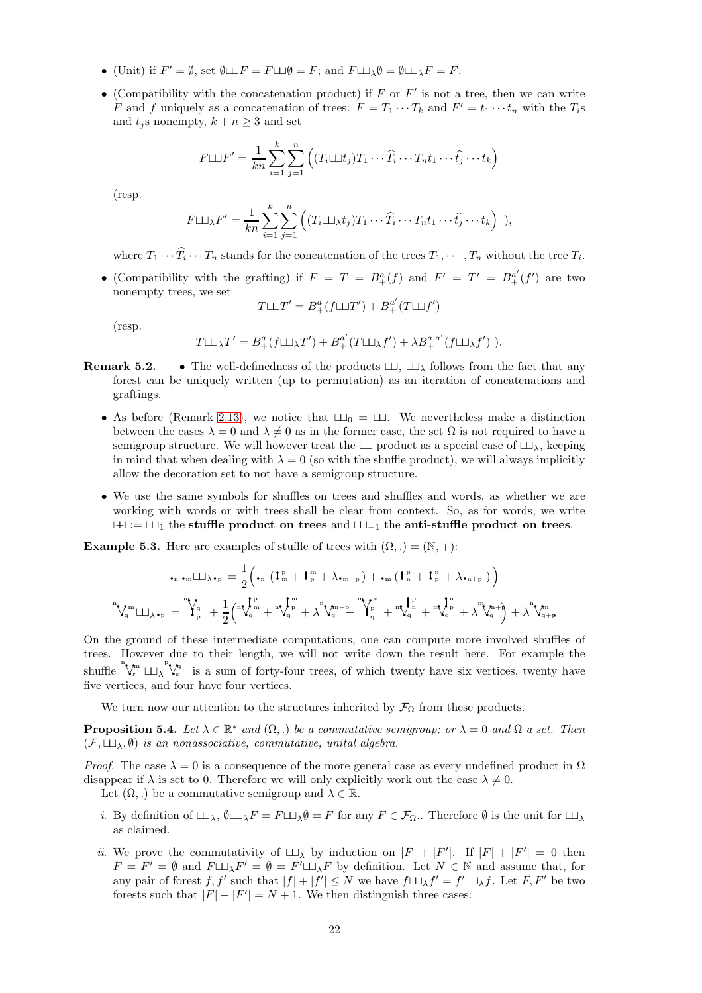- (Unit) if  $F' = \emptyset$ , set  $\emptyset \sqcup F = F \sqcup \emptyset = F$ ; and  $F \sqcup \Box_{\lambda} \emptyset = \emptyset \sqcup \Box_{\lambda} F = F$ .
- (Compatibility with the concatenation product) if  $F$  or  $F'$  is not a tree, then we can write F and f uniquely as a concatenation of trees:  $F = T_1 \cdots T_k$  and  $F' = t_1 \cdots t_n$  with the  $T_i$ s and  $t_i$ s nonempty,  $k + n \geq 3$  and set

$$
F \sqcup F' = \frac{1}{kn} \sum_{i=1}^{k} \sum_{j=1}^{n} \left( (T_i \sqcup t_j) T_1 \cdots \widehat{T}_i \cdots T_n t_1 \cdots \widehat{t}_j \cdots t_k \right)
$$

(resp.

$$
F \sqcup \qquad {}_{\lambda} F' = \frac{1}{kn} \sum_{i=1}^{k} \sum_{j=1}^{n} \left( (T_i \sqcup \qcup_{\lambda} t_j) T_1 \cdots \widehat{T}_i \cdots T_n t_1 \cdots \widehat{t}_j \cdots t_k \right) ),
$$

where  $T_1 \cdots T_i \cdots T_n$  stands for the concatenation of the trees  $T_1, \cdots, T_n$  without the tree  $T_i$ .

• (Compatibility with the grafting) if  $F = T = B^a_+(f)$  and  $F' = T' = B^{a'}_+(f')$  are two nonempty trees, we set

$$
T{\sqcup\!\sqcup} T'=B^a_+(f{\sqcup\!\sqcup} T')+B^{a'}_+(T{\sqcup\!\sqcup} f')
$$

(resp.

$$
T{\sqcup\!\sqcup_{\lambda}}T'=B^a_+(f{\sqcup\!\sqcup_{\lambda}}T')+B^{a'}_+(T{\sqcup\!\sqcup_{\lambda}}f')+ \lambda B^{a.a'}_+(f{\sqcup\!\sqcup_{\lambda}}f')).
$$

- **Remark 5.2.** The well-definedness of the products  $\Box \Box$ ,  $\Box \Box$  follows from the fact that any forest can be uniquely written (up to permutation) as an iteration of concatenations and graftings.
	- As before (Remark 2.13), we notice that  $\Box$ 0 =  $\Box$ . We nevertheless make a distinction between the cases  $\lambda = 0$  and  $\lambda \neq 0$  as in the former case, the set  $\Omega$  is not required to have a semigroup structure. We will however treat the  $\Box$  product as a special case of  $\Box$ <sub>λ</sub>, keeping in mind that when dealing with  $\lambda = 0$  (so with the shuffle product), we will always implicitly allow the decoration set to not have a semigroup structure.
	- We use the same symbols for shuffles on trees and shuffles and words, as whether we are working with words or with trees shall be clear from context. So, as for words, we write  $\perp$  :=  $\perp$  the stuffle product on trees and  $\perp$  the anti-stuffle product on trees.

**Example 5.3.** Here are examples of stuffle of trees with  $(\Omega, .) = (\mathbb{N}, +)$ :

$$
\centering\begin{aligned} \mathbf{L}_{n}\centering\mathbf{L}_{n} & \mathbf{L}_{n} = \frac{1}{2}\Big(\mathbf{L}_{n}\left(\mathbf{I}_{m}^{\mathrm{p}}+\mathbf{I}_{p}^{\mathrm{m}}+\lambda_{\bullet\mathrm{m}+\mathrm{p}}\right)+\mathbf{L}_{m}\left(\mathbf{I}_{n}^{\mathrm{p}}+\mathbf{I}_{p}^{\mathrm{m}}+\lambda_{\bullet\mathrm{n}+\mathrm{p}}\right)\Big)\\ \mathbf{L}_{n}^{n}\mathbf{L}_{n} & \mathbf{L}_{n} & \mathbf{L}_{n} & \mathbf{L}_{n} & \mathbf{L}_{n} & \mathbf{L}_{n} & \mathbf{L}_{n} & \mathbf{L}_{n} & \mathbf{L}_{n} & \mathbf{L}_{n} & \mathbf{L}_{n} & \mathbf{L}_{n} & \mathbf{L}_{n} & \mathbf{L}_{n} & \mathbf{L}_{n} & \mathbf{L}_{n} & \mathbf{L}_{n} & \mathbf{L}_{n} & \mathbf{L}_{n} & \mathbf{L}_{n} & \mathbf{L}_{n} & \mathbf{L}_{n} & \mathbf{L}_{n} & \mathbf{L}_{n} & \mathbf{L}_{n} & \mathbf{L}_{n} & \mathbf{L}_{n} & \mathbf{L}_{n} & \mathbf{L}_{n} & \mathbf{L}_{n} & \mathbf{L}_{n} & \mathbf{L}_{n} & \mathbf{L}_{n} & \mathbf{L}_{n} & \mathbf{L}_{n} & \mathbf{L}_{n} & \mathbf{L}_{n} & \mathbf{L}_{n} & \mathbf{L}_{n} & \mathbf{L}_{n} & \mathbf{L}_{n} & \mathbf{L}_{n} & \mathbf{L}_{n} & \mathbf{L}_{n} & \mathbf{L}_{n} & \mathbf{L}_{n} & \mathbf{L}_{n} & \mathbf{L}_{n} & \mathbf{L}_{n} & \mathbf{L}_{n} & \mathbf{L}_{n} & \mathbf{L}_{n} & \mathbf{L}_{n} & \mathbf{L}_{n} & \mathbf{L}_{n} & \mathbf{L}_{n} & \mathbf{L}_{n} & \mathbf{L}_{n} & \mathbf{L}_{n} & \mathbf{L}_{n} & \mathbf{L}_{n} & \mathbf{L}_{n} & \mathbf{L}_{n} & \mathbf{L}_{n} & \mathbf{L}_{n} & \mathbf{L}_{n}
$$

On the ground of these intermediate computations, one can compute more involved shuffles of trees. However due to their length, we will not write down the result here. For example the shuffle  $\bigvee_{r}^{n} \Box_{\lambda} \bigvee_{s}^{p}$  is a sum of forty-four trees, of which twenty have six vertices, twenty have five vertices, and four have four vertices.

We turn now our attention to the structures inherited by  $\mathcal{F}_{\Omega}$  from these products.

<span id="page-21-0"></span>**Proposition 5.4.** Let  $\lambda \in \mathbb{R}^*$  and  $(\Omega, .)$  be a commutative semigroup; or  $\lambda = 0$  and  $\Omega$  a set. Then  $(\mathcal{F}, \sqcup \sqcup_{\lambda}, \emptyset)$  is an nonassociative, commutative, unital algebra.

*Proof.* The case  $\lambda = 0$  is a consequence of the more general case as every undefined product in  $\Omega$ disappear if  $\lambda$  is set to 0. Therefore we will only explicitly work out the case  $\lambda \neq 0$ .

Let  $(\Omega,.)$  be a commutative semigroup and  $\lambda \in \mathbb{R}$ .

- i. By definition of  $\Box \Box_{\lambda}$ ,  $\emptyset \Box \Box_{\lambda}F = F \Box \Box_{\lambda} \emptyset = F$  for any  $F \in \mathcal{F}_{\Omega}$ . Therefore  $\emptyset$  is the unit for  $\Box \Box_{\lambda}$ as claimed.
- *ii.* We prove the commutativity of  $\Box$  by induction on  $|F| + |F'|$ . If  $|F| + |F'| = 0$  then  $F = F' = \emptyset$  and  $F \sqcup_{\lambda} F' = \emptyset = F' \sqcup_{\lambda} F$  by definition. Let  $N \in \mathbb{N}$  and assume that, for any pair of forest f, f' such that  $|f| + |f'| \leq N$  we have  $f \sqcup \bigcup_{\lambda} f' = f' \sqcup \bigcup_{\lambda} f$ . Let  $F, F'$  be two forests such that  $|F| + |F'| = N + 1$ . We then distinguish three cases: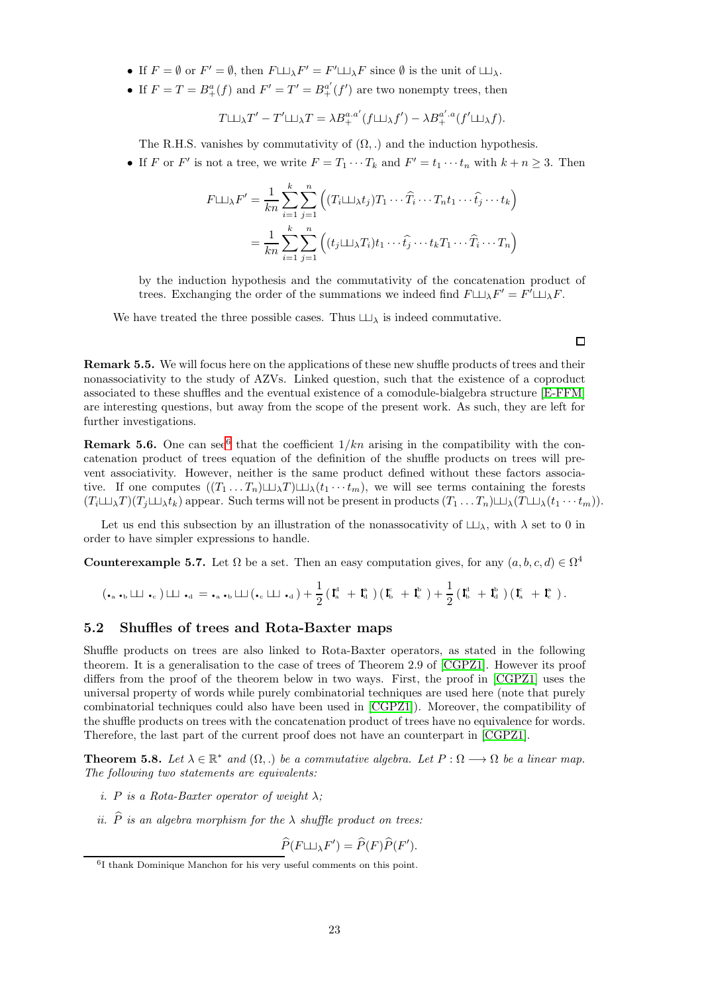- If  $F = \emptyset$  or  $F' = \emptyset$ , then  $F \sqcup_{\lambda} F' = F' \sqcup_{\lambda} F$  since  $\emptyset$  is the unit of  $\sqcup_{\lambda}$ .
- If  $F = T = B^a_+(f)$  and  $F' = T' = B^{a'}_+(f')$  are two nonempty trees, then

$$
T \sqcup \sqcup_{\lambda} T' - T' \sqcup \sqcup_{\lambda} T = \lambda B_+^{a,a'} (f \sqcup \sqcup_{\lambda} f') - \lambda B_+^{a',a}(f' \sqcup \sqcup_{\lambda} f).
$$

The R.H.S. vanishes by commutativity of  $(\Omega, \cdot)$  and the induction hypothesis.

• If F or F' is not a tree, we write  $F = T_1 \cdots T_k$  and  $F' = t_1 \cdots t_n$  with  $k + n \geq 3$ . Then

$$
F \sqcup \varphi_k F' = \frac{1}{kn} \sum_{i=1}^k \sum_{j=1}^n \left( (T_i \sqcup \varphi_k) T_1 \cdots \widehat{T}_i \cdots T_n t_1 \cdots \widehat{t}_j \cdots t_k \right)
$$
  
= 
$$
\frac{1}{kn} \sum_{i=1}^k \sum_{j=1}^n \left( (t_j \sqcup \varphi_k) T_i \cdots \widehat{t}_j \cdots t_k T_1 \cdots \widehat{T}_i \cdots T_n \right)
$$

by the induction hypothesis and the commutativity of the concatenation product of trees. Exchanging the order of the summations we indeed find  $F \sqcup \Box_\lambda F' = F' \sqcup \Box_\lambda F$ .

We have treated the three possible cases. Thus  $\sqcup \sqcup_{\lambda}$  is indeed commutative.

 $\Box$ 

<span id="page-22-3"></span>Remark 5.5. We will focus here on the applications of these new shuffle products of trees and their nonassociativity to the study of AZVs. Linked question, such that the existence of a coproduct associated to these shuffles and the eventual existence of a comodule-bialgebra structure [\[E-FFM\]](#page-28-5) are interesting questions, but away from the scope of the present work. As such, they are left for further investigations.

**Remark 5.[6](#page-22-2).** One can see<sup>6</sup> that the coefficient  $1/kn$  arising in the compatibility with the concatenation product of trees equation of the definition of the shuffle products on trees will prevent associativity. However, neither is the same product defined without these factors associative. If one computes  $((T_1 \ldots T_n) \sqcup \sqcup_{\lambda} T) \sqcup \sqcup_{\lambda} (t_1 \cdots t_m)$ , we will see terms containing the forests  $(T_i \sqcup \sqcup_{\lambda} T)(T_j \sqcup \sqcup_{\lambda} t_k)$  appear. Such terms will not be present in products  $(T_1 \dots T_n) \sqcup_{\lambda} (T \sqcup \sqcup_{\lambda} (t_1 \cdots t_m)).$ 

Let us end this subsection by an illustration of the nonassocativity of  $\Box\Box$ ), with  $\lambda$  set to 0 in order to have simpler expressions to handle.

**Counterexample 5.7.** Let  $\Omega$  be a set. Then an easy computation gives, for any  $(a, b, c, d) \in \Omega^4$ 

$$
(\centerdot_{a}\centerdot_{b}\sqcup\hspace{-0.12cm}\sqcup\hspace{-0.12cm}\bullet_{c})\sqcup\hspace{-0.12cm}\sqcup\hspace{-0.12cm}\bullet_{d}=\centerdot_{a}\centerdot_{b}\sqcup\hspace{-0.12cm}\sqcup(\centerdot_{c}\sqcup\hspace{-0.12cm}\sqcup\hspace{-0.12cm}\bullet_{d})+\frac{1}{2}\big(\mathbf{I}_{a}^{d}~+~\mathbf{I}_{d}^{a}~\big)\big(\mathbf{I}_{b}^{c}~+~\mathbf{I}_{c}^{b}~\big)+\frac{1}{2}\big(\mathbf{I}_{b}^{d}~+~\mathbf{I}_{d}^{b}~\big)\big(\mathbf{I}_{a}^{c}~+~\mathbf{I}_{c}^{a}~\big)\,.
$$

## <span id="page-22-0"></span>5.2 Shuffles of trees and Rota-Baxter maps

Shuffle products on trees are also linked to Rota-Baxter operators, as stated in the following theorem. It is a generalisation to the case of trees of Theorem 2.9 of [\[CGPZ1\]](#page-28-0). However its proof differs from the proof of the theorem below in two ways. First, the proof in [\[CGPZ1\]](#page-28-0) uses the universal property of words while purely combinatorial techniques are used here (note that purely combinatorial techniques could also have been used in [\[CGPZ1\]](#page-28-0)). Moreover, the compatibility of the shuffle products on trees with the concatenation product of trees have no equivalence for words. Therefore, the last part of the current proof does not have an counterpart in [\[CGPZ1\]](#page-28-0).

<span id="page-22-1"></span>**Theorem 5.8.** Let  $\lambda \in \mathbb{R}^*$  and  $(\Omega,.)$  be a commutative algebra. Let  $P : \Omega \longrightarrow \Omega$  be a linear map. The following two statements are equivalents:

- i. P is a Rota-Baxter operator of weight  $\lambda$ :
- ii.  $\hat{P}$  is an algebra morphism for the  $\lambda$  shuffle product on trees:

 $\widehat{P}(F \sqcup \!\!\!\perp_{\lambda} F') = \widehat{P}(F) \widehat{P}(F').$ 

<span id="page-22-2"></span><sup>6</sup> I thank Dominique Manchon for his very useful comments on this point.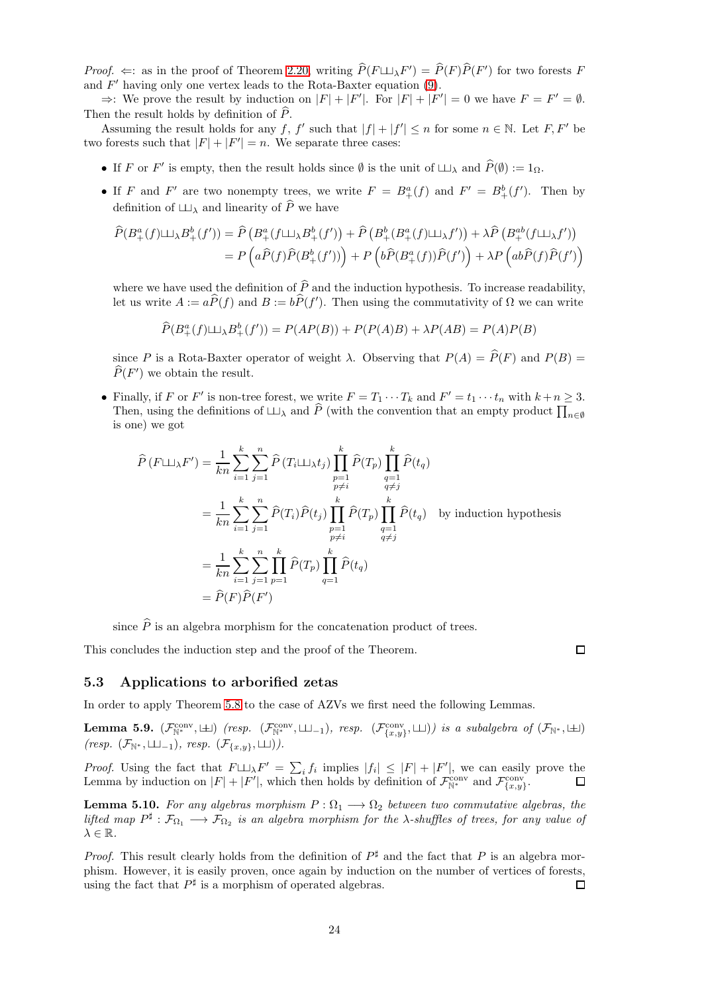*Proof.*  $\Leftarrow$ : as in the proof of Theorem [2.20,](#page-8-0) writing  $\hat{P}(F \sqcup \sqcup_{\lambda} F') = \hat{P}(F)\hat{P}(F')$  for two forests F and  $F'$  having only one vertex leads to the Rota-Baxter equation  $(9)$ .

⇒: We prove the result by induction on  $|F| + |F'|$ . For  $|F| + |F'| = 0$  we have  $F = F' = \emptyset$ . Then the result holds by definition of  $\widehat{P}$ .

Assuming the result holds for any f, f' such that  $|f| + |f'| \leq n$  for some  $n \in \mathbb{N}$ . Let F, F' be two forests such that  $|F| + |F'| = n$ . We separate three cases:

- If F or F' is empty, then the result holds since  $\emptyset$  is the unit of  $\Box \Box_{\lambda}$  and  $\widehat{P}(\emptyset) := 1_{\Omega}$ .
- If F and F' are two nonempty trees, we write  $F = B^a_+(f)$  and  $F' = B^b_+(f')$ . Then by definition of  $\Box$  and linearity of  $\widehat{P}$  we have

$$
\widehat{P}(B^a_+(f)\sqcup_A B^b_+(f')) = \widehat{P}\left(B^a_+(f\sqcup_A B^b_+(f')) + \widehat{P}\left(B^b_+(B^a_+(f)\sqcup_A f'\right)\right) + \lambda \widehat{P}\left(B^{ab}_+(f\sqcup_A f')\right)
$$
\n
$$
= P\left(a\widehat{P}(f)\widehat{P}(B^b_+(f'))\right) + P\left(b\widehat{P}(B^a_+(f))\widehat{P}(f')\right) + \lambda P\left(ab\widehat{P}(f)\widehat{P}(f')\right)
$$

where we have used the definition of  $\widehat{P}$  and the induction hypothesis. To increase readability, let us write  $A := a\widehat{P}(f)$  and  $B := b\widehat{P}(f')$ . Then using the commutativity of  $\Omega$  we can write

$$
\widehat{P}(B^a_+(f)\sqcup_A B^b_+(f')) = P(AP(B)) + P(P(A)B) + \lambda P(AB) = P(A)P(B)
$$

since P is a Rota-Baxter operator of weight  $\lambda$ . Observing that  $P(A) = \hat{P}(F)$  and  $P(B) =$  $\widehat{P}(F')$  we obtain the result.

• Finally, if F or F' is non-tree forest, we write  $F = T_1 \cdots T_k$  and  $F' = t_1 \cdots t_n$  with  $k + n \geq 3$ . Then, using the definitions of  $\Box \Box_\lambda$  and  $\widehat{P}$  (with the convention that an empty product  $\prod_{n\in\emptyset}$ is one) we got

$$
\widehat{P}(F \sqcup \sqcup_{\lambda} F') = \frac{1}{kn} \sum_{i=1}^{k} \sum_{j=1}^{n} \widehat{P}(T_i \sqcup \sqcup_{\lambda} t_j) \prod_{\substack{p=1 \ p \neq i}}^{n} \widehat{P}(T_p) \prod_{\substack{q=1 \ q \neq j}}^{n} \widehat{P}(t_q)
$$
\n
$$
= \frac{1}{kn} \sum_{i=1}^{k} \sum_{j=1}^{n} \widehat{P}(T_i) \widehat{P}(t_j) \prod_{\substack{p=1 \ p \neq i}}^{n} \widehat{P}(T_p) \prod_{\substack{q=1 \ q \neq j}}^{n} \widehat{P}(t_q) \quad \text{by induction hypothesis}
$$
\n
$$
= \frac{1}{kn} \sum_{i=1}^{k} \sum_{j=1}^{n} \prod_{p=1}^{k} \widehat{P}(T_p) \prod_{q=1}^{k} \widehat{P}(t_q)
$$
\n
$$
= \widehat{P}(F) \widehat{P}(F')
$$

since  $\hat{P}$  is an algebra morphism for the concatenation product of trees.

This concludes the induction step and the proof of the Theorem.

 $\Box$ 

## <span id="page-23-0"></span>5.3 Applications to arborified zetas

In order to apply Theorem [5.8](#page-22-1) to the case of AZVs we first need the following Lemmas.

<span id="page-23-2"></span>**Lemma 5.9.**  $(\mathcal{F}_{\mathbb{N}^*}^{\text{conv}},\sqcup)$  (resp.  $(\mathcal{F}_{\mathbb{N}^*}^{\text{conv}},\sqcup\sqcup)$ ) is a subalgebra of  $(\mathcal{F}_{\mathbb{N}^*},\sqcup)$  $(resp.$   $(\mathcal{F}_{\mathbb{N}^*}, \sqcup \sqcup_{-1}), resp.$   $(\mathcal{F}_{\{x,y\}}, \sqcup \sqcup)).$ 

*Proof.* Using the fact that  $F \sqcup \exists Y \in \sum_i f_i$  implies  $|f_i| \leq |F| + |F'|$ , we can easily prove the Lemma by induction on  $|F| + |F'|$ , which then holds by definition of  $\mathcal{F}_{\mathbb{N}^*}^{\text{conv}}$  and  $\mathcal{F}_{\{x,y\}}^{\text{conv}}$ .

<span id="page-23-1"></span>**Lemma 5.10.** For any algebras morphism  $P: \Omega_1 \longrightarrow \Omega_2$  between two commutative algebras, the lifted map  $P^{\sharp}: \mathcal{F}_{\Omega_1} \longrightarrow \mathcal{F}_{\Omega_2}$  is an algebra morphism for the  $\lambda$ -shuffles of trees, for any value of  $\lambda \in \mathbb{R}$ .

*Proof.* This result clearly holds from the definition of  $P^{\sharp}$  and the fact that P is an algebra morphism. However, it is easily proven, once again by induction on the number of vertices of forests, using the fact that  $P^{\sharp}$  is a morphism of operated algebras.  $\Box$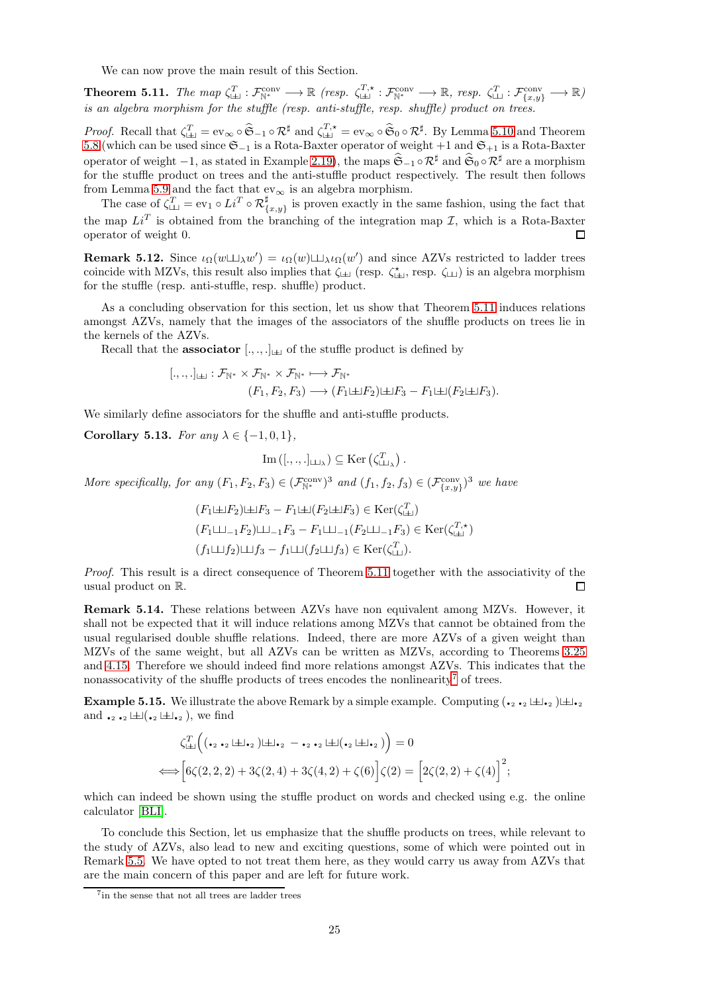We can now prove the main result of this Section.

<span id="page-24-0"></span>**Theorem 5.11.** The map  $\zeta_{\perp\perp}^T : \mathcal{F}_{\mathbb{N}^*}^{\text{conv}} \longrightarrow \mathbb{R}$  (resp.  $\zeta_{\perp\perp}^{T,*} : \mathcal{F}_{\mathbb{N}^*}^{\text{conv}} \longrightarrow \mathbb{R}$ , resp.  $\zeta_{\perp\perp}^T : \mathcal{F}_{\{x,y\}}^{\text{conv}} \longrightarrow \mathbb{R}$ ) is an algebra morphism for the stuffle (resp. anti-stuffle, resp. shuffle) product on trees.

Proof. Recall that  $\zeta_{\perp\perp}^T = \text{ev}_{\infty} \circ \widehat{\mathfrak{S}}_{-1} \circ \mathcal{R}^{\sharp}$  and  $\zeta_{\perp\perp}^{T,\star} = \text{ev}_{\infty} \circ \widehat{\mathfrak{S}}_0 \circ \mathcal{R}^{\sharp}$ . By Lemma [5.10](#page-23-1) and Theorem [5.8](#page-22-1) (which can be used since  $\mathfrak{S}_{-1}$  is a Rota-Baxter operator of weight +1 and  $\mathfrak{S}_{+1}$  is a Rota-Baxter operator of weight  $-1$ , as stated in Example 2.19), the maps  $\hat{\mathfrak{S}}_{-1} \circ \mathcal{R}^{\sharp}$  and  $\hat{\mathfrak{S}}_{0} \circ \mathcal{R}^{\sharp}$  are a morphism for the stuffle product on trees and the anti-stuffle product respectively. The result then follows from Lemma [5.9](#page-23-2) and the fact that  $\mathrm{ev}_\infty$  is an algebra morphism.

The case of  $\zeta_{\perp\perp}^T = \text{ev}_1 \circ Li^T \circ \mathcal{R}_{\{x,y\}}^{\sharp}$  is proven exactly in the same fashion, using the fact that the map  $Li<sup>T</sup>$  is obtained from the branching of the integration map  $\mathcal{I}$ , which is a Rota-Baxter operator of weight 0. □

**Remark 5.12.** Since  $\iota_{\Omega}(w \sqcup \sqcup_{\lambda} w') = \iota_{\Omega}(w) \sqcup \sqcup_{\lambda} \iota_{\Omega}(w')$  and since AZVs restricted to ladder trees coincide with MZVs, this result also implies that  $\zeta_{\sqcup\!\sqcup}$  (resp.  $\zeta_{\sqcup\!\sqcup}$ ) is an algebra morphism for the stuffle (resp. anti-stuffle, resp. shuffle) product.

As a concluding observation for this section, let us show that Theorem [5.11](#page-24-0) induces relations amongst AZVs, namely that the images of the associators of the shuffle products on trees lie in the kernels of the AZVs.

Recall that the **associator**  $[.,.,.]_{\sqcup}$  of the stuffle product is defined by

$$
[.,.,.]_{\perp} : \mathcal{F}_{\mathbb{N}^*} \times \mathcal{F}_{\mathbb{N}^*} \times \mathcal{F}_{\mathbb{N}^*} \longmapsto \mathcal{F}_{\mathbb{N}^*}
$$

$$
(F_1, F_2, F_3) \longrightarrow (F_1 \sqcup F_2) \sqcup F_3 - F_1 \sqcup (F_2 \sqcup F_3).
$$

We similarly define associators for the shuffle and anti-stuffle products.

<span id="page-24-1"></span>Corollary 5.13. For any  $\lambda \in \{-1,0,1\}$ ,

$$
\mathrm{Im}\left([.,.,.]_{\sqcup\!\sqcup_{\lambda}}\right)\subseteq \mathrm{Ker}\left(\zeta_{\sqcup\!\sqcup_{\lambda}}^{T}\right).
$$

More specifically, for any  $(F_1, F_2, F_3) \in (\mathcal{F}_{\mathbb{N}^*}^{\text{conv}})^3$  and  $(f_1, f_2, f_3) \in (\mathcal{F}_{\{x,y\}}^{\text{conv}})^3$  we have

$$
(F_1 \sqcup F_2) \sqcup F_3 - F_1 \sqcup (F_2 \sqcup F_3) \in \text{Ker}(\zeta_{\sqcup}^T)
$$
  

$$
(F_1 \sqcup_{-1} F_2) \sqcup_{-1} F_3 - F_1 \sqcup_{-1} (F_2 \sqcup_{-1} F_3) \in \text{Ker}(\zeta_{\sqcup}^{T,\star})
$$
  

$$
(f_1 \sqcup f_2) \sqcup f_3 - f_1 \sqcup (f_2 \sqcup f_3) \in \text{Ker}(\zeta_{\sqcup}^T).
$$

Proof. This result is a direct consequence of Theorem [5.11](#page-24-0) together with the associativity of the usual product on R.  $\Box$ 

Remark 5.14. These relations between AZVs have non equivalent among MZVs. However, it shall not be expected that it will induce relations among MZVs that cannot be obtained from the usual regularised double shuffle relations. Indeed, there are more AZVs of a given weight than MZVs of the same weight, but all AZVs can be written as MZVs, according to Theorems [3.25](#page-16-0) and [4.15.](#page-20-3) Therefore we should indeed find more relations amongst AZVs. This indicates that the nonassocativity of the shuffle products of trees encodes the nonlinearity<sup>[7](#page-24-2)</sup> of trees.

**Example 5.15.** We illustrate the above Remark by a simple example. Computing  $(\cdot_2 \cdot_2 \sqcup \perp \cdot_2) \sqcup \perp \cdot_2$ and  $\bullet_2 \bullet_2 \Box \Box (\bullet_2 \Box \Box \bullet_2)$ , we find

$$
\zeta_{\text{L}}^T \Big( (\bullet_2 \bullet_2 \sqcup \sqcup \bullet_2) \sqcup \sqcup_2 \bullet \bullet_2 \sqcup \sqcup (\bullet_2 \sqcup \sqcup_2 \bullet_2) \Big) = 0
$$
\n
$$
\Longleftrightarrow \Big[ 6 \zeta(2,2,2) + 3 \zeta(2,4) + 3 \zeta(4,2) + \zeta(6) \Big] \zeta(2) = \Big[ 2 \zeta(2,2) + \zeta(4) \Big]^2;
$$

which can indeed be shown using the stuffle product on words and checked using e.g. the online calculator [\[BLI\]](#page-28-6).

To conclude this Section, let us emphasize that the shuffle products on trees, while relevant to the study of AZVs, also lead to new and exciting questions, some of which were pointed out in Remark [5.5.](#page-22-3) We have opted to not treat them here, as they would carry us away from AZVs that are the main concern of this paper and are left for future work.

<span id="page-24-2"></span><sup>7</sup> in the sense that not all trees are ladder trees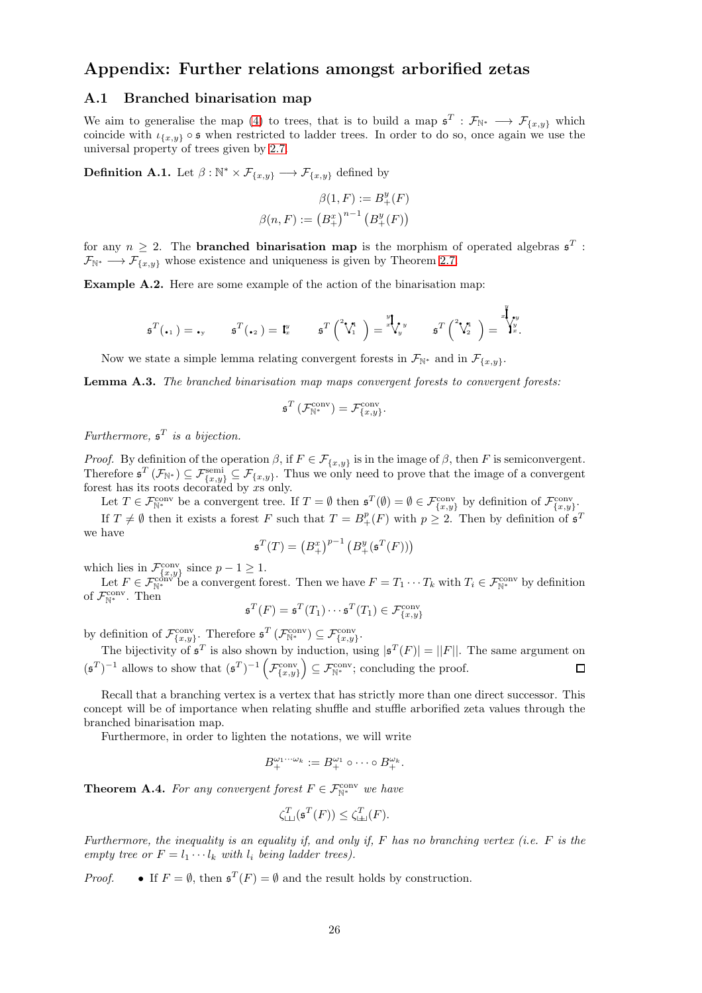## <span id="page-25-1"></span><span id="page-25-0"></span>Appendix: Further relations amongst arborified zetas

## A.1 Branched binarisation map

We aim to generalise the map [\(4\)](#page-2-4) to trees, that is to build a map  $\mathfrak{s}^T : \mathcal{F}_{\mathbb{N}^*} \longrightarrow \mathcal{F}_{\{x,y\}}$  which coincide with  $\iota_{\{x,y\}} \circ \mathfrak{s}$  when restricted to ladder trees. In order to do so, once again we use the universal property of trees given by [2.7.](#page-5-2)

<span id="page-25-2"></span>**Definition A.1.** Let  $\beta : \mathbb{N}^* \times \mathcal{F}_{\{x,y\}} \longrightarrow \mathcal{F}_{\{x,y\}}$  defined by

$$
\beta(1, F) := B_{+}^{y}(F)
$$

$$
\beta(n, F) := (B_{+}^{x})^{n-1} (B_{+}^{y}(F))
$$

for any  $n \geq 2$ . The **branched binarisation map** is the morphism of operated algebras  $\mathfrak{s}^T$ :  $\mathcal{F}_{\mathbb{N}^*} \longrightarrow \mathcal{F}_{\{x,y\}}$  whose existence and uniqueness is given by Theorem [2.7.](#page-5-2)

Example A.2. Here are some example of the action of the binarisation map:

$$
\mathfrak{s}^T(\centerdot_1) = \centerdot_y \qquad \mathfrak{s}^T(\centerdot_2) = \mathfrak{t}^y_x \qquad \mathfrak{s}^T\left(\overset{^2}\mathsf{V}_1^{\mathfrak{u}}\right) = \overset{^y}\ast\bigvee_y^y \qquad \mathfrak{s}^T\left(\overset{^2}\mathsf{V}_2^{\mathfrak{u}}\right) = \overset{^y}\ast\bigvee_y^y.
$$

 $\boldsymbol{y}$ 

Now we state a simple lemma relating convergent forests in  $\mathcal{F}_{\mathbb{N}^*}$  and in  $\mathcal{F}_{\{x,y\}}$ .

<span id="page-25-4"></span>Lemma A.3. The branched binarisation map maps convergent forests to convergent forests:

$$
\mathfrak{s}^T\left(\mathcal{F}^{\text{conv}}_{\mathbb{N}^*}\right) = \mathcal{F}^{\text{conv}}_{\{x,y\}}.
$$

Furthermore,  $\mathfrak{s}^T$  is a bijection.

*Proof.* By definition of the operation  $\beta$ , if  $F \in \mathcal{F}_{\{x,y\}}$  is in the image of  $\beta$ , then F is semiconvergent. Therefore  $\mathfrak{s}^T(\mathcal{F}_{\mathbb{N}^*}) \subseteq \mathcal{F}_{\{x,y\}} \subseteq \mathcal{F}_{\{x,y\}}$ . Thus we only need to prove that the image of a convergent forest has its roots decorated by xs only.

Let  $T \in \mathcal{F}_{\mathbb{N}^*}^{\text{conv}}$  be a convergent tree. If  $T = \emptyset$  then  $\mathfrak{s}^T(\emptyset) = \emptyset \in \mathcal{F}_{\{x,y\}}^{\text{conv}}$  by definition of  $\mathcal{F}_{\{x,y\}}^{\text{conv}}$ . If  $T \neq \emptyset$  then it exists a forest F such that  $T = B^p_+(F)$  with  $p \geq 2$ . Then by definition of  $\mathfrak{s}^T$ we have

$$
\mathfrak{s}^T(T) = \left(B_+^x\right)^{p-1} \left(B_+^y(\mathfrak{s}^T(F))\right)
$$

which lies in  $\mathcal{F}_{\{x,y\}}^{\text{conv}}$  since  $p-1 \geq 1$ .

Let  $F \in \mathcal{F}_{\mathbb{N}^*}^{\text{conv}}$  be a convergent forest. Then we have  $F = T_1 \cdots T_k$  with  $T_i \in \mathcal{F}_{\mathbb{N}^*}^{\text{conv}}$  by definition of  $\mathcal{F}_{\mathbb{N}^*}^{\text{conv}}$ . Then

$$
\mathfrak{s}^T(F) = \mathfrak{s}^T(T_1) \cdots \mathfrak{s}^T(T_1) \in \mathcal{F}_{\{x,y\}}^{\text{conv}}
$$

by definition of  $\mathcal{F}_{\{x,y\}}^{\text{conv}}$ . Therefore  $\mathfrak{s}^T(\mathcal{F}_{\mathbb{N}^*}^{\text{conv}}) \subseteq \mathcal{F}_{\{x,y\}}^{\text{conv}}$ .

The bijectivity of  $\mathfrak{s}^T$  is also shown by induction, using  $|\mathfrak{s}^T(F)| = ||F||$ . The same argument on  $(\mathfrak{s}^T)^{-1}$  allows to show that  $(\mathfrak{s}^T)^{-1} \left( \mathcal{F}_{\{x,y\}}^{\text{conv}} \right)$  $\Big) \subseteq \mathcal{F}_{\mathbb{N}^*}^{\text{conv}}$ ; concluding the proof.

Recall that a branching vertex is a vertex that has strictly more than one direct successor. This concept will be of importance when relating shuffle and stuffle arborified zeta values through the branched binarisation map.

Furthermore, in order to lighten the notations, we will write

$$
B_+^{\omega_1\cdots\omega_k} := B_+^{\omega_1} \circ \cdots \circ B_+^{\omega_k}.
$$

<span id="page-25-3"></span>**Theorem A.4.** For any convergent forest  $F \in \mathcal{F}_{\mathbb{N}^*}^{\text{conv}}$  we have

$$
\zeta^T_{\rm LL}(\mathfrak{s}^T(F)) \leq \zeta^T_{\rm LL}(F).
$$

Furthermore, the inequality is an equality if, and only if,  $F$  has no branching vertex (i.e.  $F$  is the empty tree or  $F = l_1 \cdots l_k$  with  $l_i$  being ladder trees).

*Proof.* • If  $F = \emptyset$ , then  $\mathfrak{s}^T(F) = \emptyset$  and the result holds by construction.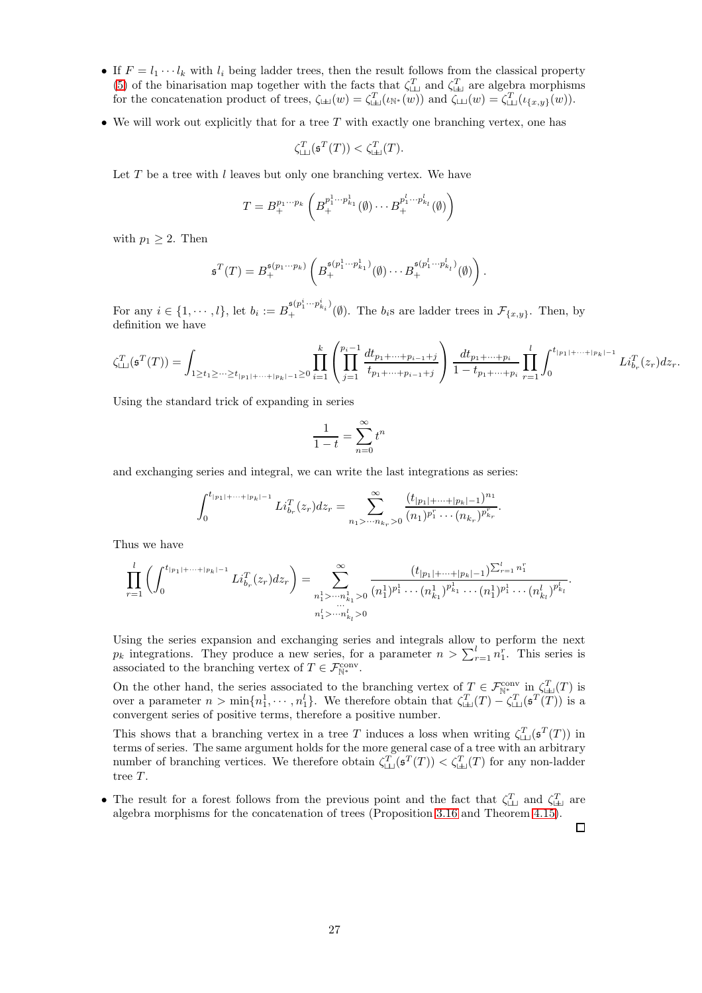- If  $F = l_1 \cdots l_k$  with  $l_i$  being ladder trees, then the result follows from the classical property [\(5\)](#page-2-6) of the binarisation map together with the facts that  $\zeta_{\perp\perp}^T$  and  $\zeta_{\perp\perp}^T$  are algebra morphisms for the concatenation product of trees,  $\zeta_{\Box}(w) = \zeta_{\Box}(w)(w)$  and  $\zeta_{\Box}(w) = \zeta_{\Box}(u)(w)(w)$ .
- We will work out explicitly that for a tree  $T$  with exactly one branching vertex, one has

$$
\zeta_{\text{L}}^T(\mathfrak{s}^T(T)) < \zeta_{\text{L}}^T(T).
$$

Let  $T$  be a tree with  $l$  leaves but only one branching vertex. We have

$$
T = B_+^{p_1 \cdots p_k} \left( B_+^{p_1^1 \cdots p_{k_1}^1}(\emptyset) \cdots B_+^{p_1^l \cdots p_{k_l}^l}(\emptyset) \right)
$$

with  $p_1 \geq 2$ . Then

$$
\mathfrak{s}^T(T) = B_+^{\mathfrak{s}(p_1 \cdots p_k)} \left( B_+^{\mathfrak{s}(p_1^1 \cdots p_{k_1}^1)}(\emptyset) \cdots B_+^{\mathfrak{s}(p_1^l \cdots p_{k_l}^l)}(\emptyset) \right).
$$

For any  $i \in \{1, \dots, l\}$ , let  $b_i := B_+^{\mathfrak{s}(p_1^i \dots p_{k_i}^i)}(\emptyset)$ . The  $b_i$ s are ladder trees in  $\mathcal{F}_{\{x,y\}}$ . Then, by definition we have

$$
\zeta_{\sqcup\sqcup}^T(\mathfrak{s}^T(T)) = \int_{1 \ge t_1 \ge \cdots \ge t_{|p_1| + \cdots + |p_k|-1} \ge 0} \prod_{i=1}^k \left( \prod_{j=1}^{p_i - 1} \frac{dt_{p_1 + \cdots + p_{i-1} + j}}{t_{p_1 + \cdots + p_{i-1} + j}} \right) \frac{dt_{p_1 + \cdots + p_i}}{1 - t_{p_1 + \cdots + p_i}} \prod_{r=1}^l \int_0^{t_{|p_1| + \cdots + |p_k|-1}} Li_{b_r}^T(z_r) dz_r.
$$

Using the standard trick of expanding in series

$$
\frac{1}{1-t} = \sum_{n=0}^{\infty} t^n
$$

and exchanging series and integral, we can write the last integrations as series:

$$
\int_0^{t_{|p_1|+\cdots+|p_k|-1}} Li_{b_r}^T(z_r) dz_r = \sum_{n_1 > \cdots n_{k_r} > 0}^{\infty} \frac{(t_{|p_1|+\cdots+|p_k|-1})^{n_1}}{(n_1)^{p_1^r}\cdots(n_{k_r})^{p_{k_r}^r}}.
$$

Thus we have

$$
\prod_{r=1}^{l} \left( \int_{0}^{t_{|p_{1}| + \dots + |p_{k}| - 1}} Li_{b_{r}}^{T}(z_{r}) dz_{r} \right) = \sum_{\substack{n_{1}^{1} > \dots n_{k_{1}}^{1} > 0 \\ \dots \\ n_{1}^{l} > \dots n_{k_{l}}^{l} > 0}}^{(t_{|p_{1}| + \dots + |p_{k}| - 1}) \sum_{r=1}^{l} n_{1}^{r}} \frac{(t_{|p_{1}| + \dots + |p_{k}| - 1}) \sum_{r=1}^{l} n_{1}^{r}}{(n_{1}^{1})^{p_{1}^{l}} \dots (n_{k_{1}}^{1})^{p_{k_{1}}^{l}} \dots (n_{k_{l}}^{1})^{p_{k_{l}}^{l}}}.
$$

Using the series expansion and exchanging series and integrals allow to perform the next  $p_k$  integrations. They produce a new series, for a parameter  $n > \sum_{r=1}^{l} n_1^r$ . This series is associated to the branching vertex of  $T \in \mathcal{F}_{\mathbb{N}^*}^{\text{conv}}$ .

On the other hand, the series associated to the branching vertex of  $T \in \mathcal{F}_{\mathbb{N}^*}^{\text{conv}}$  in  $\zeta_{\mathbb{H}}^T(T)$  is over a parameter  $n > \min\{n_1^1, \dots, n_1^l\}$ . We therefore obtain that  $\zeta_{\pm}^T(T) - \zeta_{\pm}^T(\mathfrak{s}^T(T))$  is a convergent series of positive terms, therefore a positive number.

This shows that a branching vertex in a tree T induces a loss when writing  $\zeta^T_{\perp\perp}(\mathfrak{s}^T(T))$  in terms of series. The same argument holds for the more general case of a tree with an arbitrary number of branching vertices. We therefore obtain  $\zeta_{\perp\perp}^T(\mathfrak{s}^T(T)) < \zeta_{\perp\perp}^T(T)$  for any non-ladder tree T.

• The result for a forest follows from the previous point and the fact that  $\zeta_{\perp\perp}^T$  and  $\zeta_{\perp\perp}^T$  are algebra morphisms for the concatenation of trees (Proposition [3.16](#page-15-1) and Theorem [4.15\)](#page-20-3).

口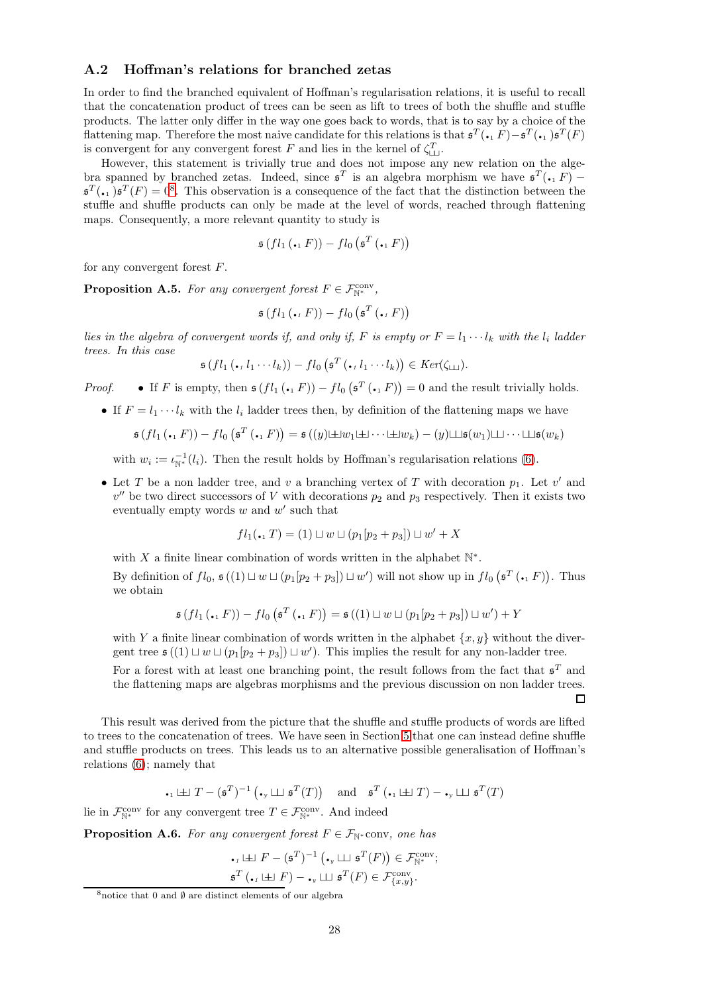## <span id="page-27-0"></span>A.2 Hoffman's relations for branched zetas

In order to find the branched equivalent of Hoffman's regularisation relations, it is useful to recall that the concatenation product of trees can be seen as lift to trees of both the shuffle and stuffle products. The latter only differ in the way one goes back to words, that is to say by a choice of the flattening map. Therefore the most naive candidate for this relations is that  $\mathfrak{s}^T(\bullet, F) - \mathfrak{s}^T(\bullet, \bullet) \mathfrak{s}^T(F)$ is convergent for any convergent forest F and lies in the kernel of  $\zeta_{\square\perp}^T$ .

However, this statement is trivially true and does not impose any new relation on the algebra spanned by branched zetas. Indeed, since  $\mathfrak{s}^T$  is an algebra morphism we have  $\mathfrak{s}^T(\cdot, F)$  –  $\mathfrak{s}^T(\cdot, 1)$   $\mathfrak{s}^T(F) = 0^8$  $\mathfrak{s}^T(F) = 0^8$ . This observation is a consequence of the fact that the distinction between the stuffle and shuffle products can only be made at the level of words, reached through flattening maps. Consequently, a more relevant quantity to study is

$$
\mathfrak{s}\left(f l_1 \left(\mathbf{I} \cdot \mathbf{I} F\right)\right) - f l_0 \left(\mathfrak{s}^T \left(\mathbf{I} \cdot \mathbf{I} F\right)\right)
$$

for any convergent forest F.

<span id="page-27-1"></span>**Proposition A.5.** For any convergent forest  $F \in \mathcal{F}_{\mathbb{N}^*}^{\text{conv}}$ ,

$$
\mathfrak{s}\left(f l_1\left(\mathbf{I} \cdot {}_i F\right)\right) - f l_0\left(\mathfrak{s}^T\left(\mathbf{I} \cdot {}_i F\right)\right)
$$

lies in the algebra of convergent words if, and only if, F is empty or  $F = l_1 \cdots l_k$  with the  $l_i$  ladder trees. In this case

$$
\mathfrak{s}(fl_1(\centerdot, l_1\centerdot\centerdot l_k)) - fl_0\left(\mathfrak{s}^T(\centerdot, l_1\centerdot\centerdot l_k)\right) \in Ker(\zeta_{\perp\perp}).
$$

*Proof.* • If F is empty, then  $\mathfrak{s}(fl_1(\bullet_1 F)) - fl_0(\mathfrak{s}^T(\bullet_1 F)) = 0$  and the result trivially holds.

• If  $F = l_1 \cdots l_k$  with the  $l_i$  ladder trees then, by definition of the flattening maps we have

$$
\mathfrak{s}(fl_1(\centerdot, F)) - fl_0\left(\mathfrak{s}^T(\centerdot, F)\right) = \mathfrak{s}\left((y) \pm w_1 \pm \cdots \pm w_k\right) - (y) \pm \mathfrak{s}(w_1) \pm \cdots \pm \mathfrak{s}(w_k)
$$

with  $w_i := \iota_{\mathbb{N}^*}^{-1}(l_i)$ . Then the result holds by Hoffman's regularisation relations [\(6\)](#page-2-5).

• Let T be a non ladder tree, and v a branching vertex of T with decoration  $p_1$ . Let v' and  $v''$  be two direct successors of V with decorations  $p_2$  and  $p_3$  respectively. Then it exists two eventually empty words  $w$  and  $w'$  such that

$$
fl_1(\bullet, T) = (1) \sqcup w \sqcup (p_1[p_2 + p_3]) \sqcup w' + X
$$

with X a finite linear combination of words written in the alphabet  $\mathbb{N}^*$ .

By definition of  $fl_0$ ,  $\mathfrak{s}((1) \sqcup w \sqcup (p_1[p_2 + p_3]) \sqcup w')$  will not show up in  $fl_0(\mathfrak{s}^T(\cdot, F))$ . Thus we obtain

$$
\mathfrak{s}(fl_1(\square, F)) - fl_0(\mathfrak{s}^T(\square, F)) = \mathfrak{s}((1) \sqcup w \sqcup (p_1[p_2 + p_3]) \sqcup w') + Y
$$

with Y a finite linear combination of words written in the alphabet  $\{x, y\}$  without the divergent tree  $\mathfrak{s}((1) \sqcup w \sqcup (p_1[p_2 + p_3]) \sqcup w')$ . This implies the result for any non-ladder tree.

For a forest with at least one branching point, the result follows from the fact that  $\mathfrak{s}^T$  and the flattening maps are algebras morphisms and the previous discussion on non ladder trees. П

This result was derived from the picture that the shuffle and stuffle products of words are lifted to trees to the concatenation of trees. We have seen in Section [5](#page-20-0) that one can instead define shuffle and stuffle products on trees. This leads us to an alternative possible generalisation of Hoffman's

$$
\centerdot_1 \boxplus T - (\mathfrak{s}^T)^{-1} \left( \centerdot_\mathbf{y} \boxminus \mathfrak{s}^T(T) \right) \quad \text{and} \quad \mathfrak{s}^T \left( \centerdot_1 \boxplus T \right) - \centerdot_\mathbf{y} \boxminus \mathfrak{s}^T(T)
$$

lie in  $\mathcal{F}_{\mathbb{N}^*}^{\text{conv}}$  for any convergent tree  $T \in \mathcal{F}_{\mathbb{N}^*}^{\text{conv}}$ . And indeed

relations [\(6\)](#page-2-5); namely that

<span id="page-27-2"></span>**Proposition A.6.** For any convergent forest  $F \in \mathcal{F}_{\mathbb{N}^*}$  conv, one has

$$
\begin{aligned}\n\bullet_t &\sqcup \!\!\!\perp F - (\mathfrak{s}^T)^{-1} \left( \bullet_y \sqcup \!\!\!\perp \mathfrak{s}^T(F) \right) \in \mathcal{F}_{\mathbb{N}^*}^{\text{conv}}; \\
\mathfrak{s}^T \left( \bullet_t &\sqcup \!\!\!\perp F \right) - \bullet_y \sqcup \mathfrak{s}^T(F) \in \mathcal{F}_{\{x,y\}}^{\text{conv}}.\n\end{aligned}
$$

<span id="page-27-3"></span> $\frac{8 \text{ notice}}{8 \text{ notice}}$  that 0 and  $\emptyset$  are distinct elements of our algebra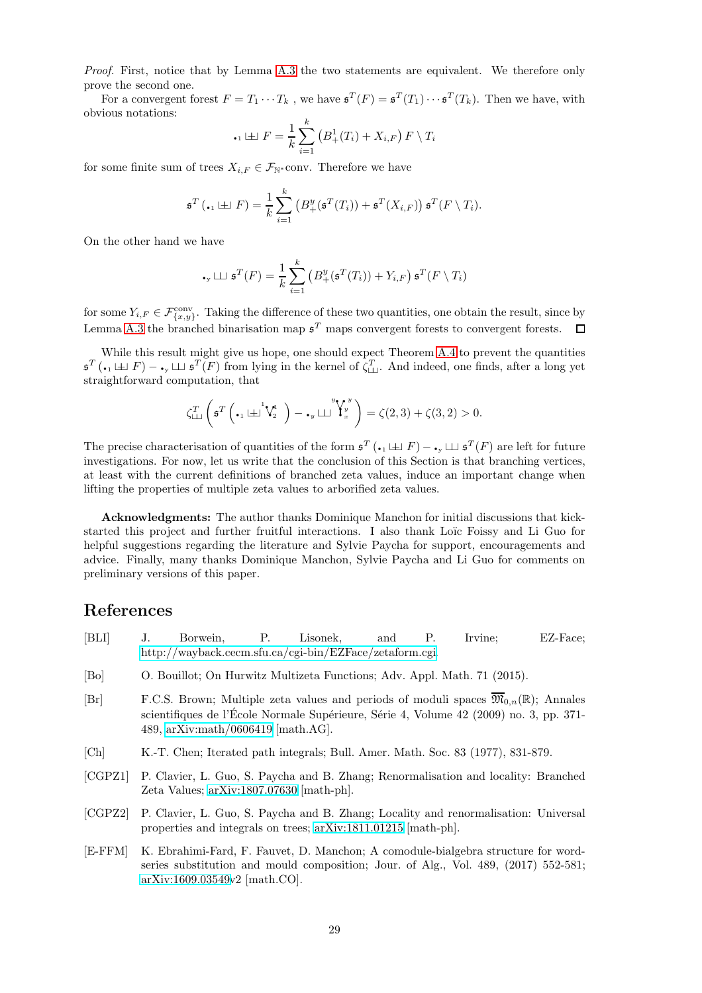Proof. First, notice that by Lemma [A.3](#page-25-4) the two statements are equivalent. We therefore only prove the second one.

For a convergent forest  $F = T_1 \cdots T_k$ , we have  $\mathfrak{s}^T(F) = \mathfrak{s}^T(T_1) \cdots \mathfrak{s}^T(T_k)$ . Then we have, with obvious notations:

$$
\therefore
$$
  $\perp$   $F = \frac{1}{k} \sum_{i=1}^{k} (B_{+}^{1}(T_{i}) + X_{i,F}) F \setminus T_{i}$ 

for some finite sum of trees  $X_{i,F} \in \mathcal{F}_{\mathbb{N}^*}$ conv. Therefore we have

$$
\mathfrak{s}^T(\bullet_1 \sqcup \sqcup F) = \frac{1}{k} \sum_{i=1}^k \left( B^y_+(\mathfrak{s}^T(T_i)) + \mathfrak{s}^T(X_{i,F}) \right) \mathfrak{s}^T(F \setminus T_i).
$$

On the other hand we have

$$
\mathbf{F}_{\mathbf{y}} \sqcup \mathbf{y}^T(F) = \frac{1}{k} \sum_{i=1}^k \left( B_+^y(\mathfrak{s}^T(T_i)) + Y_{i,F} \right) \mathfrak{s}^T(F \setminus T_i)
$$

for some  $Y_{i,F} \in \mathcal{F}^{\text{conv}}_{\{x,y\}}$ . Taking the difference of these two quantities, one obtain the result, since by Lemma [A.3](#page-25-4) the branched binarisation map  $\mathfrak{s}^T$  maps convergent forests to convergent forests.  $\Box$ 

While this result might give us hope, one should expect Theorem [A.4](#page-25-3) to prevent the quantities  $\mathfrak{s}^T(\bullet_1 \sqcup \perp F) - \bullet_{\mathfrak{y}} \sqcup \mathfrak{s}^T(F)$  from lying in the kernel of  $\zeta_{\sqcup\sqcup}^T$ . And indeed, one finds, after a long yet straightforward computation, that

$$
\zeta_{\perp\perp}^T \left( \mathfrak{s}^T \left( \mathfrak{t}_1 \boxplus^1 \mathsf{V}_2^1 \right) - \mathfrak{t}_y \boxminus^y \mathsf{V}_x^y \right) = \zeta(2,3) + \zeta(3,2) > 0.
$$

The precise characterisation of quantities of the form  $\mathfrak{s}^T(\cdot_1 \sqcup F) - \cdot_y \sqcup \mathfrak{s}^T(F)$  are left for future investigations. For now, let us write that the conclusion of this Section is that branching vertices, at least with the current definitions of branched zeta values, induce an important change when lifting the properties of multiple zeta values to arborified zeta values.

Acknowledgments: The author thanks Dominique Manchon for initial discussions that kickstarted this project and further fruitful interactions. I also thank Loïc Foissy and Li Guo for helpful suggestions regarding the literature and Sylvie Paycha for support, encouragements and advice. Finally, many thanks Dominique Manchon, Sylvie Paycha and Li Guo for comments on preliminary versions of this paper.

## References

- <span id="page-28-6"></span>[BLI] J. Borwein, P. Lisonek, and P. Irvine; EZ-Face; [http://wayback.cecm.sfu.ca/cgi-bin/EZFace/zetaform.cgi.](http://wayback.cecm.sfu.ca/cgi-bin/EZFace/zetaform.cgi)
- <span id="page-28-2"></span>[Bo] O. Bouillot; On Hurwitz Multizeta Functions; Adv. Appl. Math. 71 (2015).
- <span id="page-28-4"></span>[Br] F.C.S. Brown; Multiple zeta values and periods of moduli spaces  $\overline{\mathfrak{M}}_{0,n}(\mathbb{R})$ ; Annales scientifiques de l'École Normale Supérieure, Série 4, Volume  $42$  (2009) no. 3, pp. 371-489, [arXiv:math/0606419](http://arxiv.org/abs/math/0606419) [math.AG].
- <span id="page-28-3"></span>[Ch] K.-T. Chen; Iterated path integrals; Bull. Amer. Math. Soc. 83 (1977), 831-879.
- <span id="page-28-0"></span>[CGPZ1] P. Clavier, L. Guo, S. Paycha and B. Zhang; Renormalisation and locality: Branched Zeta Values; [arXiv:1807.07630](http://arxiv.org/abs/1807.07630) [math-ph].
- <span id="page-28-1"></span>[CGPZ2] P. Clavier, L. Guo, S. Paycha and B. Zhang; Locality and renormalisation: Universal properties and integrals on trees; [arXiv:1811.01215](http://arxiv.org/abs/1811.01215) [math-ph].
- <span id="page-28-5"></span>[E-FFM] K. Ebrahimi-Fard, F. Fauvet, D. Manchon; A comodule-bialgebra structure for wordseries substitution and mould composition; Jour. of Alg., Vol. 489, (2017) 552-581; [arXiv:1609.03549v](http://arxiv.org/abs/1609.03549)2 [math.CO].